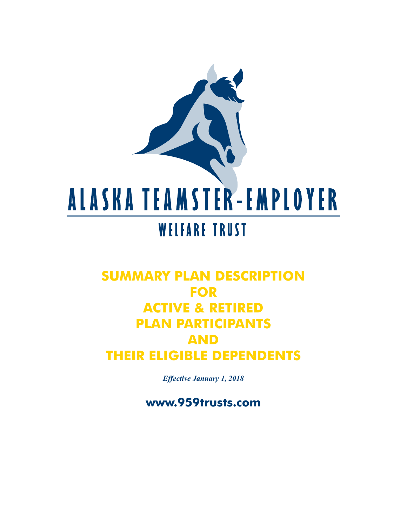

# **SUMMARY PLAN DESCRIPTION FOR ACTIVE & RETIRED PLAN PARTICIPANTS AND THEIR ELIGIBLE DEPENDENTS**

*Effective January 1, 2018*

**www.959trusts.com**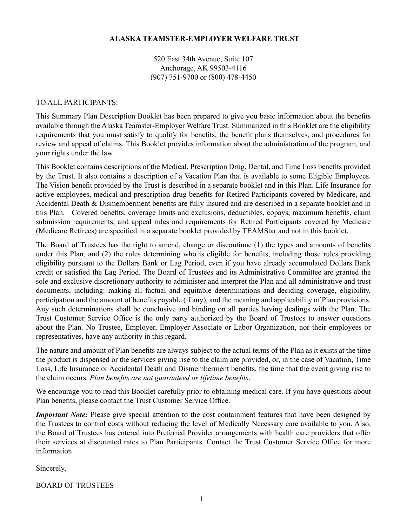#### **ALASKA TEAMSTER-EMPLOYER WELFARE TRUST**

520 East 34th Avenue, Suite 107 Anchorage, AK 99503-4116 (907) 751-9700 or (800) 478-4450

#### TO ALL PARTICIPANTS:

This Summary Plan Description Booklet has been prepared to give you basic information about the benefits available through the Alaska Teamster-Employer Welfare Trust. Summarized in this Booklet are the eligibility requirements that you must satisfy to qualify for benefits, the benefit plans themselves, and procedures for review and appeal of claims. This Booklet provides information about the administration of the program, and your rights under the law.

This Booklet contains descriptions of the Medical, Prescription Drug, Dental, and Time Loss benefits provided by the Trust. It also contains a description of a Vacation Plan that is available to some Eligible Employees. The Vision benefit provided by the Trust is described in a separate booklet and in this Plan. Life Insurance for active employees, medical and prescription drug benefits for Retired Participants covered by Medicare, and Accidental Death & Dismemberment benefits are fully insured and are described in a separate booklet and in this Plan. Covered benefits, coverage limits and exclusions, deductibles, copays, maximum benefits, claim submission requirements, and appeal rules and requirements for Retired Participants covered by Medicare (Medicare Retirees) are specified in a separate booklet provided by TEAMStar and not in this booklet.

The Board of Trustees has the right to amend, change or discontinue (1) the types and amounts of benefits under this Plan, and (2) the rules determining who is eligible for benefits, including those rules providing eligibility pursuant to the Dollars Bank or Lag Period, even if you have already accumulated Dollars Bank credit or satisfied the Lag Period. The Board of Trustees and its Administrative Committee are granted the sole and exclusive discretionary authority to administer and interpret the Plan and all administrative and trust documents, including: making all factual and equitable determinations and deciding coverage, eligibility, participation and the amount of benefits payable (if any), and the meaning and applicability of Plan provisions. Any such determinations shall be conclusive and binding on all parties having dealings with the Plan. The Trust Customer Service Office is the only party authorized by the Board of Trustees to answer questions about the Plan. No Trustee, Employer, Employer Associate or Labor Organization, nor their employees or representatives, have any authority in this regard.

The nature and amount of Plan benefits are always subject to the actual terms of the Plan as it exists at the time the product is dispensed or the services giving rise to the claim are provided, or, in the case of Vacation, Time Loss, Life Insurance or Accidental Death and Dismemberment benefits, the time that the event giving rise to the claim occurs. *Plan benefits are not guaranteed or lifetime benefits*.

We encourage you to read this Booklet carefully prior to obtaining medical care. If you have questions about Plan benefits, please contact the Trust Customer Service Office.

*Important Note:* Please give special attention to the cost containment features that have been designed by the Trustees to control costs without reducing the level of Medically Necessary care available to you. Also, the Board of Trustees has entered into Preferred Provider arrangements with health care providers that offer their services at discounted rates to Plan Participants. Contact the Trust Customer Service Office for more information.

Sincerely,

BOARD OF TRUSTEES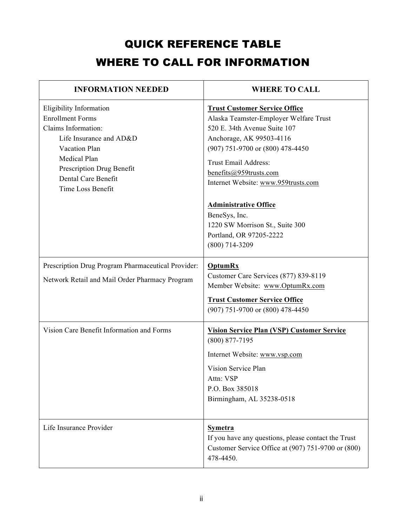# QUICK REFERENCE TABLE WHERE TO CALL FOR INFORMATION

| <b>INFORMATION NEEDED</b>                                                                                                                                                                                      | <b>WHERE TO CALL</b>                                                                                                                                                                                                                                                    |
|----------------------------------------------------------------------------------------------------------------------------------------------------------------------------------------------------------------|-------------------------------------------------------------------------------------------------------------------------------------------------------------------------------------------------------------------------------------------------------------------------|
| Eligibility Information<br><b>Enrollment Forms</b><br>Claims Information:<br>Life Insurance and AD&D<br>Vacation Plan<br>Medical Plan<br>Prescription Drug Benefit<br>Dental Care Benefit<br>Time Loss Benefit | <b>Trust Customer Service Office</b><br>Alaska Teamster-Employer Welfare Trust<br>520 E. 34th Avenue Suite 107<br>Anchorage, AK 99503-4116<br>(907) 751-9700 or (800) 478-4450<br>Trust Email Address:<br>benefits@959trusts.com<br>Internet Website: www.959trusts.com |
|                                                                                                                                                                                                                | <b>Administrative Office</b><br>BeneSys, Inc.<br>1220 SW Morrison St., Suite 300<br>Portland, OR 97205-2222<br>$(800)$ 714-3209                                                                                                                                         |
| Prescription Drug Program Pharmaceutical Provider:<br>Network Retail and Mail Order Pharmacy Program                                                                                                           | <b>OptumRx</b><br>Customer Care Services (877) 839-8119<br>Member Website: www.OptumRx.com<br><b>Trust Customer Service Office</b><br>(907) 751-9700 or (800) 478-4450                                                                                                  |
| Vision Care Benefit Information and Forms                                                                                                                                                                      | <b>Vision Service Plan (VSP) Customer Service</b><br>$(800)$ 877-7195<br>Internet Website: www.vsp.com<br>Vision Service Plan<br>Attn: VSP<br>P.O. Box 385018<br>Birmingham, AL 35238-0518                                                                              |
| Life Insurance Provider                                                                                                                                                                                        | <b>Symetra</b><br>If you have any questions, please contact the Trust<br>Customer Service Office at (907) 751-9700 or (800)<br>478-4450.                                                                                                                                |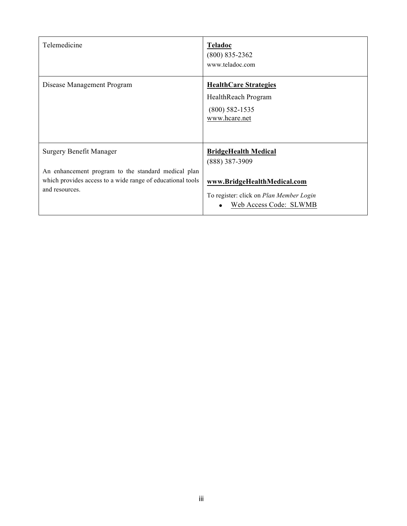| Telemedicine                                                                                                                                                          | <b>Teladoc</b><br>$(800)$ 835-2362<br>www.teladoc.com                                                                                               |
|-----------------------------------------------------------------------------------------------------------------------------------------------------------------------|-----------------------------------------------------------------------------------------------------------------------------------------------------|
| Disease Management Program                                                                                                                                            | <b>HealthCare Strategies</b><br>HealthReach Program<br>$(800)$ 582-1535<br>www.hcare.net                                                            |
| <b>Surgery Benefit Manager</b><br>An enhancement program to the standard medical plan<br>which provides access to a wide range of educational tools<br>and resources. | <b>BridgeHealth Medical</b><br>$(888)$ 387-3909<br>www.BridgeHealthMedical.com<br>To register: click on Plan Member Login<br>Web Access Code: SLWMB |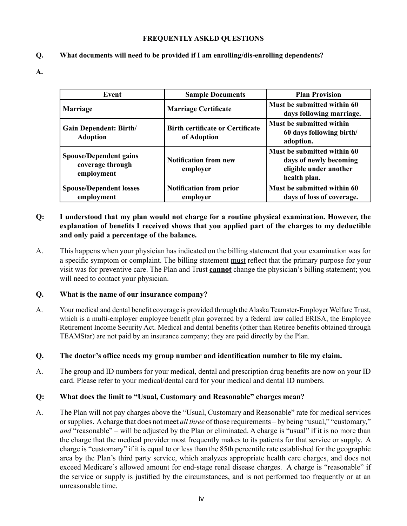#### **FREQUENTLY ASKED QUESTIONS**

#### **Q. What documents will need to be provided if I am enrolling/dis-enrolling dependents?**

**A.**

| Event                                                           | <b>Sample Documents</b>                                | <b>Plan Provision</b>                                                                           |
|-----------------------------------------------------------------|--------------------------------------------------------|-------------------------------------------------------------------------------------------------|
| <b>Marriage</b>                                                 | <b>Marriage Certificate</b>                            | Must be submitted within 60<br>days following marriage.                                         |
| <b>Gain Dependent: Birth/</b><br><b>Adoption</b>                | <b>Birth certificate or Certificate</b><br>of Adoption | Must be submitted within<br>60 days following birth/<br>adoption.                               |
| <b>Spouse/Dependent gains</b><br>coverage through<br>employment | <b>Notification from new</b><br>employer               | Must be submitted within 60<br>days of newly becoming<br>eligible under another<br>health plan. |
| <b>Spouse/Dependent losses</b><br>employment                    | <b>Notification from prior</b><br>employer             | Must be submitted within 60<br>days of loss of coverage.                                        |

#### **Q: I understood that my plan would not charge for a routine physical examination. However, the explanation of benefits I received shows that you applied part of the charges to my deductible and only paid a percentage of the balance.**

A. This happens when your physician has indicated on the billing statement that your examination was for a specific symptom or complaint. The billing statement must reflect that the primary purpose for your visit was for preventive care. The Plan and Trust **cannot** change the physician's billing statement; you will need to contact your physician.

#### **Q. What is the name of our insurance company?**

A. Your medical and dental benefit coverage is provided through the Alaska Teamster-Employer Welfare Trust, which is a multi-employer employee benefit plan governed by a federal law called ERISA, the Employee Retirement Income Security Act. Medical and dental benefits (other than Retiree benefits obtained through TEAMStar) are not paid by an insurance company; they are paid directly by the Plan.

#### **Q. The doctor's office needs my group number and identification number to file my claim.**

A. The group and ID numbers for your medical, dental and prescription drug benefits are now on your ID card. Please refer to your medical/dental card for your medical and dental ID numbers.

#### **Q: What does the limit to "Usual, Customary and Reasonable" charges mean?**

A. The Plan will not pay charges above the "Usual, Customary and Reasonable" rate for medical services or supplies. A charge that does not meet *all three* of those requirements – by being "usual," "customary," *and* "reasonable" – will be adjusted by the Plan or eliminated. A charge is "usual" if it is no more than the charge that the medical provider most frequently makes to its patients for that service or supply. A charge is "customary" if it is equal to or less than the 85th percentile rate established for the geographic area by the Plan's third party service, which analyzes appropriate health care charges, and does not exceed Medicare's allowed amount for end-stage renal disease charges. A charge is "reasonable" if the service or supply is justified by the circumstances, and is not performed too frequently or at an unreasonable time.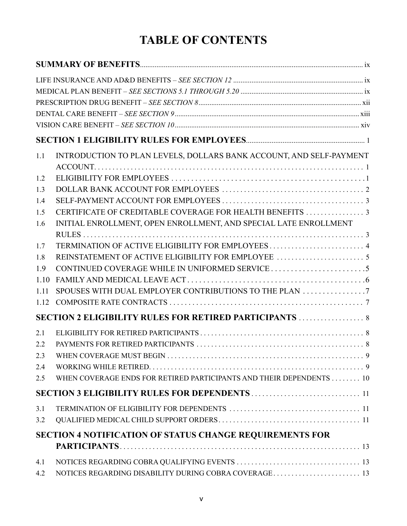# **TABLE OF CONTENTS**

| 1.1  | INTRODUCTION TO PLAN LEVELS, DOLLARS BANK ACCOUNT, AND SELF-PAYMENT |  |
|------|---------------------------------------------------------------------|--|
| 1.2  |                                                                     |  |
| 1.3  |                                                                     |  |
| 1.4  |                                                                     |  |
| 1.5  |                                                                     |  |
| 1.6  | INITIAL ENROLLMENT, OPEN ENROLLMENT, AND SPECIAL LATE ENROLLMENT    |  |
| 1.7  |                                                                     |  |
| 1.8  |                                                                     |  |
| 1.9  |                                                                     |  |
| 1.10 |                                                                     |  |
| 1.11 | SPOUSES WITH DUAL EMPLOYER CONTRIBUTIONS TO THE PLAN                |  |
| 1.12 |                                                                     |  |
|      | <b>SECTION 2 ELIGIBILITY RULES FOR RETIRED PARTICIPANTS  8</b>      |  |
| 2.1  |                                                                     |  |
| 2.2  |                                                                     |  |
| 2.3  |                                                                     |  |
| 2.4  |                                                                     |  |
| 2.5  | WHEN COVERAGE ENDS FOR RETIRED PARTICIPANTS AND THEIR DEPENDENTS 10 |  |
|      |                                                                     |  |
| 3.1  |                                                                     |  |
| 3.2  |                                                                     |  |
|      | <b>SECTION 4 NOTIFICATION OF STATUS CHANGE REQUIREMENTS FOR</b>     |  |
|      |                                                                     |  |
| 4.1  |                                                                     |  |
| 4.2  | NOTICES REGARDING DISABILITY DURING COBRA COVERAGE 13               |  |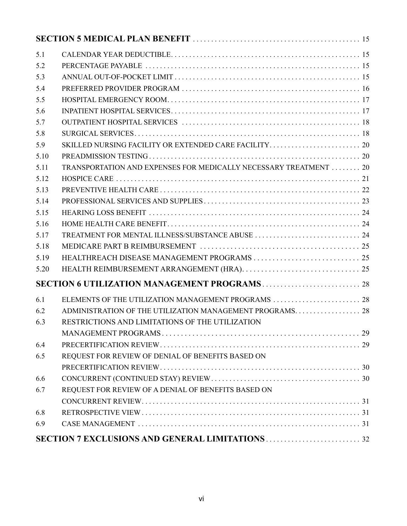| 5.1  |                                                                  |  |
|------|------------------------------------------------------------------|--|
| 5.2  |                                                                  |  |
| 5.3  |                                                                  |  |
| 5.4  |                                                                  |  |
| 5.5  |                                                                  |  |
| 5.6  |                                                                  |  |
| 5.7  |                                                                  |  |
| 5.8  |                                                                  |  |
| 5.9  |                                                                  |  |
| 5.10 |                                                                  |  |
| 5.11 | TRANSPORTATION AND EXPENSES FOR MEDICALLY NECESSARY TREATMENT 20 |  |
| 5.12 |                                                                  |  |
| 5.13 |                                                                  |  |
| 5.14 |                                                                  |  |
| 5.15 |                                                                  |  |
| 5.16 |                                                                  |  |
| 5.17 |                                                                  |  |
| 5.18 |                                                                  |  |
| 5.19 |                                                                  |  |
| 5.20 |                                                                  |  |
|      |                                                                  |  |
| 6.1  |                                                                  |  |
| 6.2  |                                                                  |  |
| 6.3  | RESTRICTIONS AND LIMITATIONS OF THE UTILIZATION                  |  |
|      |                                                                  |  |
| 6.4  |                                                                  |  |
| 6.5  | REQUEST FOR REVIEW OF DENIAL OF BENEFITS BASED ON                |  |
|      |                                                                  |  |
| 6.6  |                                                                  |  |
| 6.7  | REQUEST FOR REVIEW OF A DENIAL OF BENEFITS BASED ON              |  |
|      |                                                                  |  |
| 6.8  |                                                                  |  |
| 6.9  |                                                                  |  |
|      |                                                                  |  |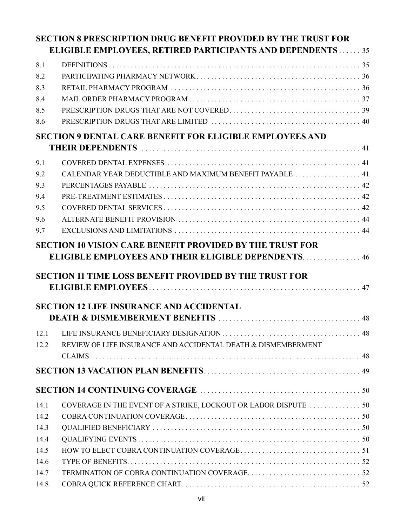|              | <b>SECTION 8 PRESCRIPTION DRUG BENEFIT PROVIDED BY THE TRUST FOR</b>                                                          |  |
|--------------|-------------------------------------------------------------------------------------------------------------------------------|--|
|              | <b>ELIGIBLE EMPLOYEES, RETIRED PARTICIPANTS AND DEPENDENTS 35</b>                                                             |  |
| 8.1          |                                                                                                                               |  |
| 8.2          |                                                                                                                               |  |
| 8.3          |                                                                                                                               |  |
| 8.4          |                                                                                                                               |  |
| 8.5          |                                                                                                                               |  |
| 8.6          |                                                                                                                               |  |
|              | <b>SECTION 9 DENTAL CARE BENEFIT FOR ELIGIBLE EMPLOYEES AND</b>                                                               |  |
|              |                                                                                                                               |  |
| 9.1          |                                                                                                                               |  |
| 9.2          |                                                                                                                               |  |
| 9.3          |                                                                                                                               |  |
| 9.4          |                                                                                                                               |  |
| 9.5          |                                                                                                                               |  |
| 9.6          |                                                                                                                               |  |
| 9.7          |                                                                                                                               |  |
|              | <b>SECTION 10 VISION CARE BENEFIT PROVIDED BY THE TRUST FOR</b><br><b>ELIGIBLE EMPLOYEES AND THEIR ELIGIBLE DEPENDENTS 46</b> |  |
|              | <b>SECTION 11 TIME LOSS BENEFIT PROVIDED BY THE TRUST FOR</b>                                                                 |  |
|              | <b>SECTION 12 LIFE INSURANCE AND ACCIDENTAL</b>                                                                               |  |
| 12.1<br>12.2 | REVIEW OF LIFE INSURANCE AND ACCIDENTAL DEATH & DISMEMBERMENT                                                                 |  |
|              |                                                                                                                               |  |
|              |                                                                                                                               |  |
|              |                                                                                                                               |  |
| 14.1         | COVERAGE IN THE EVENT OF A STRIKE, LOCKOUT OR LABOR DISPUTE  50                                                               |  |
| 14.2         |                                                                                                                               |  |
| 14.3         |                                                                                                                               |  |
| 14.4         |                                                                                                                               |  |
| 14.5         |                                                                                                                               |  |
| 14.6         |                                                                                                                               |  |
| 14.7         |                                                                                                                               |  |
| 14.8         |                                                                                                                               |  |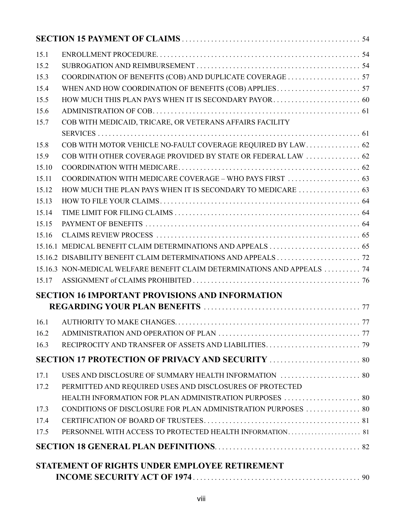| 15.5<br>COB WITH MEDICAID, TRICARE, OR VETERANS AFFAIRS FACILITY<br>COB WITH OTHER COVERAGE PROVIDED BY STATE OR FEDERAL LAW  62<br>15.16<br>15.17<br><b>SECTION 16 IMPORTANT PROVISIONS AND INFORMATION</b><br>16.1<br>16.2<br>16.3<br>USES AND DISCLOSURE OF SUMMARY HEALTH INFORMATION  80<br>17.1<br>PERMITTED AND REQUIRED USES AND DISCLOSURES OF PROTECTED<br>17.2<br>HEALTH INFORMATION FOR PLAN ADMINISTRATION PURPOSES  80<br>17.4<br>17.5<br>STATEMENT OF RIGHTS UNDER EMPLOYEE RETIREMENT |      |  |
|-------------------------------------------------------------------------------------------------------------------------------------------------------------------------------------------------------------------------------------------------------------------------------------------------------------------------------------------------------------------------------------------------------------------------------------------------------------------------------------------------------|------|--|
| 15.2<br>15.3<br>15.4<br>15.6<br>15.7<br>15.8<br>15.9<br>15.10<br>15.11<br>15.12<br>15.13<br>15.14<br>15.15<br>15.16.3 NON-MEDICAL WELFARE BENEFIT CLAIM DETERMINATIONS AND APPEALS  74<br>17.3                                                                                                                                                                                                                                                                                                        | 15.1 |  |
|                                                                                                                                                                                                                                                                                                                                                                                                                                                                                                       |      |  |
|                                                                                                                                                                                                                                                                                                                                                                                                                                                                                                       |      |  |
|                                                                                                                                                                                                                                                                                                                                                                                                                                                                                                       |      |  |
|                                                                                                                                                                                                                                                                                                                                                                                                                                                                                                       |      |  |
|                                                                                                                                                                                                                                                                                                                                                                                                                                                                                                       |      |  |
|                                                                                                                                                                                                                                                                                                                                                                                                                                                                                                       |      |  |
|                                                                                                                                                                                                                                                                                                                                                                                                                                                                                                       |      |  |
|                                                                                                                                                                                                                                                                                                                                                                                                                                                                                                       |      |  |
|                                                                                                                                                                                                                                                                                                                                                                                                                                                                                                       |      |  |
|                                                                                                                                                                                                                                                                                                                                                                                                                                                                                                       |      |  |
|                                                                                                                                                                                                                                                                                                                                                                                                                                                                                                       |      |  |
|                                                                                                                                                                                                                                                                                                                                                                                                                                                                                                       |      |  |
|                                                                                                                                                                                                                                                                                                                                                                                                                                                                                                       |      |  |
|                                                                                                                                                                                                                                                                                                                                                                                                                                                                                                       |      |  |
|                                                                                                                                                                                                                                                                                                                                                                                                                                                                                                       |      |  |
|                                                                                                                                                                                                                                                                                                                                                                                                                                                                                                       |      |  |
|                                                                                                                                                                                                                                                                                                                                                                                                                                                                                                       |      |  |
|                                                                                                                                                                                                                                                                                                                                                                                                                                                                                                       |      |  |
|                                                                                                                                                                                                                                                                                                                                                                                                                                                                                                       |      |  |
|                                                                                                                                                                                                                                                                                                                                                                                                                                                                                                       |      |  |
|                                                                                                                                                                                                                                                                                                                                                                                                                                                                                                       |      |  |
|                                                                                                                                                                                                                                                                                                                                                                                                                                                                                                       |      |  |
|                                                                                                                                                                                                                                                                                                                                                                                                                                                                                                       |      |  |
|                                                                                                                                                                                                                                                                                                                                                                                                                                                                                                       |      |  |
|                                                                                                                                                                                                                                                                                                                                                                                                                                                                                                       |      |  |
|                                                                                                                                                                                                                                                                                                                                                                                                                                                                                                       |      |  |
|                                                                                                                                                                                                                                                                                                                                                                                                                                                                                                       |      |  |
|                                                                                                                                                                                                                                                                                                                                                                                                                                                                                                       |      |  |
|                                                                                                                                                                                                                                                                                                                                                                                                                                                                                                       |      |  |
|                                                                                                                                                                                                                                                                                                                                                                                                                                                                                                       |      |  |
|                                                                                                                                                                                                                                                                                                                                                                                                                                                                                                       |      |  |
|                                                                                                                                                                                                                                                                                                                                                                                                                                                                                                       |      |  |
|                                                                                                                                                                                                                                                                                                                                                                                                                                                                                                       |      |  |
|                                                                                                                                                                                                                                                                                                                                                                                                                                                                                                       |      |  |
|                                                                                                                                                                                                                                                                                                                                                                                                                                                                                                       |      |  |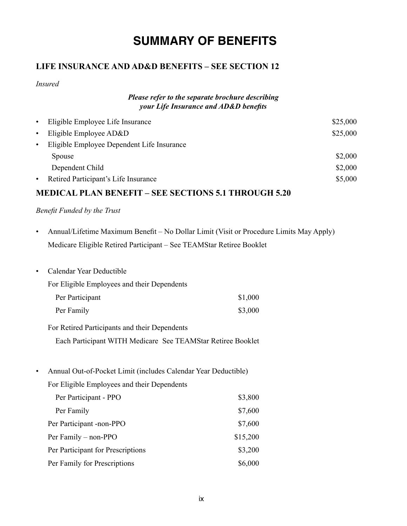# **SUMMARY OF BENEFITS**

# **LIFE INSURANCE AND AD&D BENEFITS – SEE SECTION 12**

*Insured*

#### *Please refer to the separate brochure describing your Life Insurance and AD&D benefits*

| $\bullet$                                               | Eligible Employee Life Insurance     |          |
|---------------------------------------------------------|--------------------------------------|----------|
| $\bullet$                                               | Eligible Employee AD&D               | \$25,000 |
| Eligible Employee Dependent Life Insurance<br>$\bullet$ |                                      |          |
|                                                         | Spouse                               | \$2,000  |
|                                                         | Dependent Child                      | \$2,000  |
| $\bullet$                                               | Retired Participant's Life Insurance | \$5,000  |
|                                                         |                                      |          |

# **MEDICAL PLAN BENEFIT – SEE SECTIONS 5.1 THROUGH 5.20**

#### *Benefit Funded by the Trust*

- Annual/Lifetime Maximum Benefit No Dollar Limit (Visit or Procedure Limits May Apply) Medicare Eligible Retired Participant – See TEAMStar Retiree Booklet
- Calendar Year Deductible

For Eligible Employees and their Dependents

| Per Participant | \$1,000 |
|-----------------|---------|
| Per Family      | \$3,000 |

For Retired Participants and their Dependents

Each Participant WITH Medicare See TEAMStar Retiree Booklet

• Annual Out-of-Pocket Limit (includes Calendar Year Deductible)

For Eligible Employees and their Dependents

| Per Participant - PPO             | \$3,800  |
|-----------------------------------|----------|
| Per Family                        | \$7,600  |
| Per Participant -non-PPO          | \$7,600  |
| Per Family – non-PPO              | \$15,200 |
| Per Participant for Prescriptions | \$3,200  |
| Per Family for Prescriptions      | \$6,000  |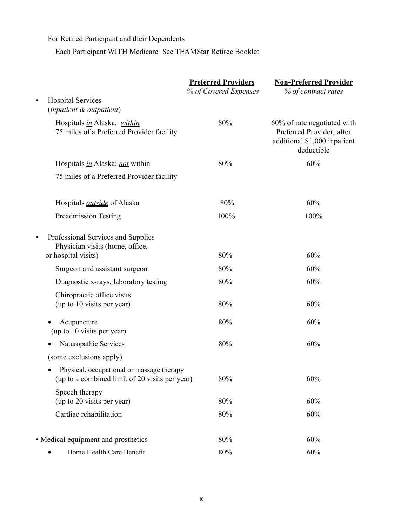For Retired Participant and their Dependents

Each Participant WITH Medicare See TEAMStar Retiree Booklet

|                                                                                                           | <b>Preferred Providers</b><br>% of Covered Expenses | <b>Non-Preferred Provider</b><br>% of contract rates                                                   |
|-----------------------------------------------------------------------------------------------------------|-----------------------------------------------------|--------------------------------------------------------------------------------------------------------|
| <b>Hospital Services</b><br>$\bullet$<br>(inpatient & outpatient)                                         |                                                     |                                                                                                        |
| Hospitals in Alaska, within<br>75 miles of a Preferred Provider facility                                  | 80%                                                 | 60% of rate negotiated with<br>Preferred Provider; after<br>additional \$1,000 inpatient<br>deductible |
| Hospitals <i>in</i> Alaska; <i>not</i> within                                                             | 80%                                                 | 60%                                                                                                    |
| 75 miles of a Preferred Provider facility                                                                 |                                                     |                                                                                                        |
| Hospitals <i>outside</i> of Alaska                                                                        | 80%                                                 | 60%                                                                                                    |
| <b>Preadmission Testing</b>                                                                               | 100%                                                | 100%                                                                                                   |
| Professional Services and Supplies<br>$\bullet$<br>Physician visits (home, office,<br>or hospital visits) | 80%                                                 | 60%                                                                                                    |
| Surgeon and assistant surgeon                                                                             | 80%                                                 | 60%                                                                                                    |
| Diagnostic x-rays, laboratory testing                                                                     | 80%                                                 | 60%                                                                                                    |
| Chiropractic office visits<br>(up to 10 visits per year)                                                  | 80%                                                 | 60%                                                                                                    |
| Acupuncture<br>(up to 10 visits per year)                                                                 | 80%                                                 | 60%                                                                                                    |
| Naturopathic Services                                                                                     | 80%                                                 | 60%                                                                                                    |
| (some exclusions apply)                                                                                   |                                                     |                                                                                                        |
| Physical, occupational or massage therapy<br>(up to a combined limit of 20 visits per year)               | 80%                                                 | 60%                                                                                                    |
| Speech therapy<br>(up to 20 visits per year)                                                              | 80%                                                 | 60%                                                                                                    |
| Cardiac rehabilitation                                                                                    | 80%                                                 | 60%                                                                                                    |
| • Medical equipment and prosthetics                                                                       | 80%                                                 | 60%                                                                                                    |
| Home Health Care Benefit                                                                                  | $80\%$                                              | 60%                                                                                                    |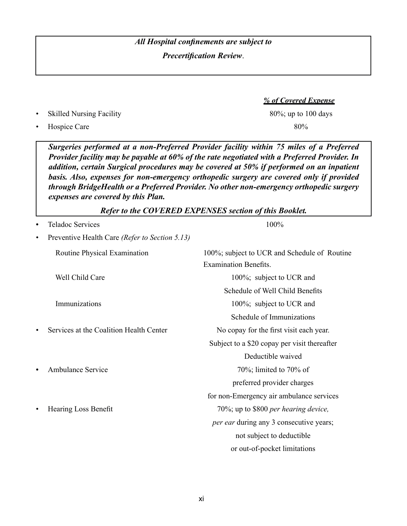# *All Hospital confinements are subject to Precertification Review*.

• Skilled Nursing Facility 80%; up to 100 days

*Surgeries performed at a non-Preferred Provider facility within 75 miles of a Preferred Provider facility may be payable at 60% of the rate negotiated with a Preferred Provider. In addition, certain Surgical procedures may be covered at 50% if performed on an inpatient* 

Hospice Care 80%

*basis. Also, expenses for non-emergency orthopedic surgery are covered only if provided through BridgeHealth or a Preferred Provider. No other non-emergency orthopedic surgery expenses are covered by this Plan. Refer to the COVERED EXPENSES section of this Booklet.* Teladoc Services 100% • Preventive Health Care *(Refer to Section 5.13)*  Routine Physical Examination 100%; subject to UCR and Schedule of Routine Examination Benefits. Well Child Care 100%; subject to UCR and Schedule of Well Child Benefits Immunizations 100%; subject to UCR and Schedule of Immunizations • Services at the Coalition Health Center No copay for the first visit each year. Subject to a \$20 copay per visit thereafter Deductible waived Ambulance Service 70%; limited to 70% of preferred provider charges for non-Emergency air ambulance services • Hearing Loss Benefit 70%; up to \$800 *per hearing device, per ear during any 3 consecutive years;* not subject to deductible

*% of Covered Expense*

xi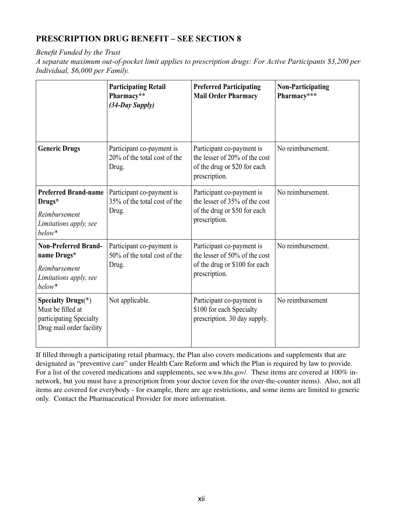# **PRESCRIPTION DRUG BENEFIT – SEE SECTION 8**

*Benefit Funded by the Trust*

*A separate maximum out-of-pocket limit applies to prescription drugs: For Active Participants \$3,200 per Individual, \$6,000 per Family.* 

|                                                                                                        | <b>Participating Retail</b><br>Pharmacy**<br>(34-Day Supply)       | <b>Preferred Participating</b><br><b>Mail Order Pharmacy</b>                                                 | <b>Non-Participating</b><br>Pharmacy*** |
|--------------------------------------------------------------------------------------------------------|--------------------------------------------------------------------|--------------------------------------------------------------------------------------------------------------|-----------------------------------------|
| <b>Generic Drugs</b>                                                                                   | Participant co-payment is<br>20% of the total cost of the<br>Drug. | Participant co-payment is<br>the lesser of 20% of the cost<br>of the drug or \$20 for each<br>prescription.  | No reimbursement.                       |
| <b>Preferred Brand-name</b><br>Drugs*<br>Reimbursement<br>Limitations apply, see<br>below*             | Participant co-payment is<br>35% of the total cost of the<br>Drug. | Participant co-payment is<br>the lesser of 35% of the cost<br>of the drug or \$50 for each<br>prescription.  | No reimbursement.                       |
| <b>Non-Preferred Brand-</b><br>name Drugs*<br>Reimbursement<br>Limitations apply, see<br>below*        | Participant co-payment is<br>50% of the total cost of the<br>Drug. | Participant co-payment is<br>the lesser of 50% of the cost<br>of the drug or \$100 for each<br>prescription. | No reimbursement.                       |
| <b>Specialty Drugs</b> (*)<br>Must be filled at<br>participating Specialty<br>Drug mail order facility | Not applicable.                                                    | Participant co-payment is<br>\$100 for each Specialty<br>prescription. 30 day supply.                        | No reimbursement                        |

If filled through a participating retail pharmacy, the Plan also covers medications and supplements that are designated as "preventive care" under Health Care Reform and which the Plan is required by law to provide. For a list of the covered medications and supplements, see www.hhs.gov/. These items are covered at 100% innetwork, but you must have a prescription from your doctor (even for the over-the-counter items). Also, not all items are covered for everybody - for example, there are age restrictions, and some items are limited to generic only. Contact the Pharmaceutical Provider for more information.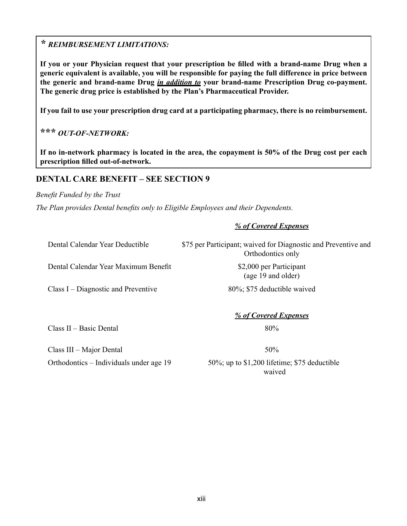# *\* REIMBURSEMENT LIMITATIONS:*

**If you or your Physician request that your prescription be filled with a brand-name Drug when a generic equivalent is available, you will be responsible for paying the full difference in price between the generic and brand-name Drug** *in addition to* **your brand-name Prescription Drug co-payment. The generic drug price is established by the Plan's Pharmaceutical Provider.**

**If you fail to use your prescription drug card at a participating pharmacy, there is no reimbursement.**

# **\*\*\*** *OUT-OF-NETWORK:*

**If no in-network pharmacy is located in the area, the copayment is 50% of the Drug cost per each prescription filled out-of-network.**

### **DENTAL CARE BENEFIT – SEE SECTION 9**

*Benefit Funded by the Trust*

*The Plan provides Dental benefits only to Eligible Employees and their Dependents.* 

#### *% of Covered Expenses*

Dental Calendar Year Deductible \$75 per Participant; waived for Diagnostic and Preventive and Orthodontics only

Dental Calendar Year Maximum Benefit \$2,000 per Participant

Class I – Diagnostic and Preventive 80%; \$75 deductible waived

(age 19 and older)

*% of Covered Expenses*

 $Class II - Basic Dental$  80%

 $Class III - Major Dental$   $50\%$ 

Orthodontics – Individuals under age 19 50%; up to \$1,200 lifetime; \$75 deductible waived **waived**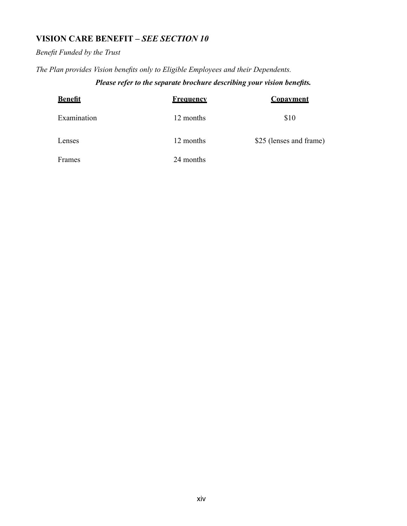# **VISION CARE BENEFIT –** *SEE SECTION 10*

# *Benefit Funded by the Trust*

*The Plan provides Vision benefits only to Eligible Employees and their Dependents.*

# *Please refer to the separate brochure describing your vision benefits.*

| <b>Benefit</b> | <b>Frequency</b> | <b>Copayment</b>        |
|----------------|------------------|-------------------------|
| Examination    | 12 months        | \$10                    |
| Lenses         | 12 months        | \$25 (lenses and frame) |
| Frames         | 24 months        |                         |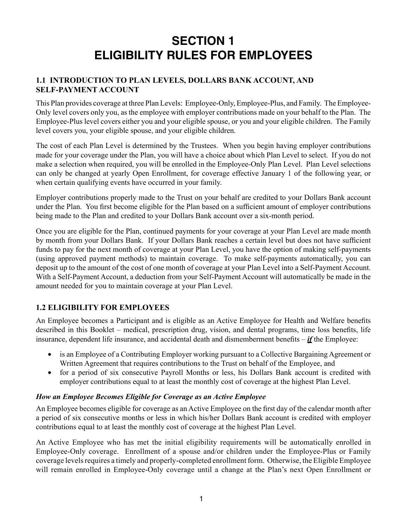# **SECTION 1 ELIGIBILITY RULES FOR EMPLOYEES**

### **1.1 INTRODUCTION TO PLAN LEVELS, DOLLARS BANK ACCOUNT, AND SELF-PAYMENT ACCOUNT**

This Plan provides coverage at three Plan Levels: Employee-Only, Employee-Plus, and Family. The Employee-Only level covers only you, as the employee with employer contributions made on your behalf to the Plan. The Employee-Plus level covers either you and your eligible spouse, or you and your eligible children. The Family level covers you, your eligible spouse, and your eligible children.

The cost of each Plan Level is determined by the Trustees. When you begin having employer contributions made for your coverage under the Plan, you will have a choice about which Plan Level to select. If you do not make a selection when required, you will be enrolled in the Employee-Only Plan Level. Plan Level selections can only be changed at yearly Open Enrollment, for coverage effective January 1 of the following year, or when certain qualifying events have occurred in your family.

Employer contributions properly made to the Trust on your behalf are credited to your Dollars Bank account under the Plan. You first become eligible for the Plan based on a sufficient amount of employer contributions being made to the Plan and credited to your Dollars Bank account over a six-month period.

Once you are eligible for the Plan, continued payments for your coverage at your Plan Level are made month by month from your Dollars Bank. If your Dollars Bank reaches a certain level but does not have sufficient funds to pay for the next month of coverage at your Plan Level, you have the option of making self-payments (using approved payment methods) to maintain coverage. To make self-payments automatically, you can deposit up to the amount of the cost of one month of coverage at your Plan Level into a Self-Payment Account. With a Self-Payment Account, a deduction from your Self-Payment Account will automatically be made in the amount needed for you to maintain coverage at your Plan Level.

# **1.2 ELIGIBILITY FOR EMPLOYEES**

An Employee becomes a Participant and is eligible as an Active Employee for Health and Welfare benefits described in this Booklet – medical, prescription drug, vision, and dental programs, time loss benefits, life insurance, dependent life insurance, and accidental death and dismemberment benefits – *if* the Employee:

- is an Employee of a Contributing Employer working pursuant to a Collective Bargaining Agreement or Written Agreement that requires contributions to the Trust on behalf of the Employee, and
- for a period of six consecutive Payroll Months or less, his Dollars Bank account is credited with employer contributions equal to at least the monthly cost of coverage at the highest Plan Level.

#### *How an Employee Becomes Eligible for Coverage as an Active Employee*

An Employee becomes eligible for coverage as an Active Employee on the first day of the calendar month after a period of six consecutive months or less in which his/her Dollars Bank account is credited with employer contributions equal to at least the monthly cost of coverage at the highest Plan Level.

An Active Employee who has met the initial eligibility requirements will be automatically enrolled in Employee-Only coverage. Enrollment of a spouse and/or children under the Employee-Plus or Family coverage levels requires a timely and properly-completed enrollment form. Otherwise, the Eligible Employee will remain enrolled in Employee-Only coverage until a change at the Plan's next Open Enrollment or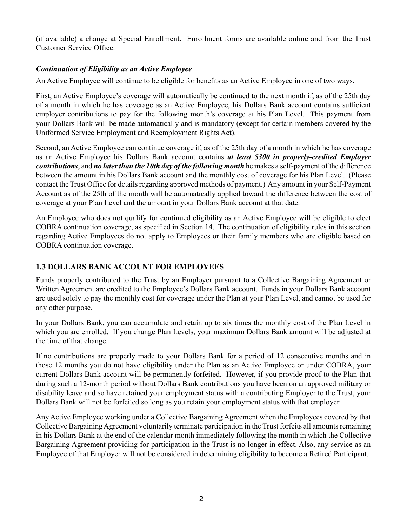(if available) a change at Special Enrollment. Enrollment forms are available online and from the Trust Customer Service Office.

#### *Continuation of Eligibility as an Active Employee*

An Active Employee will continue to be eligible for benefits as an Active Employee in one of two ways.

First, an Active Employee's coverage will automatically be continued to the next month if, as of the 25th day of a month in which he has coverage as an Active Employee, his Dollars Bank account contains sufficient employer contributions to pay for the following month's coverage at his Plan Level. This payment from your Dollars Bank will be made automatically and is mandatory (except for certain members covered by the Uniformed Service Employment and Reemployment Rights Act).

Second, an Active Employee can continue coverage if, as of the 25th day of a month in which he has coverage as an Active Employee his Dollars Bank account contains *at least \$300 in properly-credited Employer contributions*, and *no later than the 10th day of the following month* he makes a self-payment of the difference between the amount in his Dollars Bank account and the monthly cost of coverage for his Plan Level. (Please contact the Trust Office for details regarding approved methods of payment.) Any amount in your Self-Payment Account as of the 25th of the month will be automatically applied toward the difference between the cost of coverage at your Plan Level and the amount in your Dollars Bank account at that date.

An Employee who does not qualify for continued eligibility as an Active Employee will be eligible to elect COBRA continuation coverage, as specified in Section 14. The continuation of eligibility rules in this section regarding Active Employees do not apply to Employees or their family members who are eligible based on COBRA continuation coverage.

#### **1.3 DOLLARS BANK ACCOUNT FOR EMPLOYEES**

Funds properly contributed to the Trust by an Employer pursuant to a Collective Bargaining Agreement or Written Agreement are credited to the Employee's Dollars Bank account. Funds in your Dollars Bank account are used solely to pay the monthly cost for coverage under the Plan at your Plan Level, and cannot be used for any other purpose.

In your Dollars Bank, you can accumulate and retain up to six times the monthly cost of the Plan Level in which you are enrolled. If you change Plan Levels, your maximum Dollars Bank amount will be adjusted at the time of that change.

If no contributions are properly made to your Dollars Bank for a period of 12 consecutive months and in those 12 months you do not have eligibility under the Plan as an Active Employee or under COBRA, your current Dollars Bank account will be permanently forfeited. However, if you provide proof to the Plan that during such a 12-month period without Dollars Bank contributions you have been on an approved military or disability leave and so have retained your employment status with a contributing Employer to the Trust, your Dollars Bank will not be forfeited so long as you retain your employment status with that employer.

Any Active Employee working under a Collective Bargaining Agreement when the Employees covered by that Collective Bargaining Agreement voluntarily terminate participation in the Trust forfeits all amounts remaining in his Dollars Bank at the end of the calendar month immediately following the month in which the Collective Bargaining Agreement providing for participation in the Trust is no longer in effect. Also, any service as an Employee of that Employer will not be considered in determining eligibility to become a Retired Participant.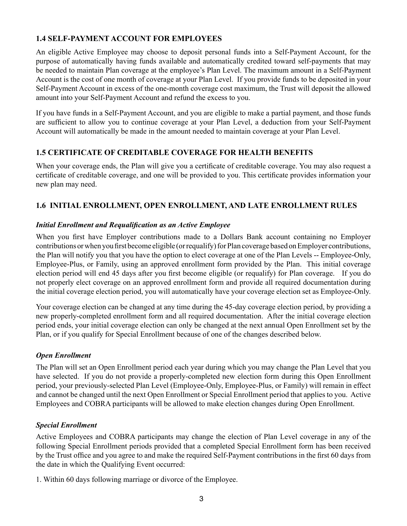### **1.4 SELF-PAYMENT ACCOUNT FOR EMPLOYEES**

An eligible Active Employee may choose to deposit personal funds into a Self-Payment Account, for the purpose of automatically having funds available and automatically credited toward self-payments that may be needed to maintain Plan coverage at the employee's Plan Level. The maximum amount in a Self-Payment Account is the cost of one month of coverage at your Plan Level. If you provide funds to be deposited in your Self-Payment Account in excess of the one-month coverage cost maximum, the Trust will deposit the allowed amount into your Self-Payment Account and refund the excess to you.

If you have funds in a Self-Payment Account, and you are eligible to make a partial payment, and those funds are sufficient to allow you to continue coverage at your Plan Level, a deduction from your Self-Payment Account will automatically be made in the amount needed to maintain coverage at your Plan Level.

### **1.5 CERTIFICATE OF CREDITABLE COVERAGE FOR HEALTH BENEFITS**

When your coverage ends, the Plan will give you a certificate of creditable coverage. You may also request a certificate of creditable coverage, and one will be provided to you. This certificate provides information your new plan may need.

### **1.6 INITIAL ENROLLMENT, OPEN ENROLLMENT, AND LATE ENROLLMENT RULES**

#### *Initial Enrollment and Requalification as an Active Employee*

When you first have Employer contributions made to a Dollars Bank account containing no Employer contributions or when you first become eligible (or requalify) for Plan coverage based on Employer contributions, the Plan will notify you that you have the option to elect coverage at one of the Plan Levels -- Employee-Only, Employee-Plus, or Family, using an approved enrollment form provided by the Plan. This initial coverage election period will end 45 days after you first become eligible (or requalify) for Plan coverage. If you do not properly elect coverage on an approved enrollment form and provide all required documentation during the initial coverage election period, you will automatically have your coverage election set as Employee-Only.

Your coverage election can be changed at any time during the 45-day coverage election period, by providing a new properly-completed enrollment form and all required documentation. After the initial coverage election period ends, your initial coverage election can only be changed at the next annual Open Enrollment set by the Plan, or if you qualify for Special Enrollment because of one of the changes described below.

#### *Open Enrollment*

The Plan will set an Open Enrollment period each year during which you may change the Plan Level that you have selected. If you do not provide a properly-completed new election form during this Open Enrollment period, your previously-selected Plan Level (Employee-Only, Employee-Plus, or Family) will remain in effect and cannot be changed until the next Open Enrollment or Special Enrollment period that applies to you. Active Employees and COBRA participants will be allowed to make election changes during Open Enrollment.

#### *Special Enrollment*

Active Employees and COBRA participants may change the election of Plan Level coverage in any of the following Special Enrollment periods provided that a completed Special Enrollment form has been received by the Trust office and you agree to and make the required Self-Payment contributions in the first 60 days from the date in which the Qualifying Event occurred:

1. Within 60 days following marriage or divorce of the Employee.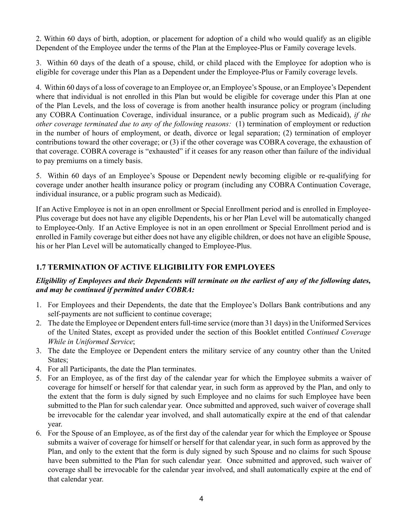2. Within 60 days of birth, adoption, or placement for adoption of a child who would qualify as an eligible Dependent of the Employee under the terms of the Plan at the Employee-Plus or Family coverage levels.

3. Within 60 days of the death of a spouse, child, or child placed with the Employee for adoption who is eligible for coverage under this Plan as a Dependent under the Employee-Plus or Family coverage levels.

4. Within 60 days of a loss of coverage to an Employee or, an Employee's Spouse, or an Employee's Dependent where that individual is not enrolled in this Plan but would be eligible for coverage under this Plan at one of the Plan Levels, and the loss of coverage is from another health insurance policy or program (including any COBRA Continuation Coverage, individual insurance, or a public program such as Medicaid), *if the other coverage terminated due to any of the following reasons:* (1) termination of employment or reduction in the number of hours of employment, or death, divorce or legal separation; (2) termination of employer contributions toward the other coverage; or (3) if the other coverage was COBRA coverage, the exhaustion of that coverage. COBRA coverage is "exhausted" if it ceases for any reason other than failure of the individual to pay premiums on a timely basis.

5. Within 60 days of an Employee's Spouse or Dependent newly becoming eligible or re-qualifying for coverage under another health insurance policy or program (including any COBRA Continuation Coverage, individual insurance, or a public program such as Medicaid).

If an Active Employee is not in an open enrollment or Special Enrollment period and is enrolled in Employee-Plus coverage but does not have any eligible Dependents, his or her Plan Level will be automatically changed to Employee-Only. If an Active Employee is not in an open enrollment or Special Enrollment period and is enrolled in Family coverage but either does not have any eligible children, or does not have an eligible Spouse, his or her Plan Level will be automatically changed to Employee-Plus.

#### **1.7 TERMINATION OF ACTIVE ELIGIBILITY FOR EMPLOYEES**

#### *Eligibility of Employees and their Dependents will terminate on the earliest of any of the following dates, and may be continued if permitted under COBRA:*

- 1. For Employees and their Dependents, the date that the Employee's Dollars Bank contributions and any self-payments are not sufficient to continue coverage;
- 2. The date the Employee or Dependent enters full-time service (more than 31 days) in the Uniformed Services of the United States, except as provided under the section of this Booklet entitled *Continued Coverage While in Uniformed Service*;
- 3. The date the Employee or Dependent enters the military service of any country other than the United States:
- 4. For all Participants, the date the Plan terminates.
- 5. For an Employee, as of the first day of the calendar year for which the Employee submits a waiver of coverage for himself or herself for that calendar year, in such form as approved by the Plan, and only to the extent that the form is duly signed by such Employee and no claims for such Employee have been submitted to the Plan for such calendar year. Once submitted and approved, such waiver of coverage shall be irrevocable for the calendar year involved, and shall automatically expire at the end of that calendar year.
- 6. For the Spouse of an Employee, as of the first day of the calendar year for which the Employee or Spouse submits a waiver of coverage for himself or herself for that calendar year, in such form as approved by the Plan, and only to the extent that the form is duly signed by such Spouse and no claims for such Spouse have been submitted to the Plan for such calendar year. Once submitted and approved, such waiver of coverage shall be irrevocable for the calendar year involved, and shall automatically expire at the end of that calendar year.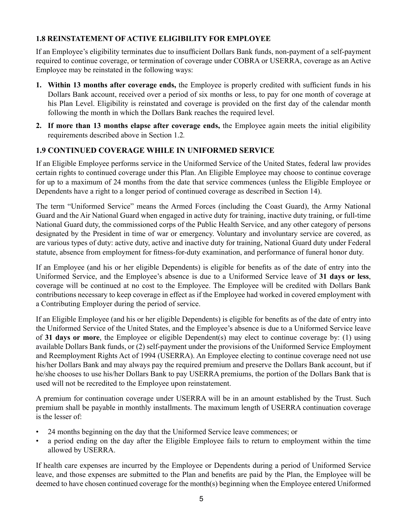### **1.8 REINSTATEMENT OF ACTIVE ELIGIBILITY FOR EMPLOYEE**

If an Employee's eligibility terminates due to insufficient Dollars Bank funds, non-payment of a self-payment required to continue coverage, or termination of coverage under COBRA or USERRA, coverage as an Active Employee may be reinstated in the following ways:

- **1. Within 13 months after coverage ends,** the Employee is properly credited with sufficient funds in his Dollars Bank account, received over a period of six months or less, to pay for one month of coverage at his Plan Level. Eligibility is reinstated and coverage is provided on the first day of the calendar month following the month in which the Dollars Bank reaches the required level.
- **2. If more than 13 months elapse after coverage ends,** the Employee again meets the initial eligibility requirements described above in Section 1.2*.*

# **1.9 CONTINUED COVERAGE WHILE IN UNIFORMED SERVICE**

If an Eligible Employee performs service in the Uniformed Service of the United States, federal law provides certain rights to continued coverage under this Plan. An Eligible Employee may choose to continue coverage for up to a maximum of 24 months from the date that service commences (unless the Eligible Employee or Dependents have a right to a longer period of continued coverage as described in Section 14).

The term "Uniformed Service" means the Armed Forces (including the Coast Guard), the Army National Guard and the Air National Guard when engaged in active duty for training, inactive duty training, or full-time National Guard duty, the commissioned corps of the Public Health Service, and any other category of persons designated by the President in time of war or emergency. Voluntary and involuntary service are covered, as are various types of duty: active duty, active and inactive duty for training, National Guard duty under Federal statute, absence from employment for fitness-for-duty examination, and performance of funeral honor duty.

If an Employee (and his or her eligible Dependents) is eligible for benefits as of the date of entry into the Uniformed Service, and the Employee's absence is due to a Uniformed Service leave of **31 days or less**, coverage will be continued at no cost to the Employee. The Employee will be credited with Dollars Bank contributions necessary to keep coverage in effect as if the Employee had worked in covered employment with a Contributing Employer during the period of service.

If an Eligible Employee (and his or her eligible Dependents) is eligible for benefits as of the date of entry into the Uniformed Service of the United States, and the Employee's absence is due to a Uniformed Service leave of **31 days or more**, the Employee or eligible Dependent(s) may elect to continue coverage by: (1) using available Dollars Bank funds, or (2) self-payment under the provisions of the Uniformed Service Employment and Reemployment Rights Act of 1994 (USERRA). An Employee electing to continue coverage need not use his/her Dollars Bank and may always pay the required premium and preserve the Dollars Bank account, but if he/she chooses to use his/her Dollars Bank to pay USERRA premiums, the portion of the Dollars Bank that is used will not be recredited to the Employee upon reinstatement.

A premium for continuation coverage under USERRA will be in an amount established by the Trust. Such premium shall be payable in monthly installments. The maximum length of USERRA continuation coverage is the lesser of:

- 24 months beginning on the day that the Uniformed Service leave commences; or
- a period ending on the day after the Eligible Employee fails to return to employment within the time allowed by USERRA.

If health care expenses are incurred by the Employee or Dependents during a period of Uniformed Service leave, and those expenses are submitted to the Plan and benefits are paid by the Plan, the Employee will be deemed to have chosen continued coverage for the month(s) beginning when the Employee entered Uniformed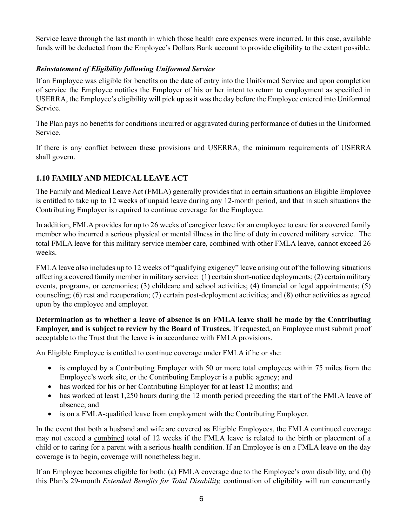Service leave through the last month in which those health care expenses were incurred. In this case, available funds will be deducted from the Employee's Dollars Bank account to provide eligibility to the extent possible.

#### *Reinstatement of Eligibility following Uniformed Service*

If an Employee was eligible for benefits on the date of entry into the Uniformed Service and upon completion of service the Employee notifies the Employer of his or her intent to return to employment as specified in USERRA, the Employee's eligibility will pick up as it was the day before the Employee entered into Uniformed Service.

The Plan pays no benefits for conditions incurred or aggravated during performance of duties in the Uniformed Service.

If there is any conflict between these provisions and USERRA, the minimum requirements of USERRA shall govern.

#### **1.10 FAMILY AND MEDICAL LEAVE ACT**

The Family and Medical Leave Act (FMLA) generally provides that in certain situations an Eligible Employee is entitled to take up to 12 weeks of unpaid leave during any 12-month period, and that in such situations the Contributing Employer is required to continue coverage for the Employee.

In addition, FMLA provides for up to 26 weeks of caregiver leave for an employee to care for a covered family member who incurred a serious physical or mental illness in the line of duty in covered military service. The total FMLA leave for this military service member care, combined with other FMLA leave, cannot exceed 26 weeks.

FMLA leave also includes up to 12 weeks of "qualifying exigency" leave arising out of the following situations affecting a covered family member in military service: (1) certain short-notice deployments; (2) certain military events, programs, or ceremonies; (3) childcare and school activities; (4) financial or legal appointments; (5) counseling; (6) rest and recuperation; (7) certain post-deployment activities; and (8) other activities as agreed upon by the employee and employer.

**Determination as to whether a leave of absence is an FMLA leave shall be made by the Contributing Employer, and is subject to review by the Board of Trustees.** If requested, an Employee must submit proof acceptable to the Trust that the leave is in accordance with FMLA provisions.

An Eligible Employee is entitled to continue coverage under FMLA if he or she:

- is employed by a Contributing Employer with 50 or more total employees within 75 miles from the Employee's work site, or the Contributing Employer is a public agency; and
- has worked for his or her Contributing Employer for at least 12 months; and
- has worked at least 1,250 hours during the 12 month period preceding the start of the FMLA leave of absence; and
- is on a FMLA-qualified leave from employment with the Contributing Employer.

In the event that both a husband and wife are covered as Eligible Employees, the FMLA continued coverage may not exceed a combined total of 12 weeks if the FMLA leave is related to the birth or placement of a child or to caring for a parent with a serious health condition. If an Employee is on a FMLA leave on the day coverage is to begin, coverage will nonetheless begin.

If an Employee becomes eligible for both: (a) FMLA coverage due to the Employee's own disability, and (b) this Plan's 29-month *Extended Benefits for Total Disability,* continuation of eligibility will run concurrently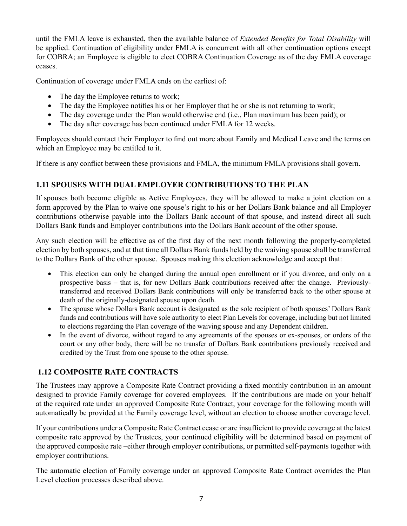until the FMLA leave is exhausted, then the available balance of *Extended Benefits for Total Disability* will be applied. Continuation of eligibility under FMLA is concurrent with all other continuation options except for COBRA; an Employee is eligible to elect COBRA Continuation Coverage as of the day FMLA coverage ceases.

Continuation of coverage under FMLA ends on the earliest of:

- The day the Employee returns to work;
- The day the Employee notifies his or her Employer that he or she is not returning to work;
- The day coverage under the Plan would otherwise end (i.e., Plan maximum has been paid); or
- The day after coverage has been continued under FMLA for 12 weeks.

Employees should contact their Employer to find out more about Family and Medical Leave and the terms on which an Employee may be entitled to it.

If there is any conflict between these provisions and FMLA, the minimum FMLA provisions shall govern.

### **1.11 SPOUSES WITH DUAL EMPLOYER CONTRIBUTIONS TO THE PLAN**

If spouses both become eligible as Active Employees, they will be allowed to make a joint election on a form approved by the Plan to waive one spouse's right to his or her Dollars Bank balance and all Employer contributions otherwise payable into the Dollars Bank account of that spouse, and instead direct all such Dollars Bank funds and Employer contributions into the Dollars Bank account of the other spouse.

Any such election will be effective as of the first day of the next month following the properly-completed election by both spouses, and at that time all Dollars Bank funds held by the waiving spouse shall be transferred to the Dollars Bank of the other spouse. Spouses making this election acknowledge and accept that:

- This election can only be changed during the annual open enrollment or if you divorce, and only on a prospective basis – that is, for new Dollars Bank contributions received after the change. Previouslytransferred and received Dollars Bank contributions will only be transferred back to the other spouse at death of the originally-designated spouse upon death.
- The spouse whose Dollars Bank account is designated as the sole recipient of both spouses' Dollars Bank funds and contributions will have sole authority to elect Plan Levels for coverage, including but not limited to elections regarding the Plan coverage of the waiving spouse and any Dependent children.
- In the event of divorce, without regard to any agreements of the spouses or ex-spouses, or orders of the court or any other body, there will be no transfer of Dollars Bank contributions previously received and credited by the Trust from one spouse to the other spouse.

#### **1.12 COMPOSITE RATE CONTRACTS**

The Trustees may approve a Composite Rate Contract providing a fixed monthly contribution in an amount designed to provide Family coverage for covered employees. If the contributions are made on your behalf at the required rate under an approved Composite Rate Contract, your coverage for the following month will automatically be provided at the Family coverage level, without an election to choose another coverage level.

If your contributions under a Composite Rate Contract cease or are insufficient to provide coverage at the latest composite rate approved by the Trustees, your continued eligibility will be determined based on payment of the approved composite rate –either through employer contributions, or permitted self-payments together with employer contributions.

The automatic election of Family coverage under an approved Composite Rate Contract overrides the Plan Level election processes described above.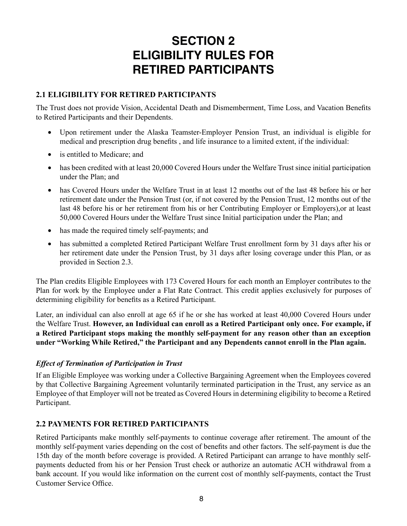# **SECTION 2 ELIGIBILITY RULES FOR RETIRED PARTICIPANTS**

### **2.1 ELIGIBILITY FOR RETIRED PARTICIPANTS**

The Trust does not provide Vision, Accidental Death and Dismemberment, Time Loss, and Vacation Benefits to Retired Participants and their Dependents.

- Upon retirement under the Alaska Teamster-Employer Pension Trust, an individual is eligible for medical and prescription drug benefits , and life insurance to a limited extent, if the individual:
- is entitled to Medicare; and
- has been credited with at least 20,000 Covered Hours under the Welfare Trust since initial participation under the Plan; and
- has Covered Hours under the Welfare Trust in at least 12 months out of the last 48 before his or her retirement date under the Pension Trust (or, if not covered by the Pension Trust, 12 months out of the last 48 before his or her retirement from his or her Contributing Employer or Employers),or at least 50,000 Covered Hours under the Welfare Trust since Initial participation under the Plan; and
- has made the required timely self-payments; and
- has submitted a completed Retired Participant Welfare Trust enrollment form by 31 days after his or her retirement date under the Pension Trust, by 31 days after losing coverage under this Plan, or as provided in Section 2.3.

The Plan credits Eligible Employees with 173 Covered Hours for each month an Employer contributes to the Plan for work by the Employee under a Flat Rate Contract. This credit applies exclusively for purposes of determining eligibility for benefits as a Retired Participant.

Later, an individual can also enroll at age 65 if he or she has worked at least 40,000 Covered Hours under the Welfare Trust. **However, an Individual can enroll as a Retired Participant only once. For example, if a Retired Participant stops making the monthly self-payment for any reason other than an exception under "Working While Retired," the Participant and any Dependents cannot enroll in the Plan again.**

# *Effect of Termination of Participation in Trust*

If an Eligible Employee was working under a Collective Bargaining Agreement when the Employees covered by that Collective Bargaining Agreement voluntarily terminated participation in the Trust, any service as an Employee of that Employer will not be treated as Covered Hours in determining eligibility to become a Retired Participant.

# **2.2 PAYMENTS FOR RETIRED PARTICIPANTS**

Retired Participants make monthly self-payments to continue coverage after retirement. The amount of the monthly self-payment varies depending on the cost of benefits and other factors. The self-payment is due the 15th day of the month before coverage is provided. A Retired Participant can arrange to have monthly selfpayments deducted from his or her Pension Trust check or authorize an automatic ACH withdrawal from a bank account. If you would like information on the current cost of monthly self-payments, contact the Trust Customer Service Office.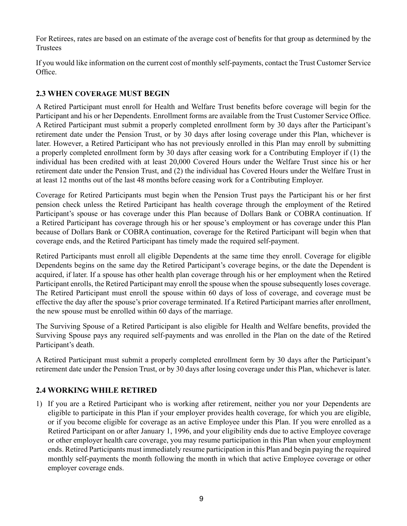For Retirees, rates are based on an estimate of the average cost of benefits for that group as determined by the Trustees

If you would like information on the current cost of monthly self-payments, contact the Trust Customer Service Office.

# **2.3 WHEN COVERAGE MUST BEGIN**

A Retired Participant must enroll for Health and Welfare Trust benefits before coverage will begin for the Participant and his or her Dependents. Enrollment forms are available from the Trust Customer Service Office. A Retired Participant must submit a properly completed enrollment form by 30 days after the Participant's retirement date under the Pension Trust, or by 30 days after losing coverage under this Plan, whichever is later. However, a Retired Participant who has not previously enrolled in this Plan may enroll by submitting a properly completed enrollment form by 30 days after ceasing work for a Contributing Employer if (1) the individual has been credited with at least 20,000 Covered Hours under the Welfare Trust since his or her retirement date under the Pension Trust, and (2) the individual has Covered Hours under the Welfare Trust in at least 12 months out of the last 48 months before ceasing work for a Contributing Employer.

Coverage for Retired Participants must begin when the Pension Trust pays the Participant his or her first pension check unless the Retired Participant has health coverage through the employment of the Retired Participant's spouse or has coverage under this Plan because of Dollars Bank or COBRA continuation. If a Retired Participant has coverage through his or her spouse's employment or has coverage under this Plan because of Dollars Bank or COBRA continuation, coverage for the Retired Participant will begin when that coverage ends, and the Retired Participant has timely made the required self-payment.

Retired Participants must enroll all eligible Dependents at the same time they enroll. Coverage for eligible Dependents begins on the same day the Retired Participant's coverage begins, or the date the Dependent is acquired, if later. If a spouse has other health plan coverage through his or her employment when the Retired Participant enrolls, the Retired Participant may enroll the spouse when the spouse subsequently loses coverage. The Retired Participant must enroll the spouse within 60 days of loss of coverage, and coverage must be effective the day after the spouse's prior coverage terminated. If a Retired Participant marries after enrollment, the new spouse must be enrolled within 60 days of the marriage.

The Surviving Spouse of a Retired Participant is also eligible for Health and Welfare benefits, provided the Surviving Spouse pays any required self-payments and was enrolled in the Plan on the date of the Retired Participant's death.

A Retired Participant must submit a properly completed enrollment form by 30 days after the Participant's retirement date under the Pension Trust, or by 30 days after losing coverage under this Plan, whichever is later.

# **2.4 WORKING WHILE RETIRED**

1) If you are a Retired Participant who is working after retirement, neither you nor your Dependents are eligible to participate in this Plan if your employer provides health coverage, for which you are eligible, or if you become eligible for coverage as an active Employee under this Plan. If you were enrolled as a Retired Participant on or after January 1, 1996, and your eligibility ends due to active Employee coverage or other employer health care coverage, you may resume participation in this Plan when your employment ends. Retired Participants must immediately resume participation in this Plan and begin paying the required monthly self-payments the month following the month in which that active Employee coverage or other employer coverage ends.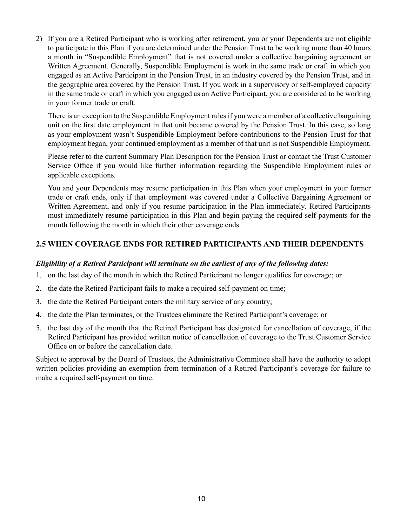2) If you are a Retired Participant who is working after retirement, you or your Dependents are not eligible to participate in this Plan if you are determined under the Pension Trust to be working more than 40 hours a month in "Suspendible Employment" that is not covered under a collective bargaining agreement or Written Agreement. Generally, Suspendible Employment is work in the same trade or craft in which you engaged as an Active Participant in the Pension Trust, in an industry covered by the Pension Trust, and in the geographic area covered by the Pension Trust. If you work in a supervisory or self-employed capacity in the same trade or craft in which you engaged as an Active Participant, you are considered to be working in your former trade or craft.

There is an exception to the Suspendible Employment rules if you were a member of a collective bargaining unit on the first date employment in that unit became covered by the Pension Trust. In this case, so long as your employment wasn't Suspendible Employment before contributions to the Pension Trust for that employment began, your continued employment as a member of that unit is not Suspendible Employment.

Please refer to the current Summary Plan Description for the Pension Trust or contact the Trust Customer Service Office if you would like further information regarding the Suspendible Employment rules or applicable exceptions.

You and your Dependents may resume participation in this Plan when your employment in your former trade or craft ends, only if that employment was covered under a Collective Bargaining Agreement or Written Agreement, and only if you resume participation in the Plan immediately*.* Retired Participants must immediately resume participation in this Plan and begin paying the required self-payments for the month following the month in which their other coverage ends.

### **2.5 WHEN COVERAGE ENDS FOR RETIRED PARTICIPANTS AND THEIR DEPENDENTS**

#### *Eligibility of a Retired Participant will terminate on the earliest of any of the following dates:*

- 1. on the last day of the month in which the Retired Participant no longer qualifies for coverage; or
- 2. the date the Retired Participant fails to make a required self-payment on time;
- 3. the date the Retired Participant enters the military service of any country;
- 4. the date the Plan terminates, or the Trustees eliminate the Retired Participant's coverage; or
- 5. the last day of the month that the Retired Participant has designated for cancellation of coverage, if the Retired Participant has provided written notice of cancellation of coverage to the Trust Customer Service Office on or before the cancellation date.

Subject to approval by the Board of Trustees, the Administrative Committee shall have the authority to adopt written policies providing an exemption from termination of a Retired Participant's coverage for failure to make a required self-payment on time.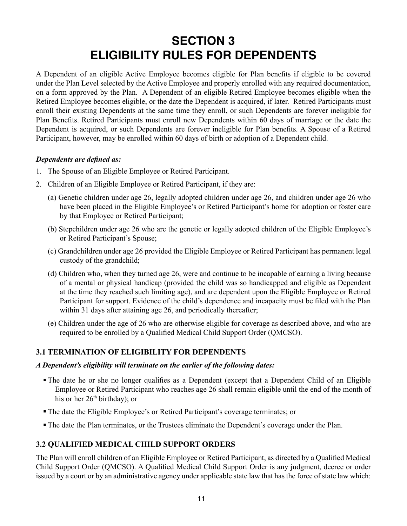# **SECTION 3 ELIGIBILITY RULES FOR DEPENDENTS**

A Dependent of an eligible Active Employee becomes eligible for Plan benefits if eligible to be covered under the Plan Level selected by the Active Employee and properly enrolled with any required documentation, on a form approved by the Plan. A Dependent of an eligible Retired Employee becomes eligible when the Retired Employee becomes eligible, or the date the Dependent is acquired, if later. Retired Participants must enroll their existing Dependents at the same time they enroll, or such Dependents are forever ineligible for Plan Benefits. Retired Participants must enroll new Dependents within 60 days of marriage or the date the Dependent is acquired, or such Dependents are forever ineligible for Plan benefits. A Spouse of a Retired Participant, however, may be enrolled within 60 days of birth or adoption of a Dependent child.

#### *Dependents are defined as:*

- 1. The Spouse of an Eligible Employee or Retired Participant.
- 2. Children of an Eligible Employee or Retired Participant, if they are:
	- (a) Genetic children under age 26, legally adopted children under age 26, and children under age 26 who have been placed in the Eligible Employee's or Retired Participant's home for adoption or foster care by that Employee or Retired Participant;
	- (b) Stepchildren under age 26 who are the genetic or legally adopted children of the Eligible Employee's or Retired Participant's Spouse;
	- (c) Grandchildren under age 26 provided the Eligible Employee or Retired Participant has permanent legal custody of the grandchild;
	- (d) Children who, when they turned age 26, were and continue to be incapable of earning a living because of a mental or physical handicap (provided the child was so handicapped and eligible as Dependent at the time they reached such limiting age), and are dependent upon the Eligible Employee or Retired Participant for support. Evidence of the child's dependence and incapacity must be filed with the Plan within 31 days after attaining age 26, and periodically thereafter;
	- (e) Children under the age of 26 who are otherwise eligible for coverage as described above, and who are required to be enrolled by a Qualified Medical Child Support Order (QMCSO).

#### **3.1 TERMINATION OF ELIGIBILITY FOR DEPENDENTS**

#### *A Dependent's eligibility will terminate on the earlier of the following dates:*

- The date he or she no longer qualifies as a Dependent (except that a Dependent Child of an Eligible Employee or Retired Participant who reaches age 26 shall remain eligible until the end of the month of his or her  $26<sup>th</sup>$  birthday); or
- The date the Eligible Employee's or Retired Participant's coverage terminates; or
- The date the Plan terminates, or the Trustees eliminate the Dependent's coverage under the Plan.

#### **3.2 QUALIFIED MEDICAL CHILD SUPPORT ORDERS**

The Plan will enroll children of an Eligible Employee or Retired Participant, as directed by a Qualified Medical Child Support Order (QMCSO). A Qualified Medical Child Support Order is any judgment, decree or order issued by a court or by an administrative agency under applicable state law that has the force of state law which: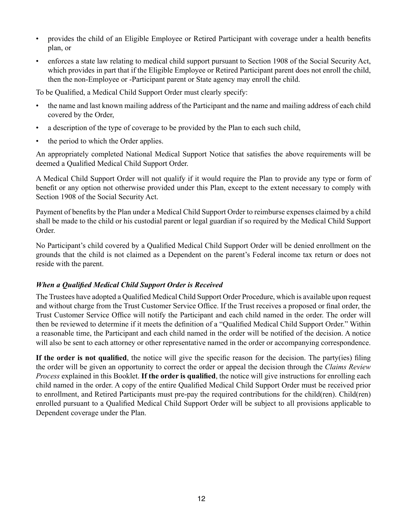- provides the child of an Eligible Employee or Retired Participant with coverage under a health benefits plan, or
- enforces a state law relating to medical child support pursuant to Section 1908 of the Social Security Act, which provides in part that if the Eligible Employee or Retired Participant parent does not enroll the child, then the non-Employee or -Participant parent or State agency may enroll the child.

To be Qualified, a Medical Child Support Order must clearly specify:

- the name and last known mailing address of the Participant and the name and mailing address of each child covered by the Order,
- a description of the type of coverage to be provided by the Plan to each such child,
- the period to which the Order applies.

An appropriately completed National Medical Support Notice that satisfies the above requirements will be deemed a Qualified Medical Child Support Order.

A Medical Child Support Order will not qualify if it would require the Plan to provide any type or form of benefit or any option not otherwise provided under this Plan, except to the extent necessary to comply with Section 1908 of the Social Security Act.

Payment of benefits by the Plan under a Medical Child Support Order to reimburse expenses claimed by a child shall be made to the child or his custodial parent or legal guardian if so required by the Medical Child Support Order.

No Participant's child covered by a Qualified Medical Child Support Order will be denied enrollment on the grounds that the child is not claimed as a Dependent on the parent's Federal income tax return or does not reside with the parent.

#### *When a Qualified Medical Child Support Order is Received*

The Trustees have adopted a Qualified Medical Child Support Order Procedure, which is available upon request and without charge from the Trust Customer Service Office. If the Trust receives a proposed or final order, the Trust Customer Service Office will notify the Participant and each child named in the order. The order will then be reviewed to determine if it meets the definition of a "Qualified Medical Child Support Order." Within a reasonable time, the Participant and each child named in the order will be notified of the decision. A notice will also be sent to each attorney or other representative named in the order or accompanying correspondence.

**If the order is not qualified**, the notice will give the specific reason for the decision. The party(ies) filing the order will be given an opportunity to correct the order or appeal the decision through the *Claims Review Process* explained in this Booklet. **If the order is qualified**, the notice will give instructions for enrolling each child named in the order. A copy of the entire Qualified Medical Child Support Order must be received prior to enrollment, and Retired Participants must pre-pay the required contributions for the child(ren). Child(ren) enrolled pursuant to a Qualified Medical Child Support Order will be subject to all provisions applicable to Dependent coverage under the Plan.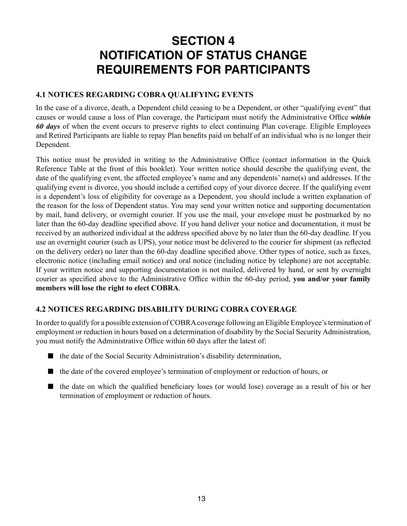# **SECTION 4 NOTIFICATION OF STATUS CHANGE REQUIREMENTS FOR PARTICIPANTS**

#### **4.1 NOTICES REGARDING COBRA QUALIFYING EVENTS**

In the case of a divorce, death, a Dependent child ceasing to be a Dependent, or other "qualifying event" that causes or would cause a loss of Plan coverage, the Participant must notify the Administrative Office *within 60 days* of when the event occurs to preserve rights to elect continuing Plan coverage. Eligible Employees and Retired Participants are liable to repay Plan benefits paid on behalf of an individual who is no longer their Dependent.

This notice must be provided in writing to the Administrative Office (contact information in the Quick Reference Table at the front of this booklet). Your written notice should describe the qualifying event, the date of the qualifying event, the affected employee's name and any dependents' name(s) and addresses. If the qualifying event is divorce, you should include a certified copy of your divorce decree. If the qualifying event is a dependent's loss of eligibility for coverage as a Dependent, you should include a written explanation of the reason for the loss of Dependent status. You may send your written notice and supporting documentation by mail, hand delivery, or overnight courier. If you use the mail, your envelope must be postmarked by no later than the 60-day deadline specified above. If you hand deliver your notice and documentation, it must be received by an authorized individual at the address specified above by no later than the 60-day deadline. If you use an overnight courier (such as UPS), your notice must be delivered to the courier for shipment (as reflected on the delivery order) no later than the 60-day deadline specified above. Other types of notice, such as faxes, electronic notice (including email notice) and oral notice (including notice by telephone) are not acceptable. If your written notice and supporting documentation is not mailed, delivered by hand, or sent by overnight courier as specified above to the Administrative Office within the 60-day period, **you and/or your family members will lose the right to elect COBRA**.

#### **4.2 NOTICES REGARDING DISABILITY DURING COBRA COVERAGE**

In order to qualify for a possible extension of COBRA coverage following an Eligible Employee's termination of employment or reduction in hours based on a determination of disability by the Social Security Administration, you must notify the Administrative Office within 60 days after the latest of:

- $\blacksquare$  the date of the Social Security Administration's disability determination,
- n the date of the covered employee's termination of employment or reduction of hours, or
- $\blacksquare$  the date on which the qualified beneficiary loses (or would lose) coverage as a result of his or her termination of employment or reduction of hours.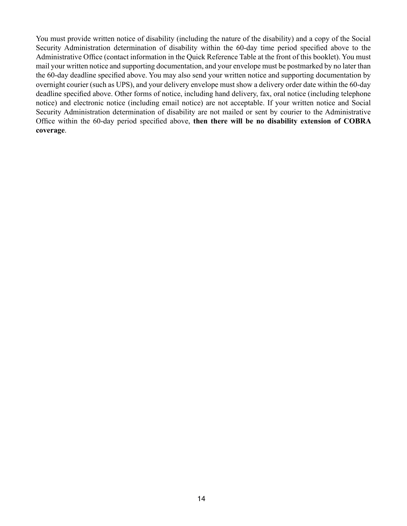You must provide written notice of disability (including the nature of the disability) and a copy of the Social Security Administration determination of disability within the 60-day time period specified above to the Administrative Office (contact information in the Quick Reference Table at the front of this booklet). You must mail your written notice and supporting documentation, and your envelope must be postmarked by no later than the 60-day deadline specified above. You may also send your written notice and supporting documentation by overnight courier (such as UPS), and your delivery envelope must show a delivery order date within the 60-day deadline specified above. Other forms of notice, including hand delivery, fax, oral notice (including telephone notice) and electronic notice (including email notice) are not acceptable. If your written notice and Social Security Administration determination of disability are not mailed or sent by courier to the Administrative Office within the 60-day period specified above, **then there will be no disability extension of COBRA coverage**.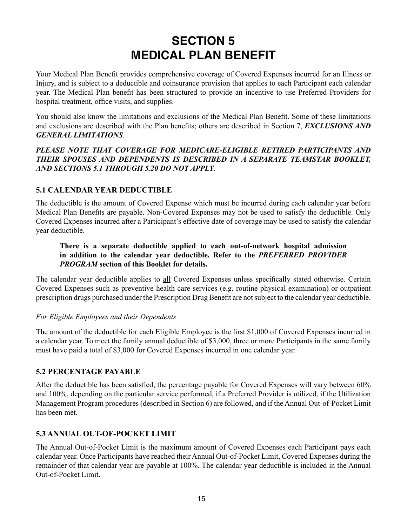# **SECTION 5 MEDICAL PLAN BENEFIT**

Your Medical Plan Benefit provides comprehensive coverage of Covered Expenses incurred for an Illness or Injury, and is subject to a deductible and coinsurance provision that applies to each Participant each calendar year. The Medical Plan benefit has been structured to provide an incentive to use Preferred Providers for hospital treatment, office visits, and supplies.

You should also know the limitations and exclusions of the Medical Plan Benefit. Some of these limitations and exclusions are described with the Plan benefits; others are described in Section 7, *EXCLUSIONS AND GENERAL LIMITATIONS*.

*PLEASE NOTE THAT COVERAGE FOR MEDICARE-ELIGIBLE RETIRED PARTICIPANTS AND THEIR SPOUSES AND DEPENDENTS IS DESCRIBED IN A SEPARATE TEAMSTAR BOOKLET, AND SECTIONS 5.1 THROUGH 5.20 DO NOT APPLY*.

### **5.1 CALENDAR YEAR DEDUCTIBLE**

The deductible is the amount of Covered Expense which must be incurred during each calendar year before Medical Plan Benefits are payable. Non-Covered Expenses may not be used to satisfy the deductible. Only Covered Expenses incurred after a Participant's effective date of coverage may be used to satisfy the calendar year deductible.

#### **There is a separate deductible applied to each out-of-network hospital admission in addition to the calendar year deductible. Refer to the** *PREFERRED PROVIDER PROGRAM* **section of this Booklet for details.**

The calendar year deductible applies to all Covered Expenses unless specifically stated otherwise. Certain Covered Expenses such as preventive health care services (e.g. routine physical examination) or outpatient prescription drugs purchased under the Prescription Drug Benefit are not subject to the calendar year deductible.

#### *For Eligible Employees and their Dependents*

The amount of the deductible for each Eligible Employee is the first \$1,000 of Covered Expenses incurred in a calendar year. To meet the family annual deductible of \$3,000, three or more Participants in the same family must have paid a total of \$3,000 for Covered Expenses incurred in one calendar year.

#### **5.2 PERCENTAGE PAYABLE**

After the deductible has been satisfied, the percentage payable for Covered Expenses will vary between 60% and 100%, depending on the particular service performed, if a Preferred Provider is utilized, if the Utilization Management Program procedures (described in Section 6) are followed, and if the Annual Out-of-Pocket Limit has been met.

# **5.3 ANNUAL OUT-OF-POCKET LIMIT**

The Annual Out-of-Pocket Limit is the maximum amount of Covered Expenses each Participant pays each calendar year. Once Participants have reached their Annual Out-of-Pocket Limit, Covered Expenses during the remainder of that calendar year are payable at 100%. The calendar year deductible is included in the Annual Out-of-Pocket Limit.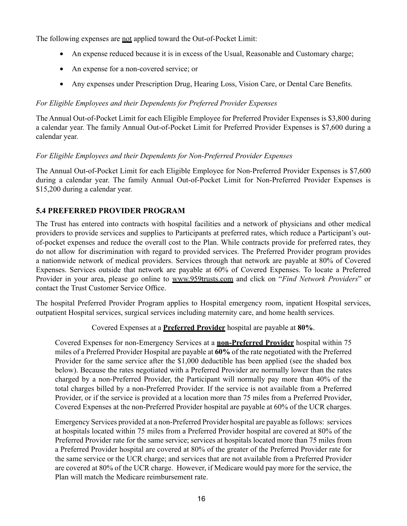The following expenses are <u>not</u> applied toward the Out-of-Pocket Limit:

- An expense reduced because it is in excess of the Usual, Reasonable and Customary charge;
- An expense for a non-covered service; or
- Any expenses under Prescription Drug, Hearing Loss, Vision Care, or Dental Care Benefits.

#### *For Eligible Employees and their Dependents for Preferred Provider Expenses*

The Annual Out-of-Pocket Limit for each Eligible Employee for Preferred Provider Expenses is \$3,800 during a calendar year. The family Annual Out-of-Pocket Limit for Preferred Provider Expenses is \$7,600 during a calendar year.

#### *For Eligible Employees and their Dependents for Non-Preferred Provider Expenses*

The Annual Out-of-Pocket Limit for each Eligible Employee for Non-Preferred Provider Expenses is \$7,600 during a calendar year. The family Annual Out-of-Pocket Limit for Non-Preferred Provider Expenses is \$15,200 during a calendar year.

#### **5.4 PREFERRED PROVIDER PROGRAM**

The Trust has entered into contracts with hospital facilities and a network of physicians and other medical providers to provide services and supplies to Participants at preferred rates, which reduce a Participant's outof-pocket expenses and reduce the overall cost to the Plan. While contracts provide for preferred rates, they do not allow for discrimination with regard to provided services. The Preferred Provider program provides a nationwide network of medical providers. Services through that network are payable at 80% of Covered Expenses. Services outside that network are payable at 60% of Covered Expenses. To locate a Preferred Provider in your area, please go online to www.959trusts.com and click on "*Find Network Providers*" or contact the Trust Customer Service Office.

The hospital Preferred Provider Program applies to Hospital emergency room, inpatient Hospital services, outpatient Hospital services, surgical services including maternity care, and home health services.

Covered Expenses at a **Preferred Provider** hospital are payable at **80%**.

Covered Expenses for non-Emergency Services at a **non-Preferred Provider** hospital within 75 miles of a Preferred Provider Hospital are payable at **60%** of the rate negotiated with the Preferred Provider for the same service after the \$1,000 deductible has been applied (see the shaded box below). Because the rates negotiated with a Preferred Provider are normally lower than the rates charged by a non-Preferred Provider, the Participant will normally pay more than 40% of the total charges billed by a non-Preferred Provider. If the service is not available from a Preferred Provider, or if the service is provided at a location more than 75 miles from a Preferred Provider, Covered Expenses at the non-Preferred Provider hospital are payable at 60% of the UCR charges.

Emergency Services provided at a non-Preferred Provider hospital are payable as follows: services at hospitals located within 75 miles from a Preferred Provider hospital are covered at 80% of the Preferred Provider rate for the same service; services at hospitals located more than 75 miles from a Preferred Provider hospital are covered at 80% of the greater of the Preferred Provider rate for the same service or the UCR charge; and services that are not available from a Preferred Provider are covered at 80% of the UCR charge. However, if Medicare would pay more for the service, the Plan will match the Medicare reimbursement rate.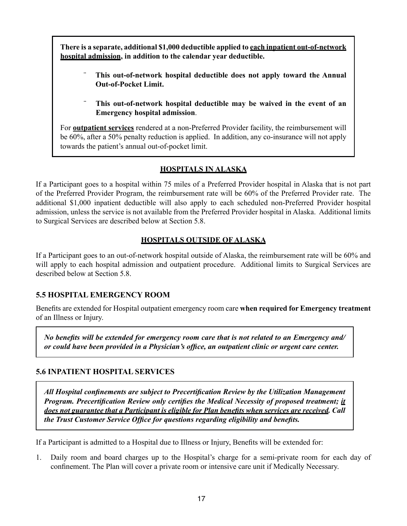**There is a separate, additional \$1,000 deductible applied to each inpatient out-of-network hospital admission, in addition to the calendar year deductible.**

- ¨ **This out-of-network hospital deductible does not apply toward the Annual Out-of-Pocket Limit.**
- This out-of-network hospital deductible may be waived in the event of an **Emergency hospital admission**.

For **outpatient services** rendered at a non-Preferred Provider facility, the reimbursement will be 60%, after a 50% penalty reduction is applied. In addition, any co-insurance will not apply towards the patient's annual out-of-pocket limit.

### **HOSPITALS IN ALASKA**

If a Participant goes to a hospital within 75 miles of a Preferred Provider hospital in Alaska that is not part of the Preferred Provider Program, the reimbursement rate will be 60% of the Preferred Provider rate. The additional \$1,000 inpatient deductible will also apply to each scheduled non-Preferred Provider hospital admission, unless the service is not available from the Preferred Provider hospital in Alaska. Additional limits to Surgical Services are described below at Section 5.8.

#### **HOSPITALS OUTSIDE OF ALASKA**

If a Participant goes to an out-of-network hospital outside of Alaska, the reimbursement rate will be 60% and will apply to each hospital admission and outpatient procedure. Additional limits to Surgical Services are described below at Section 5.8.

#### **5.5 HOSPITAL EMERGENCY ROOM**

Benefits are extended for Hospital outpatient emergency room care **when required for Emergency treatment** of an Illness or Injury.

*No benefits will be extended for emergency room care that is not related to an Emergency and/ or could have been provided in a Physician's office, an outpatient clinic or urgent care center.*

#### **5.6 INPATIENT HOSPITAL SERVICES**

*All Hospital confinements are subject to Precertification Review by the Utilization Management Program. Precertification Review only certifies the Medical Necessity of proposed treatment; it does not guarantee that a Participant is eligible for Plan benefits when services are received. Call the Trust Customer Service Office for questions regarding eligibility and benefits.*

If a Participant is admitted to a Hospital due to Illness or Injury, Benefits will be extended for:

1. Daily room and board charges up to the Hospital's charge for a semi-private room for each day of confinement. The Plan will cover a private room or intensive care unit if Medically Necessary.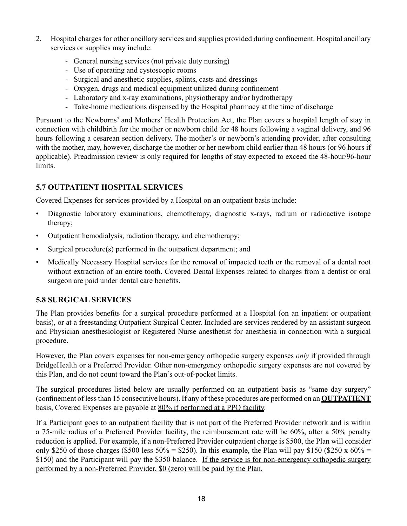- 2. Hospital charges for other ancillary services and supplies provided during confinement. Hospital ancillary services or supplies may include:
	- General nursing services (not private duty nursing)
	- Use of operating and cystoscopic rooms
	- Surgical and anesthetic supplies, splints, casts and dressings
	- Oxygen, drugs and medical equipment utilized during confinement
	- Laboratory and x-ray examinations, physiotherapy and/or hydrotherapy
	- Take-home medications dispensed by the Hospital pharmacy at the time of discharge

Pursuant to the Newborns' and Mothers' Health Protection Act, the Plan covers a hospital length of stay in connection with childbirth for the mother or newborn child for 48 hours following a vaginal delivery, and 96 hours following a cesarean section delivery. The mother's or newborn's attending provider, after consulting with the mother, may, however, discharge the mother or her newborn child earlier than 48 hours (or 96 hours if applicable). Preadmission review is only required for lengths of stay expected to exceed the 48-hour/96-hour limits.

# **5.7 OUTPATIENT HOSPITAL SERVICES**

Covered Expenses for services provided by a Hospital on an outpatient basis include:

- Diagnostic laboratory examinations, chemotherapy, diagnostic x-rays, radium or radioactive isotope therapy;
- Outpatient hemodialysis, radiation therapy, and chemotherapy;
- Surgical procedure(s) performed in the outpatient department; and
- Medically Necessary Hospital services for the removal of impacted teeth or the removal of a dental root without extraction of an entire tooth. Covered Dental Expenses related to charges from a dentist or oral surgeon are paid under dental care benefits.

# **5.8 SURGICAL SERVICES**

The Plan provides benefits for a surgical procedure performed at a Hospital (on an inpatient or outpatient basis), or at a freestanding Outpatient Surgical Center. Included are services rendered by an assistant surgeon and Physician anesthesiologist or Registered Nurse anesthetist for anesthesia in connection with a surgical procedure.

However, the Plan covers expenses for non-emergency orthopedic surgery expenses *only* if provided through BridgeHealth or a Preferred Provider. Other non-emergency orthopedic surgery expenses are not covered by this Plan, and do not count toward the Plan's out-of-pocket limits.

The surgical procedures listed below are usually performed on an outpatient basis as "same day surgery" (confinement of less than 15 consecutive hours). If any of these procedures are performed on an **OUTPATIENT** basis, Covered Expenses are payable at 80% if performed at a PPO facility.

If a Participant goes to an outpatient facility that is not part of the Preferred Provider network and is within a 75-mile radius of a Preferred Provider facility, the reimbursement rate will be 60%, after a 50% penalty reduction is applied. For example, if a non-Preferred Provider outpatient charge is \$500, the Plan will consider only \$250 of those charges (\$500 less 50% = \$250). In this example, the Plan will pay \$150 (\$250 x 60% = \$150) and the Participant will pay the \$350 balance. If the service is for non-emergency orthopedic surgery performed by a non-Preferred Provider, \$0 (zero) will be paid by the Plan.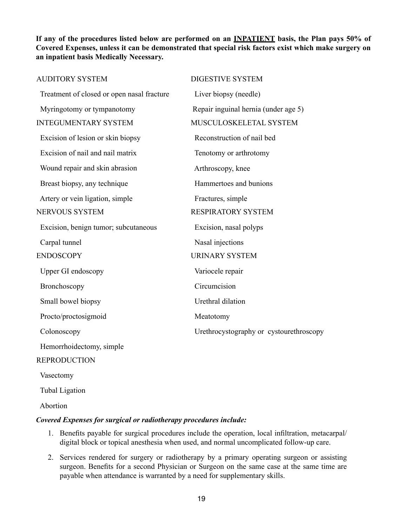**If any of the procedures listed below are performed on an INPATIENT basis, the Plan pays 50% of Covered Expenses, unless it can be demonstrated that special risk factors exist which make surgery on an inpatient basis Medically Necessary.**

| <b>AUDITORY SYSTEM</b>                     | <b>DIGESTIVE SYSTEM</b>                 |
|--------------------------------------------|-----------------------------------------|
| Treatment of closed or open nasal fracture | Liver biopsy (needle)                   |
| Myringotomy or tympanotomy                 | Repair inguinal hernia (under age 5)    |
| <b>INTEGUMENTARY SYSTEM</b>                | MUSCULOSKELETAL SYSTEM                  |
| Excision of lesion or skin biopsy          | Reconstruction of nail bed              |
| Excision of nail and nail matrix           | Tenotomy or arthrotomy                  |
| Wound repair and skin abrasion             | Arthroscopy, knee                       |
| Breast biopsy, any technique               | Hammertoes and bunions                  |
| Artery or vein ligation, simple            | Fractures, simple                       |
| NERVOUS SYSTEM                             | <b>RESPIRATORY SYSTEM</b>               |
| Excision, benign tumor; subcutaneous       | Excision, nasal polyps                  |
| Carpal tunnel                              | Nasal injections                        |
| <b>ENDOSCOPY</b>                           | <b>URINARY SYSTEM</b>                   |
| Upper GI endoscopy                         | Variocele repair                        |
| Bronchoscopy                               | Circumcision                            |
| Small bowel biopsy                         | Urethral dilation                       |
| Procto/proctosigmoid                       | Meatotomy                               |
| Colonoscopy                                | Urethrocystography or cystourethroscopy |
| Hemorrhoidectomy, simple                   |                                         |
| <b>REPRODUCTION</b>                        |                                         |
|                                            |                                         |

Vasectomy

Tubal Ligation

Abortion

#### *Covered Expenses for surgical or radiotherapy procedures include:*

- 1. Benefits payable for surgical procedures include the operation, local infiltration, metacarpal/ digital block or topical anesthesia when used, and normal uncomplicated follow-up care.
- 2. Services rendered for surgery or radiotherapy by a primary operating surgeon or assisting surgeon. Benefits for a second Physician or Surgeon on the same case at the same time are payable when attendance is warranted by a need for supplementary skills.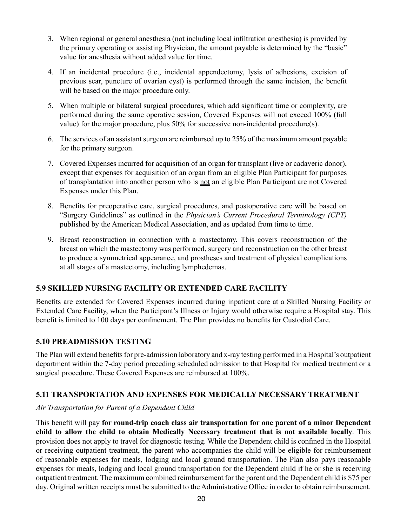- 3. When regional or general anesthesia (not including local infiltration anesthesia) is provided by the primary operating or assisting Physician, the amount payable is determined by the "basic" value for anesthesia without added value for time.
- 4. If an incidental procedure (i.e., incidental appendectomy, lysis of adhesions, excision of previous scar, puncture of ovarian cyst) is performed through the same incision, the benefit will be based on the major procedure only.
- 5. When multiple or bilateral surgical procedures, which add significant time or complexity, are performed during the same operative session, Covered Expenses will not exceed 100% (full value) for the major procedure, plus 50% for successive non-incidental procedure(s).
- 6. The services of an assistant surgeon are reimbursed up to 25% of the maximum amount payable for the primary surgeon.
- 7. Covered Expenses incurred for acquisition of an organ for transplant (live or cadaveric donor), except that expenses for acquisition of an organ from an eligible Plan Participant for purposes of transplantation into another person who is not an eligible Plan Participant are not Covered Expenses under this Plan.
- 8. Benefits for preoperative care, surgical procedures, and postoperative care will be based on "Surgery Guidelines" as outlined in the *Physician's Current Procedural Terminology (CPT)* published by the American Medical Association, and as updated from time to time.
- 9. Breast reconstruction in connection with a mastectomy. This covers reconstruction of the breast on which the mastectomy was performed, surgery and reconstruction on the other breast to produce a symmetrical appearance, and prostheses and treatment of physical complications at all stages of a mastectomy, including lymphedemas.

# **5.9 SKILLED NURSING FACILITY OR EXTENDED CARE FACILITY**

Benefits are extended for Covered Expenses incurred during inpatient care at a Skilled Nursing Facility or Extended Care Facility, when the Participant's Illness or Injury would otherwise require a Hospital stay. This benefit is limited to 100 days per confinement. The Plan provides no benefits for Custodial Care.

#### **5.10 PREADMISSION TESTING**

The Plan will extend benefits for pre-admission laboratory and x-ray testing performed in a Hospital's outpatient department within the 7-day period preceding scheduled admission to that Hospital for medical treatment or a surgical procedure. These Covered Expenses are reimbursed at 100%.

#### **5.11 TRANSPORTATION AND EXPENSES FOR MEDICALLY NECESSARY TREATMENT**

#### *Air Transportation for Parent of a Dependent Child*

This benefit will pay **for round-trip coach class air transportation for one parent of a minor Dependent child to allow the child to obtain Medically Necessary treatment that is not available locally**. This provision does not apply to travel for diagnostic testing. While the Dependent child is confined in the Hospital or receiving outpatient treatment, the parent who accompanies the child will be eligible for reimbursement of reasonable expenses for meals, lodging and local ground transportation. The Plan also pays reasonable expenses for meals, lodging and local ground transportation for the Dependent child if he or she is receiving outpatient treatment. The maximum combined reimbursement for the parent and the Dependent child is \$75 per day. Original written receipts must be submitted to the Administrative Office in order to obtain reimbursement.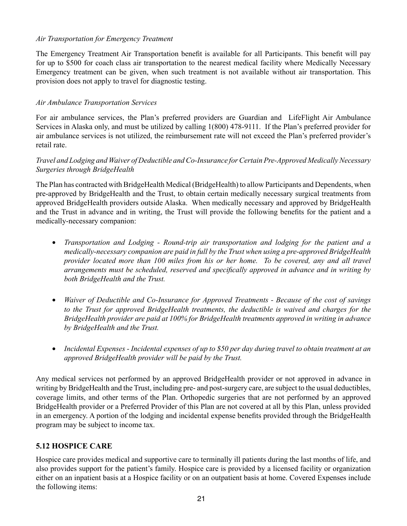#### *Air Transportation for Emergency Treatment*

The Emergency Treatment Air Transportation benefit is available for all Participants. This benefit will pay for up to \$500 for coach class air transportation to the nearest medical facility where Medically Necessary Emergency treatment can be given, when such treatment is not available without air transportation. This provision does not apply to travel for diagnostic testing.

#### *Air Ambulance Transportation Services*

For air ambulance services, the Plan's preferred providers are Guardian and LifeFlight Air Ambulance Services in Alaska only, and must be utilized by calling 1(800) 478-9111. If the Plan's preferred provider for air ambulance services is not utilized, the reimbursement rate will not exceed the Plan's preferred provider's retail rate.

#### *Travel and Lodging and Waiver of Deductible and Co-Insurance for Certain Pre-Approved Medically Necessary Surgeries through BridgeHealth*

The Plan has contracted with BridgeHealth Medical (BridgeHealth) to allow Participants and Dependents, when pre-approved by BridgeHealth and the Trust, to obtain certain medically necessary surgical treatments from approved BridgeHealth providers outside Alaska. When medically necessary and approved by BridgeHealth and the Trust in advance and in writing, the Trust will provide the following benefits for the patient and a medically-necessary companion:

- • *Transportation and Lodging Round-trip air transportation and lodging for the patient and a medically-necessary companion are paid in full by the Trust when using a pre-approved BridgeHealth provider located more than 100 miles from his or her home. To be covered, any and all travel arrangements must be scheduled, reserved and specifically approved in advance and in writing by both BridgeHealth and the Trust.*
- • *Waiver of Deductible and Co-Insurance for Approved Treatments Because of the cost of savings to the Trust for approved BridgeHealth treatments, the deductible is waived and charges for the BridgeHealth provider are paid at 100% for BridgeHealth treatments approved in writing in advance by BridgeHealth and the Trust.*
- • *Incidental Expenses Incidental expenses of up to \$50 per day during travel to obtain treatment at an approved BridgeHealth provider will be paid by the Trust.*

Any medical services not performed by an approved BridgeHealth provider or not approved in advance in writing by BridgeHealth and the Trust, including pre- and post-surgery care, are subject to the usual deductibles, coverage limits, and other terms of the Plan. Orthopedic surgeries that are not performed by an approved BridgeHealth provider or a Preferred Provider of this Plan are not covered at all by this Plan, unless provided in an emergency. A portion of the lodging and incidental expense benefits provided through the BridgeHealth program may be subject to income tax.

#### **5.12 HOSPICE CARE**

Hospice care provides medical and supportive care to terminally ill patients during the last months of life, and also provides support for the patient's family. Hospice care is provided by a licensed facility or organization either on an inpatient basis at a Hospice facility or on an outpatient basis at home. Covered Expenses include the following items: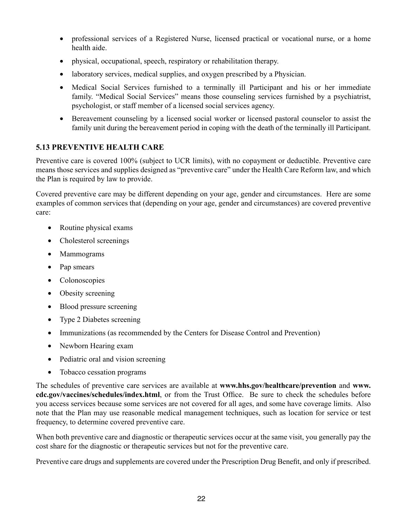- professional services of a Registered Nurse, licensed practical or vocational nurse, or a home health aide.
- physical, occupational, speech, respiratory or rehabilitation therapy.
- laboratory services, medical supplies, and oxygen prescribed by a Physician.
- Medical Social Services furnished to a terminally ill Participant and his or her immediate family. "Medical Social Services" means those counseling services furnished by a psychiatrist, psychologist, or staff member of a licensed social services agency.
- Bereavement counseling by a licensed social worker or licensed pastoral counselor to assist the family unit during the bereavement period in coping with the death of the terminally ill Participant.

## **5.13 PREVENTIVE HEALTH CARE**

Preventive care is covered 100% (subject to UCR limits), with no copayment or deductible. Preventive care means those services and supplies designed as "preventive care" under the Health Care Reform law, and which the Plan is required by law to provide.

Covered preventive care may be different depending on your age, gender and circumstances. Here are some examples of common services that (depending on your age, gender and circumstances) are covered preventive care:

- Routine physical exams
- Cholesterol screenings
- Mammograms
- Pap smears
- Colonoscopies
- Obesity screening
- Blood pressure screening
- Type 2 Diabetes screening
- Immunizations (as recommended by the Centers for Disease Control and Prevention)
- Newborn Hearing exam
- Pediatric oral and vision screening
- Tobacco cessation programs

The schedules of preventive care services are available at **www.hhs.gov/healthcare/prevention** and **www. cdc.gov/vaccines/schedules/index.html**, or from the Trust Office. Be sure to check the schedules before you access services because some services are not covered for all ages, and some have coverage limits. Also note that the Plan may use reasonable medical management techniques, such as location for service or test frequency, to determine covered preventive care.

When both preventive care and diagnostic or therapeutic services occur at the same visit, you generally pay the cost share for the diagnostic or therapeutic services but not for the preventive care.

Preventive care drugs and supplements are covered under the Prescription Drug Benefit, and only if prescribed.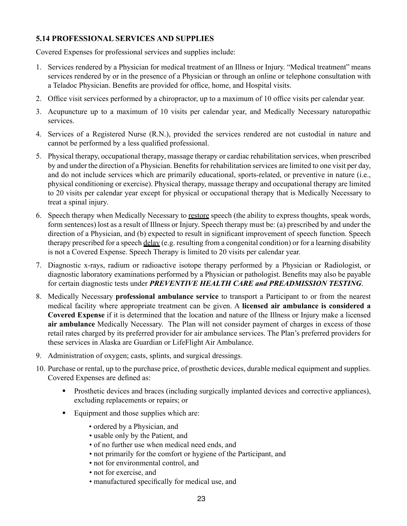## **5.14 PROFESSIONAL SERVICES AND SUPPLIES**

Covered Expenses for professional services and supplies include:

- 1. Services rendered by a Physician for medical treatment of an Illness or Injury. "Medical treatment" means services rendered by or in the presence of a Physician or through an online or telephone consultation with a Teladoc Physician. Benefits are provided for office, home, and Hospital visits.
- 2. Office visit services performed by a chiropractor, up to a maximum of 10 office visits per calendar year.
- 3. Acupuncture up to a maximum of 10 visits per calendar year, and Medically Necessary naturopathic services.
- 4. Services of a Registered Nurse (R.N.), provided the services rendered are not custodial in nature and cannot be performed by a less qualified professional.
- 5. Physical therapy, occupational therapy, massage therapy or cardiac rehabilitation services, when prescribed by and under the direction of a Physician. Benefits for rehabilitation services are limited to one visit per day, and do not include services which are primarily educational, sports-related, or preventive in nature (i.e., physical conditioning or exercise). Physical therapy, massage therapy and occupational therapy are limited to 20 visits per calendar year except for physical or occupational therapy that is Medically Necessary to treat a spinal injury.
- 6. Speech therapy when Medically Necessary to restore speech (the ability to express thoughts, speak words, form sentences) lost as a result of Illness or Injury. Speech therapy must be: (a) prescribed by and under the direction of a Physician, and (b) expected to result in significant improvement of speech function. Speech therapy prescribed for a speech delay (e.g. resulting from a congenital condition) or for a learning disability is not a Covered Expense. Speech Therapy is limited to 20 visits per calendar year.
- 7. Diagnostic x-rays, radium or radioactive isotope therapy performed by a Physician or Radiologist, or diagnostic laboratory examinations performed by a Physician or pathologist. Benefits may also be payable for certain diagnostic tests under *PREVENTIVE HEALTH CARE and PREADMISSION TESTING*.
- 8. Medically Necessary **professional ambulance service** to transport a Participant to or from the nearest medical facility where appropriate treatment can be given. A **licensed air ambulance is considered a Covered Expense** if it is determined that the location and nature of the Illness or Injury make a licensed **air ambulance** Medically Necessary. The Plan will not consider payment of charges in excess of those retail rates charged by its preferred provider for air ambulance services. The Plan's preferred providers for these services in Alaska are Guardian or LifeFlight Air Ambulance.
- 9. Administration of oxygen; casts, splints, and surgical dressings.
- 10. Purchase or rental, up to the purchase price, of prosthetic devices, durable medical equipment and supplies. Covered Expenses are defined as:
	- **Prosthetic devices and braces (including surgically implanted devices and corrective appliances),** excluding replacements or repairs; or
	- Equipment and those supplies which are:
		- ordered by a Physician, and
		- usable only by the Patient, and
		- of no further use when medical need ends, and
		- not primarily for the comfort or hygiene of the Participant, and
		- not for environmental control, and
		- not for exercise, and
		- manufactured specifically for medical use, and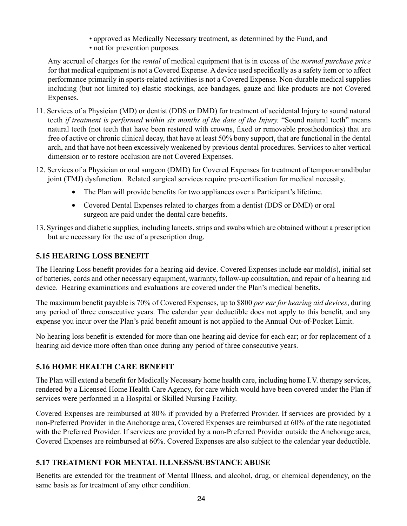- approved as Medically Necessary treatment, as determined by the Fund, and
- not for prevention purposes.

Any accrual of charges for the *rental* of medical equipment that is in excess of the *normal purchase price* for that medical equipment is not a Covered Expense. A device used specifically as a safety item or to affect performance primarily in sports-related activities is not a Covered Expense. Non-durable medical supplies including (but not limited to) elastic stockings, ace bandages, gauze and like products are not Covered Expenses.

- 11. Services of a Physician (MD) or dentist (DDS or DMD) for treatment of accidental Injury to sound natural teeth *if treatment is performed within six months of the date of the Injury.* "Sound natural teeth" means natural teeth (not teeth that have been restored with crowns, fixed or removable prosthodontics) that are free of active or chronic clinical decay, that have at least 50% bony support, that are functional in the dental arch, and that have not been excessively weakened by previous dental procedures. Services to alter vertical dimension or to restore occlusion are not Covered Expenses.
- 12. Services of a Physician or oral surgeon (DMD) for Covered Expenses for treatment of temporomandibular joint (TMJ) dysfunction. Related surgical services require pre-certification for medical necessity.
	- The Plan will provide benefits for two appliances over a Participant's lifetime.
	- Covered Dental Expenses related to charges from a dentist (DDS or DMD) or oral surgeon are paid under the dental care benefits.
- 13. Syringes and diabetic supplies, including lancets, strips and swabs which are obtained without a prescription but are necessary for the use of a prescription drug.

# **5.15 HEARING LOSS BENEFIT**

The Hearing Loss benefit provides for a hearing aid device. Covered Expenses include ear mold(s), initial set of batteries, cords and other necessary equipment, warranty, follow-up consultation, and repair of a hearing aid device. Hearing examinations and evaluations are covered under the Plan's medical benefits.

The maximum benefit payable is 70% of Covered Expenses, up to \$800 *per ear for hearing aid devices*, during any period of three consecutive years. The calendar year deductible does not apply to this benefit, and any expense you incur over the Plan's paid benefit amount is not applied to the Annual Out-of-Pocket Limit.

No hearing loss benefit is extended for more than one hearing aid device for each ear; or for replacement of a hearing aid device more often than once during any period of three consecutive years.

# **5.16 HOME HEALTH CARE BENEFIT**

The Plan will extend a benefit for Medically Necessary home health care, including home I.V. therapy services, rendered by a Licensed Home Health Care Agency, for care which would have been covered under the Plan if services were performed in a Hospital or Skilled Nursing Facility.

Covered Expenses are reimbursed at 80% if provided by a Preferred Provider. If services are provided by a non-Preferred Provider in the Anchorage area, Covered Expenses are reimbursed at 60% of the rate negotiated with the Preferred Provider. If services are provided by a non-Preferred Provider outside the Anchorage area, Covered Expenses are reimbursed at 60%. Covered Expenses are also subject to the calendar year deductible.

## **5.17 TREATMENT FOR MENTAL ILLNESS/SUBSTANCE ABUSE**

Benefits are extended for the treatment of Mental Illness, and alcohol, drug, or chemical dependency, on the same basis as for treatment of any other condition.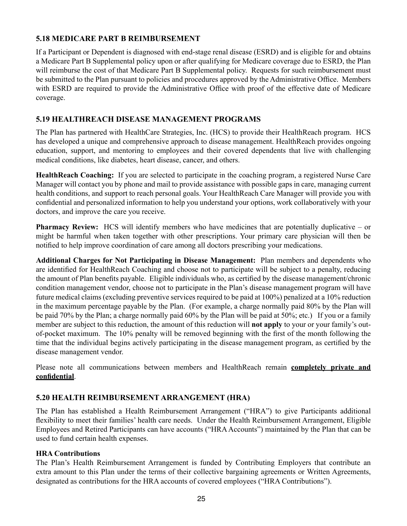## **5.18 MEDICARE PART B REIMBURSEMENT**

If a Participant or Dependent is diagnosed with end-stage renal disease (ESRD) and is eligible for and obtains a Medicare Part B Supplemental policy upon or after qualifying for Medicare coverage due to ESRD, the Plan will reimburse the cost of that Medicare Part B Supplemental policy. Requests for such reimbursement must be submitted to the Plan pursuant to policies and procedures approved by the Administrative Office. Members with ESRD are required to provide the Administrative Office with proof of the effective date of Medicare coverage.

## **5.19 HEALTHREACH DISEASE MANAGEMENT PROGRAMS**

The Plan has partnered with HealthCare Strategies, Inc. (HCS) to provide their HealthReach program. HCS has developed a unique and comprehensive approach to disease management. HealthReach provides ongoing education, support, and mentoring to employees and their covered dependents that live with challenging medical conditions, like diabetes, heart disease, cancer, and others.

**HealthReach Coaching:** If you are selected to participate in the coaching program, a registered Nurse Care Manager will contact you by phone and mail to provide assistance with possible gaps in care, managing current health conditions, and support to reach personal goals. Your HealthReach Care Manager will provide you with confidential and personalized information to help you understand your options, work collaboratively with your doctors, and improve the care you receive.

**Pharmacy Review:** HCS will identify members who have medicines that are potentially duplicative – or might be harmful when taken together with other prescriptions. Your primary care physician will then be notified to help improve coordination of care among all doctors prescribing your medications.

**Additional Charges for Not Participating in Disease Management:** Plan members and dependents who are identified for HealthReach Coaching and choose not to participate will be subject to a penalty, reducing the amount of Plan benefits payable. Eligible individuals who, as certified by the disease management/chronic condition management vendor, choose not to participate in the Plan's disease management program will have future medical claims (excluding preventive services required to be paid at 100%) penalized at a 10% reduction in the maximum percentage payable by the Plan. (For example, a charge normally paid 80% by the Plan will be paid 70% by the Plan; a charge normally paid 60% by the Plan will be paid at 50%; etc.) If you or a family member are subject to this reduction, the amount of this reduction will **not apply** to your or your family's outof-pocket maximum. The 10% penalty will be removed beginning with the first of the month following the time that the individual begins actively participating in the disease management program, as certified by the disease management vendor.

Please note all communications between members and HealthReach remain **completely private and confidential**.

## **5.20 HEALTH REIMBURSEMENT ARRANGEMENT (HRA)**

The Plan has established a Health Reimbursement Arrangement ("HRA") to give Participants additional flexibility to meet their families' health care needs. Under the Health Reimbursement Arrangement, Eligible Employees and Retired Participants can have accounts ("HRA Accounts") maintained by the Plan that can be used to fund certain health expenses.

#### **HRA Contributions**

The Plan's Health Reimbursement Arrangement is funded by Contributing Employers that contribute an extra amount to this Plan under the terms of their collective bargaining agreements or Written Agreements, designated as contributions for the HRA accounts of covered employees ("HRA Contributions").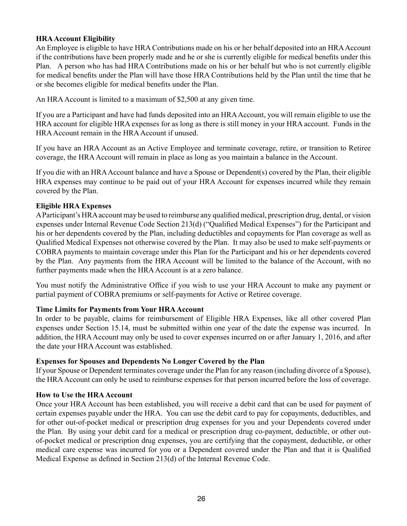## **HRA Account Eligibility**

An Employee is eligible to have HRA Contributions made on his or her behalf deposited into an HRA Account if the contributions have been properly made and he or she is currently eligible for medical benefits under this Plan. A person who has had HRA Contributions made on his or her behalf but who is not currently eligible for medical benefits under the Plan will have those HRA Contributions held by the Plan until the time that he or she becomes eligible for medical benefits under the Plan.

An HRA Account is limited to a maximum of \$2,500 at any given time.

If you are a Participant and have had funds deposited into an HRA Account, you will remain eligible to use the HRA account for eligible HRA expenses for as long as there is still money in your HRA account. Funds in the HRA Account remain in the HRA Account if unused.

If you have an HRA Account as an Active Employee and terminate coverage, retire, or transition to Retiree coverage, the HRA Account will remain in place as long as you maintain a balance in the Account.

If you die with an HRA Account balance and have a Spouse or Dependent(s) covered by the Plan, their eligible HRA expenses may continue to be paid out of your HRA Account for expenses incurred while they remain covered by the Plan.

#### **Eligible HRA Expenses**

A Participant's HRA account may be used to reimburse any qualified medical, prescription drug, dental, or vision expenses under Internal Revenue Code Section 213(d) ("Qualified Medical Expenses") for the Participant and his or her dependents covered by the Plan, including deductibles and copayments for Plan coverage as well as Qualified Medical Expenses not otherwise covered by the Plan. It may also be used to make self-payments or COBRA payments to maintain coverage under this Plan for the Participant and his or her dependents covered by the Plan. Any payments from the HRA Account will be limited to the balance of the Account, with no further payments made when the HRA Account is at a zero balance.

You must notify the Administrative Office if you wish to use your HRA Account to make any payment or partial payment of COBRA premiums or self-payments for Active or Retiree coverage.

#### **Time Limits for Payments from Your HRA Account**

In order to be payable, claims for reimbursement of Eligible HRA Expenses, like all other covered Plan expenses under Section 15.14, must be submitted within one year of the date the expense was incurred. In addition, the HRA Account may only be used to cover expenses incurred on or after January 1, 2016, and after the date your HRA Account was established.

#### **Expenses for Spouses and Dependents No Longer Covered by the Plan**

If your Spouse or Dependent terminates coverage under the Plan for any reason (including divorce of a Spouse), the HRA Account can only be used to reimburse expenses for that person incurred before the loss of coverage.

#### **How to Use the HRA Account**

Once your HRA Account has been established, you will receive a debit card that can be used for payment of certain expenses payable under the HRA. You can use the debit card to pay for copayments, deductibles, and for other out-of-pocket medical or prescription drug expenses for you and your Dependents covered under the Plan. By using your debit card for a medical or prescription drug co-payment, deductible, or other outof-pocket medical or prescription drug expenses, you are certifying that the copayment, deductible, or other medical care expense was incurred for you or a Dependent covered under the Plan and that it is Qualified Medical Expense as defined in Section 213(d) of the Internal Revenue Code.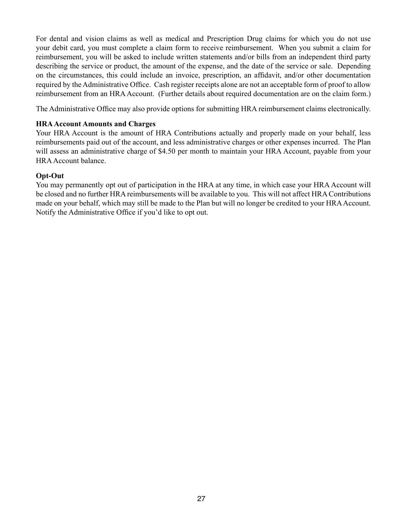For dental and vision claims as well as medical and Prescription Drug claims for which you do not use your debit card, you must complete a claim form to receive reimbursement. When you submit a claim for reimbursement, you will be asked to include written statements and/or bills from an independent third party describing the service or product, the amount of the expense, and the date of the service or sale. Depending on the circumstances, this could include an invoice, prescription, an affidavit, and/or other documentation required by the Administrative Office. Cash register receipts alone are not an acceptable form of proof to allow reimbursement from an HRA Account. (Further details about required documentation are on the claim form.)

The Administrative Office may also provide options for submitting HRA reimbursement claims electronically.

#### **HRA Account Amounts and Charges**

Your HRA Account is the amount of HRA Contributions actually and properly made on your behalf, less reimbursements paid out of the account, and less administrative charges or other expenses incurred. The Plan will assess an administrative charge of \$4.50 per month to maintain your HRA Account, payable from your HRA Account balance.

#### **Opt-Out**

You may permanently opt out of participation in the HRA at any time, in which case your HRA Account will be closed and no further HRA reimbursements will be available to you. This will not affect HRA Contributions made on your behalf, which may still be made to the Plan but will no longer be credited to your HRA Account. Notify the Administrative Office if you'd like to opt out.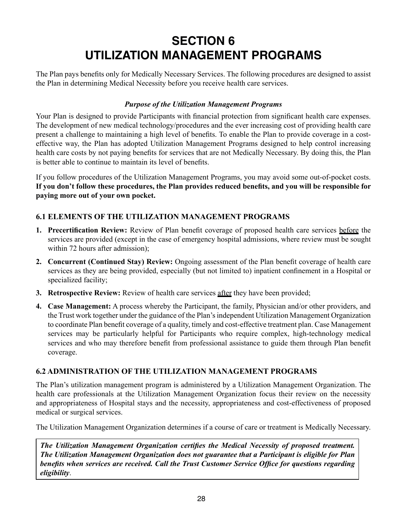# **SECTION 6 UTILIZATION MANAGEMENT PROGRAMS**

The Plan pays benefits only for Medically Necessary Services. The following procedures are designed to assist the Plan in determining Medical Necessity before you receive health care services.

## *Purpose of the Utilization Management Programs*

Your Plan is designed to provide Participants with financial protection from significant health care expenses. The development of new medical technology/procedures and the ever increasing cost of providing health care present a challenge to maintaining a high level of benefits. To enable the Plan to provide coverage in a costeffective way, the Plan has adopted Utilization Management Programs designed to help control increasing health care costs by not paying benefits for services that are not Medically Necessary. By doing this, the Plan is better able to continue to maintain its level of benefits.

If you follow procedures of the Utilization Management Programs, you may avoid some out-of-pocket costs. **If you don't follow these procedures, the Plan provides reduced benefits, and you will be responsible for paying more out of your own pocket.**

# **6.1 ELEMENTS OF THE UTILIZATION MANAGEMENT PROGRAMS**

- **1. Precertification Review:** Review of Plan benefit coverage of proposed health care services before the services are provided (except in the case of emergency hospital admissions, where review must be sought within 72 hours after admission);
- **2. Concurrent (Continued Stay) Review:** Ongoing assessment of the Plan benefit coverage of health care services as they are being provided, especially (but not limited to) inpatient confinement in a Hospital or specialized facility;
- **3. Retrospective Review:** Review of health care services after they have been provided;
- **4. Case Management:** A process whereby the Participant, the family, Physician and/or other providers, and the Trust work together under the guidance of the Plan's independent Utilization Management Organization to coordinate Plan benefit coverage of a quality, timely and cost-effective treatment plan. Case Management services may be particularly helpful for Participants who require complex, high-technology medical services and who may therefore benefit from professional assistance to guide them through Plan benefit coverage.

# **6.2 ADMINISTRATION OF THE UTILIZATION MANAGEMENT PROGRAMS**

The Plan's utilization management program is administered by a Utilization Management Organization. The health care professionals at the Utilization Management Organization focus their review on the necessity and appropriateness of Hospital stays and the necessity, appropriateness and cost-effectiveness of proposed medical or surgical services.

The Utilization Management Organization determines if a course of care or treatment is Medically Necessary.

*The Utilization Management Organization certifies the Medical Necessity of proposed treatment. The Utilization Management Organization does not guarantee that a Participant is eligible for Plan benefits when services are received. Call the Trust Customer Service Office for questions regarding eligibility*.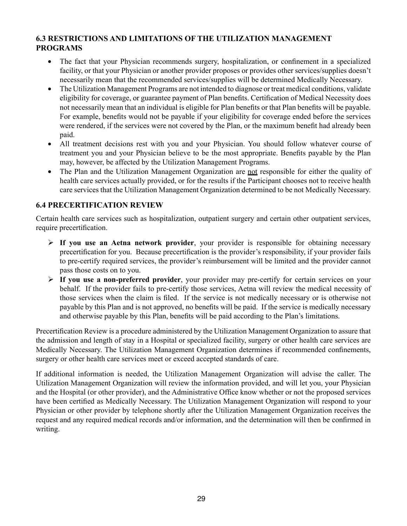# **6.3 RESTRICTIONS AND LIMITATIONS OF THE UTILIZATION MANAGEMENT PROGRAMS**

- The fact that your Physician recommends surgery, hospitalization, or confinement in a specialized facility, or that your Physician or another provider proposes or provides other services/supplies doesn't necessarily mean that the recommended services/supplies will be determined Medically Necessary.
- The Utilization Management Programs are not intended to diagnose or treat medical conditions, validate eligibility for coverage, or guarantee payment of Plan benefits. Certification of Medical Necessity does not necessarily mean that an individual is eligible for Plan benefits or that Plan benefits will be payable. For example, benefits would not be payable if your eligibility for coverage ended before the services were rendered, if the services were not covered by the Plan, or the maximum benefit had already been paid.
- All treatment decisions rest with you and your Physician. You should follow whatever course of treatment you and your Physician believe to be the most appropriate. Benefits payable by the Plan may, however, be affected by the Utilization Management Programs.
- The Plan and the Utilization Management Organization are not responsible for either the quality of health care services actually provided, or for the results if the Participant chooses not to receive health care services that the Utilization Management Organization determined to be not Medically Necessary.

# **6.4 PRECERTIFICATION REVIEW**

Certain health care services such as hospitalization, outpatient surgery and certain other outpatient services, require precertification.

- **If you use an Aetna network provider**, your provider is responsible for obtaining necessary precertification for you. Because precertification is the provider's responsibility, if your provider fails to pre-certify required services, the provider's reimbursement will be limited and the provider cannot pass those costs on to you.
- **If you use a non-preferred provider**, your provider may pre-certify for certain services on your behalf. If the provider fails to pre-certify those services, Aetna will review the medical necessity of those services when the claim is filed. If the service is not medically necessary or is otherwise not payable by this Plan and is not approved, no benefits will be paid. If the service is medically necessary and otherwise payable by this Plan, benefits will be paid according to the Plan's limitations.

Precertification Review is a procedure administered by the Utilization Management Organization to assure that the admission and length of stay in a Hospital or specialized facility, surgery or other health care services are Medically Necessary. The Utilization Management Organization determines if recommended confinements, surgery or other health care services meet or exceed accepted standards of care.

If additional information is needed, the Utilization Management Organization will advise the caller. The Utilization Management Organization will review the information provided, and will let you, your Physician and the Hospital (or other provider), and the Administrative Office know whether or not the proposed services have been certified as Medically Necessary. The Utilization Management Organization will respond to your Physician or other provider by telephone shortly after the Utilization Management Organization receives the request and any required medical records and/or information, and the determination will then be confirmed in writing.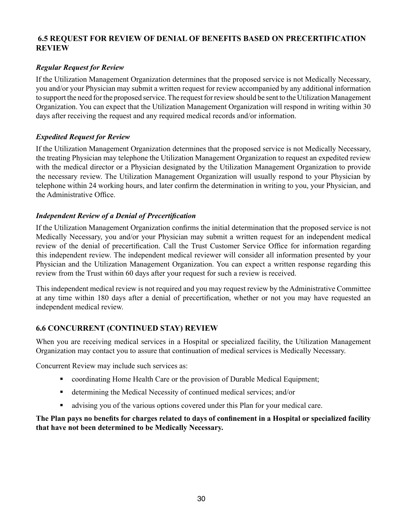## **6.5 REQUEST FOR REVIEW OF DENIAL OF BENEFITS BASED ON PRECERTIFICATION REVIEW**

## *Regular Request for Review*

If the Utilization Management Organization determines that the proposed service is not Medically Necessary, you and/or your Physician may submit a written request for review accompanied by any additional information to support the need for the proposed service. The request for review should be sent to the Utilization Management Organization. You can expect that the Utilization Management Organization will respond in writing within 30 days after receiving the request and any required medical records and/or information.

## *Expedited Request for Review*

If the Utilization Management Organization determines that the proposed service is not Medically Necessary, the treating Physician may telephone the Utilization Management Organization to request an expedited review with the medical director or a Physician designated by the Utilization Management Organization to provide the necessary review. The Utilization Management Organization will usually respond to your Physician by telephone within 24 working hours, and later confirm the determination in writing to you, your Physician, and the Administrative Office.

## *Independent Review of a Denial of Precertification*

If the Utilization Management Organization confirms the initial determination that the proposed service is not Medically Necessary, you and/or your Physician may submit a written request for an independent medical review of the denial of precertification. Call the Trust Customer Service Office for information regarding this independent review. The independent medical reviewer will consider all information presented by your Physician and the Utilization Management Organization. You can expect a written response regarding this review from the Trust within 60 days after your request for such a review is received.

This independent medical review is not required and you may request review by the Administrative Committee at any time within 180 days after a denial of precertification, whether or not you may have requested an independent medical review.

# **6.6 CONCURRENT (CONTINUED STAY) REVIEW**

When you are receiving medical services in a Hospital or specialized facility, the Utilization Management Organization may contact you to assure that continuation of medical services is Medically Necessary.

Concurrent Review may include such services as:

- coordinating Home Health Care or the provision of Durable Medical Equipment;
- determining the Medical Necessity of continued medical services; and/or
- advising you of the various options covered under this Plan for your medical care.

## **The Plan pays no benefits for charges related to days of confinement in a Hospital or specialized facility that have not been determined to be Medically Necessary.**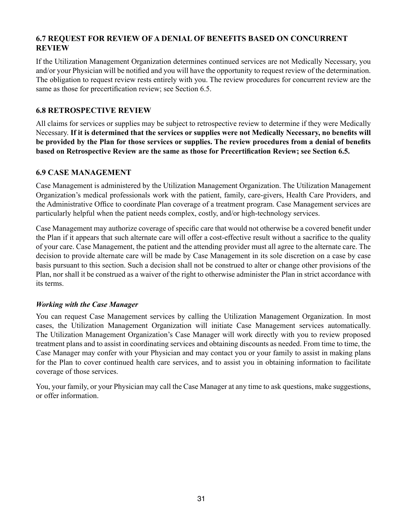# **6.7 REQUEST FOR REVIEW OF A DENIAL OF BENEFITS BASED ON CONCURRENT REVIEW**

If the Utilization Management Organization determines continued services are not Medically Necessary, you and/or your Physician will be notified and you will have the opportunity to request review of the determination. The obligation to request review rests entirely with you. The review procedures for concurrent review are the same as those for precertification review; see Section 6.5.

## **6.8 RETROSPECTIVE REVIEW**

All claims for services or supplies may be subject to retrospective review to determine if they were Medically Necessary. **If it is determined that the services or supplies were not Medically Necessary, no benefits will be provided by the Plan for those services or supplies. The review procedures from a denial of benefits based on Retrospective Review are the same as those for Precertification Review; see Section 6.5.**

## **6.9 CASE MANAGEMENT**

Case Management is administered by the Utilization Management Organization. The Utilization Management Organization's medical professionals work with the patient, family, care-givers, Health Care Providers, and the Administrative Office to coordinate Plan coverage of a treatment program. Case Management services are particularly helpful when the patient needs complex, costly, and/or high-technology services.

Case Management may authorize coverage of specific care that would not otherwise be a covered benefit under the Plan if it appears that such alternate care will offer a cost-effective result without a sacrifice to the quality of your care. Case Management, the patient and the attending provider must all agree to the alternate care. The decision to provide alternate care will be made by Case Management in its sole discretion on a case by case basis pursuant to this section. Such a decision shall not be construed to alter or change other provisions of the Plan, nor shall it be construed as a waiver of the right to otherwise administer the Plan in strict accordance with its terms.

#### *Working with the Case Manager*

You can request Case Management services by calling the Utilization Management Organization. In most cases, the Utilization Management Organization will initiate Case Management services automatically. The Utilization Management Organization's Case Manager will work directly with you to review proposed treatment plans and to assist in coordinating services and obtaining discounts as needed. From time to time, the Case Manager may confer with your Physician and may contact you or your family to assist in making plans for the Plan to cover continued health care services, and to assist you in obtaining information to facilitate coverage of those services.

You, your family, or your Physician may call the Case Manager at any time to ask questions, make suggestions, or offer information.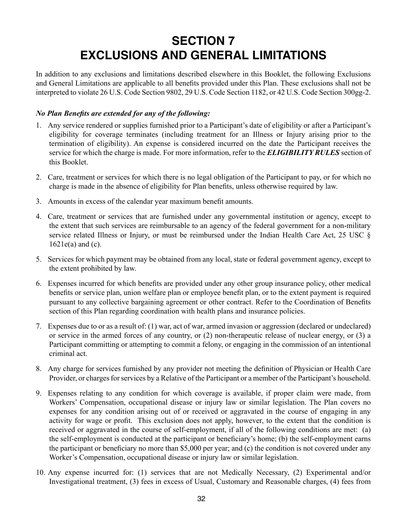# **SECTION 7 EXCLUSIONS AND GENERAL LIMITATIONS**

In addition to any exclusions and limitations described elsewhere in this Booklet, the following Exclusions and General Limitations are applicable to all benefits provided under this Plan. These exclusions shall not be interpreted to violate 26 U.S. Code Section 9802, 29 U.S. Code Section 1182, or 42 U.S. Code Section 300gg-2.

#### *No Plan Benefits are extended for any of the following:*

- 1. Any service rendered or supplies furnished prior to a Participant's date of eligibility or after a Participant's eligibility for coverage terminates (including treatment for an Illness or Injury arising prior to the termination of eligibility). An expense is considered incurred on the date the Participant receives the service for which the charge is made. For more information, refer to the *ELIGIBILITY RULES* section of this Booklet.
- 2. Care, treatment or services for which there is no legal obligation of the Participant to pay, or for which no charge is made in the absence of eligibility for Plan benefits, unless otherwise required by law.
- 3. Amounts in excess of the calendar year maximum benefit amounts.
- 4. Care, treatment or services that are furnished under any governmental institution or agency, except to the extent that such services are reimbursable to an agency of the federal government for a non-military service related Illness or Injury, or must be reimbursed under the Indian Health Care Act, 25 USC §  $1621e(a)$  and (c).
- 5. Services for which payment may be obtained from any local, state or federal government agency, except to the extent prohibited by law.
- 6. Expenses incurred for which benefits are provided under any other group insurance policy, other medical benefits or service plan, union welfare plan or employee benefit plan, or to the extent payment is required pursuant to any collective bargaining agreement or other contract. Refer to the Coordination of Benefits section of this Plan regarding coordination with health plans and insurance policies.
- 7. Expenses due to or as a result of: (1) war, act of war, armed invasion or aggression (declared or undeclared) or service in the armed forces of any country, or (2) non-therapeutic release of nuclear energy, or (3) a Participant committing or attempting to commit a felony, or engaging in the commission of an intentional criminal act.
- 8. Any charge for services furnished by any provider not meeting the definition of Physician or Health Care Provider, or charges for services by a Relative of the Participant or a member of the Participant's household.
- 9. Expenses relating to any condition for which coverage is available, if proper claim were made, from Workers' Compensation, occupational disease or injury law or similar legislation. The Plan covers no expenses for any condition arising out of or received or aggravated in the course of engaging in any activity for wage or profit. This exclusion does not apply, however, to the extent that the condition is received or aggravated in the course of self-employment, if all of the following conditions are met: (a) the self-employment is conducted at the participant or beneficiary's home; (b) the self-employment earns the participant or beneficiary no more than \$5,000 per year; and (c) the condition is not covered under any Worker's Compensation, occupational disease or injury law or similar legislation.
- 10. Any expense incurred for: (1) services that are not Medically Necessary, (2) Experimental and/or Investigational treatment, (3) fees in excess of Usual, Customary and Reasonable charges, (4) fees from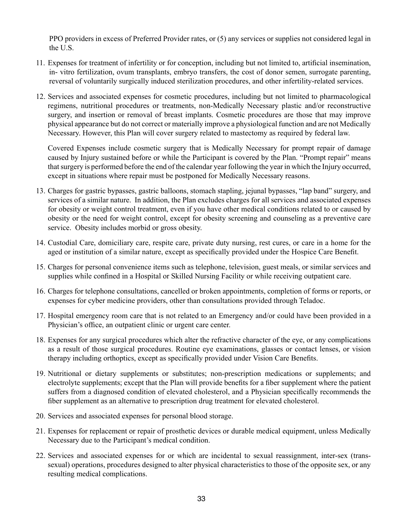PPO providers in excess of Preferred Provider rates, or (5) any services or supplies not considered legal in the U.S.

- 11. Expenses for treatment of infertility or for conception, including but not limited to, artificial insemination, in- vitro fertilization, ovum transplants, embryo transfers, the cost of donor semen, surrogate parenting, reversal of voluntarily surgically induced sterilization procedures, and other infertility-related services.
- 12. Services and associated expenses for cosmetic procedures, including but not limited to pharmacological regimens, nutritional procedures or treatments, non-Medically Necessary plastic and/or reconstructive surgery, and insertion or removal of breast implants. Cosmetic procedures are those that may improve physical appearance but do not correct or materially improve a physiological function and are not Medically Necessary. However, this Plan will cover surgery related to mastectomy as required by federal law.

Covered Expenses include cosmetic surgery that is Medically Necessary for prompt repair of damage caused by Injury sustained before or while the Participant is covered by the Plan. "Prompt repair" means that surgery is performed before the end of the calendar year following the year in which the Injury occurred, except in situations where repair must be postponed for Medically Necessary reasons.

- 13. Charges for gastric bypasses, gastric balloons, stomach stapling, jejunal bypasses, "lap band" surgery, and services of a similar nature. In addition, the Plan excludes charges for all services and associated expenses for obesity or weight control treatment, even if you have other medical conditions related to or caused by obesity or the need for weight control, except for obesity screening and counseling as a preventive care service. Obesity includes morbid or gross obesity.
- 14. Custodial Care, domiciliary care, respite care, private duty nursing, rest cures, or care in a home for the aged or institution of a similar nature, except as specifically provided under the Hospice Care Benefit.
- 15. Charges for personal convenience items such as telephone, television, guest meals, or similar services and supplies while confined in a Hospital or Skilled Nursing Facility or while receiving outpatient care.
- 16. Charges for telephone consultations, cancelled or broken appointments, completion of forms or reports, or expenses for cyber medicine providers, other than consultations provided through Teladoc.
- 17. Hospital emergency room care that is not related to an Emergency and/or could have been provided in a Physician's office, an outpatient clinic or urgent care center.
- 18. Expenses for any surgical procedures which alter the refractive character of the eye, or any complications as a result of those surgical procedures. Routine eye examinations, glasses or contact lenses, or vision therapy including orthoptics, except as specifically provided under Vision Care Benefits.
- 19. Nutritional or dietary supplements or substitutes; non-prescription medications or supplements; and electrolyte supplements; except that the Plan will provide benefits for a fiber supplement where the patient suffers from a diagnosed condition of elevated cholesterol, and a Physician specifically recommends the fiber supplement as an alternative to prescription drug treatment for elevated cholesterol.
- 20. Services and associated expenses for personal blood storage.
- 21. Expenses for replacement or repair of prosthetic devices or durable medical equipment, unless Medically Necessary due to the Participant's medical condition.
- 22. Services and associated expenses for or which are incidental to sexual reassignment, inter-sex (transsexual) operations, procedures designed to alter physical characteristics to those of the opposite sex, or any resulting medical complications.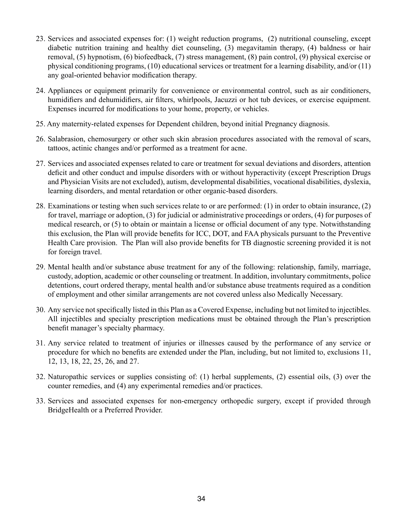- 23. Services and associated expenses for: (1) weight reduction programs, (2) nutritional counseling, except diabetic nutrition training and healthy diet counseling, (3) megavitamin therapy, (4) baldness or hair removal, (5) hypnotism, (6) biofeedback, (7) stress management, (8) pain control, (9) physical exercise or physical conditioning programs, (10) educational services or treatment for a learning disability, and/or (11) any goal-oriented behavior modification therapy.
- 24. Appliances or equipment primarily for convenience or environmental control, such as air conditioners, humidifiers and dehumidifiers, air filters, whirlpools, Jacuzzi or hot tub devices, or exercise equipment. Expenses incurred for modifications to your home, property, or vehicles.
- 25. Any maternity-related expenses for Dependent children, beyond initial Pregnancy diagnosis.
- 26. Salabrasion, chemosurgery or other such skin abrasion procedures associated with the removal of scars, tattoos, actinic changes and/or performed as a treatment for acne.
- 27. Services and associated expenses related to care or treatment for sexual deviations and disorders, attention deficit and other conduct and impulse disorders with or without hyperactivity (except Prescription Drugs and Physician Visits are not excluded), autism, developmental disabilities, vocational disabilities, dyslexia, learning disorders, and mental retardation or other organic-based disorders.
- 28. Examinations or testing when such services relate to or are performed: (1) in order to obtain insurance, (2) for travel, marriage or adoption, (3) for judicial or administrative proceedings or orders, (4) for purposes of medical research, or (5) to obtain or maintain a license or official document of any type. Notwithstanding this exclusion, the Plan will provide benefits for ICC, DOT, and FAA physicals pursuant to the Preventive Health Care provision. The Plan will also provide benefits for TB diagnostic screening provided it is not for foreign travel.
- 29. Mental health and/or substance abuse treatment for any of the following: relationship, family, marriage, custody, adoption, academic or other counseling or treatment. In addition, involuntary commitments, police detentions, court ordered therapy, mental health and/or substance abuse treatments required as a condition of employment and other similar arrangements are not covered unless also Medically Necessary.
- 30. Any service not specifically listed in this Plan as a Covered Expense, including but not limited to injectibles. All injectibles and specialty prescription medications must be obtained through the Plan's prescription benefit manager's specialty pharmacy.
- 31. Any service related to treatment of injuries or illnesses caused by the performance of any service or procedure for which no benefits are extended under the Plan, including, but not limited to, exclusions 11, 12, 13, 18, 22, 25, 26, and 27.
- 32. Naturopathic services or supplies consisting of: (1) herbal supplements, (2) essential oils, (3) over the counter remedies, and (4) any experimental remedies and/or practices.
- 33. Services and associated expenses for non-emergency orthopedic surgery, except if provided through BridgeHealth or a Preferred Provider.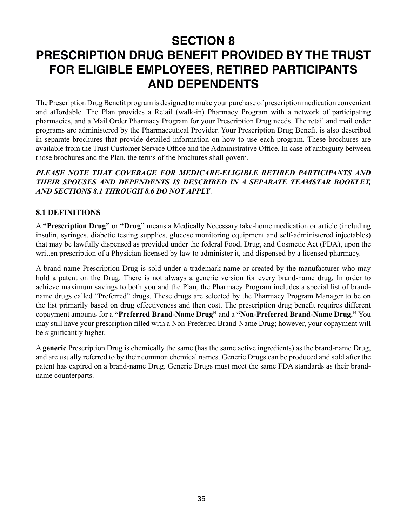# **SECTION 8 PRESCRIPTION DRUG BENEFIT PROVIDED BY THE TRUST FOR ELIGIBLE EMPLOYEES, RETIRED PARTICIPANTS AND DEPENDENTS**

The Prescription Drug Benefit program is designed to make your purchase of prescription medication convenient and affordable. The Plan provides a Retail (walk-in) Pharmacy Program with a network of participating pharmacies, and a Mail Order Pharmacy Program for your Prescription Drug needs. The retail and mail order programs are administered by the Pharmaceutical Provider. Your Prescription Drug Benefit is also described in separate brochures that provide detailed information on how to use each program. These brochures are available from the Trust Customer Service Office and the Administrative Office. In case of ambiguity between those brochures and the Plan, the terms of the brochures shall govern.

### *PLEASE NOTE THAT COVERAGE FOR MEDICARE-ELIGIBLE RETIRED PARTICIPANTS AND THEIR SPOUSES AND DEPENDENTS IS DESCRIBED IN A SEPARATE TEAMSTAR BOOKLET, AND SECTIONS 8.1 THROUGH 8.6 DO NOT APPLY*.

## **8.1 DEFINITIONS**

A **"Prescription Drug"** or **"Drug"** means a Medically Necessary take-home medication or article (including insulin, syringes, diabetic testing supplies, glucose monitoring equipment and self-administered injectables) that may be lawfully dispensed as provided under the federal Food, Drug, and Cosmetic Act (FDA), upon the written prescription of a Physician licensed by law to administer it, and dispensed by a licensed pharmacy.

A brand-name Prescription Drug is sold under a trademark name or created by the manufacturer who may hold a patent on the Drug. There is not always a generic version for every brand-name drug. In order to achieve maximum savings to both you and the Plan, the Pharmacy Program includes a special list of brandname drugs called "Preferred" drugs. These drugs are selected by the Pharmacy Program Manager to be on the list primarily based on drug effectiveness and then cost. The prescription drug benefit requires different copayment amounts for a **"Preferred Brand-Name Drug"** and a **"Non-Preferred Brand-Name Drug."** You may still have your prescription filled with a Non-Preferred Brand-Name Drug; however, your copayment will be significantly higher.

A **generic** Prescription Drug is chemically the same (has the same active ingredients) as the brand-name Drug, and are usually referred to by their common chemical names. Generic Drugs can be produced and sold after the patent has expired on a brand-name Drug. Generic Drugs must meet the same FDA standards as their brandname counterparts.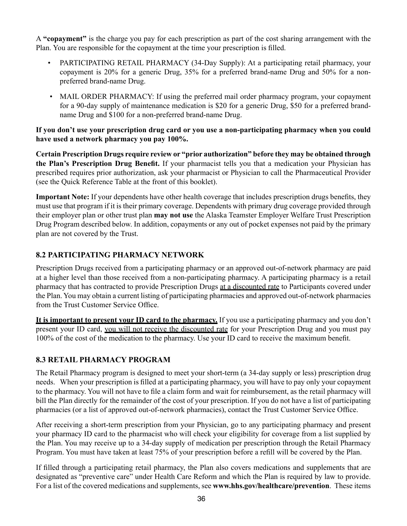A **"copayment"** is the charge you pay for each prescription as part of the cost sharing arrangement with the Plan. You are responsible for the copayment at the time your prescription is filled.

- PARTICIPATING RETAIL PHARMACY (34-Day Supply): At a participating retail pharmacy, your copayment is 20% for a generic Drug, 35% for a preferred brand-name Drug and 50% for a nonpreferred brand-name Drug.
- MAIL ORDER PHARMACY: If using the preferred mail order pharmacy program, your copayment for a 90-day supply of maintenance medication is \$20 for a generic Drug, \$50 for a preferred brandname Drug and \$100 for a non-preferred brand-name Drug.

#### **If you don't use your prescription drug card or you use a non-participating pharmacy when you could have used a network pharmacy you pay 100%.**

**Certain Prescription Drugs require review or "prior authorization" before they may be obtained through the Plan's Prescription Drug Benefit.** If your pharmacist tells you that a medication your Physician has prescribed requires prior authorization, ask your pharmacist or Physician to call the Pharmaceutical Provider (see the Quick Reference Table at the front of this booklet).

**Important Note:** If your dependents have other health coverage that includes prescription drugs benefits, they must use that program if it is their primary coverage. Dependents with primary drug coverage provided through their employer plan or other trust plan **may not use** the Alaska Teamster Employer Welfare Trust Prescription Drug Program described below. In addition, copayments or any out of pocket expenses not paid by the primary plan are not covered by the Trust.

## **8.2 PARTICIPATING PHARMACY NETWORK**

Prescription Drugs received from a participating pharmacy or an approved out-of-network pharmacy are paid at a higher level than those received from a non-participating pharmacy. A participating pharmacy is a retail pharmacy that has contracted to provide Prescription Drugs at a discounted rate to Participants covered under the Plan. You may obtain a current listing of participating pharmacies and approved out-of-network pharmacies from the Trust Customer Service Office.

**It is important to present your ID card to the pharmacy.** If you use a participating pharmacy and you don't present your ID card, you will not receive the discounted rate for your Prescription Drug and you must pay 100% of the cost of the medication to the pharmacy. Use your ID card to receive the maximum benefit.

# **8.3 RETAIL PHARMACY PROGRAM**

The Retail Pharmacy program is designed to meet your short-term (a 34-day supply or less) prescription drug needs. When your prescription is filled at a participating pharmacy, you will have to pay only your copayment to the pharmacy. You will not have to file a claim form and wait for reimbursement, as the retail pharmacy will bill the Plan directly for the remainder of the cost of your prescription. If you do not have a list of participating pharmacies (or a list of approved out-of-network pharmacies), contact the Trust Customer Service Office.

After receiving a short-term prescription from your Physician, go to any participating pharmacy and present your pharmacy ID card to the pharmacist who will check your eligibility for coverage from a list supplied by the Plan. You may receive up to a 34-day supply of medication per prescription through the Retail Pharmacy Program. You must have taken at least 75% of your prescription before a refill will be covered by the Plan.

If filled through a participating retail pharmacy, the Plan also covers medications and supplements that are designated as "preventive care" under Health Care Reform and which the Plan is required by law to provide. For a list of the covered medications and supplements, see **www.hhs.gov/healthcare/prevention**. These items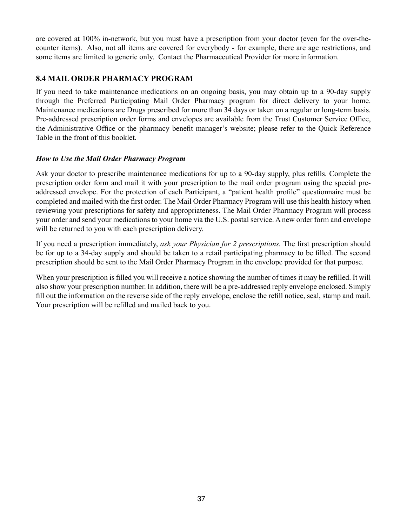are covered at 100% in-network, but you must have a prescription from your doctor (even for the over-thecounter items). Also, not all items are covered for everybody - for example, there are age restrictions, and some items are limited to generic only. Contact the Pharmaceutical Provider for more information.

## **8.4 MAIL ORDER PHARMACY PROGRAM**

If you need to take maintenance medications on an ongoing basis, you may obtain up to a 90-day supply through the Preferred Participating Mail Order Pharmacy program for direct delivery to your home. Maintenance medications are Drugs prescribed for more than 34 days or taken on a regular or long-term basis. Pre-addressed prescription order forms and envelopes are available from the Trust Customer Service Office, the Administrative Office or the pharmacy benefit manager's website; please refer to the Quick Reference Table in the front of this booklet.

#### *How to Use the Mail Order Pharmacy Program*

Ask your doctor to prescribe maintenance medications for up to a 90-day supply, plus refills. Complete the prescription order form and mail it with your prescription to the mail order program using the special preaddressed envelope. For the protection of each Participant, a "patient health profile" questionnaire must be completed and mailed with the first order. The Mail Order Pharmacy Program will use this health history when reviewing your prescriptions for safety and appropriateness. The Mail Order Pharmacy Program will process your order and send your medications to your home via the U.S. postal service. A new order form and envelope will be returned to you with each prescription delivery.

If you need a prescription immediately, *ask your Physician for 2 prescriptions.* The first prescription should be for up to a 34-day supply and should be taken to a retail participating pharmacy to be filled. The second prescription should be sent to the Mail Order Pharmacy Program in the envelope provided for that purpose.

When your prescription is filled you will receive a notice showing the number of times it may be refilled. It will also show your prescription number. In addition, there will be a pre-addressed reply envelope enclosed. Simply fill out the information on the reverse side of the reply envelope, enclose the refill notice, seal, stamp and mail. Your prescription will be refilled and mailed back to you.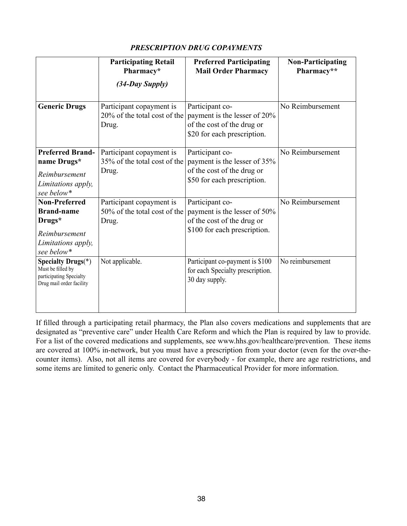## *PRESCRIPTION DRUG COPAYMENTS*

|                                                                                                          | <b>Participating Retail</b><br>Pharmacy*                          | <b>Preferred Participating</b><br><b>Mail Order Pharmacy</b>                                                  | <b>Non-Participating</b><br>Pharmacy** |
|----------------------------------------------------------------------------------------------------------|-------------------------------------------------------------------|---------------------------------------------------------------------------------------------------------------|----------------------------------------|
|                                                                                                          | (34-Day Supply)                                                   |                                                                                                               |                                        |
| <b>Generic Drugs</b>                                                                                     | Participant copayment is<br>20% of the total cost of the<br>Drug. | Participant co-<br>payment is the lesser of 20%<br>of the cost of the drug or<br>\$20 for each prescription.  | No Reimbursement                       |
| <b>Preferred Brand-</b><br>name Drugs*<br>Reimbursement<br>Limitations apply,<br>see below*              | Participant copayment is<br>35% of the total cost of the<br>Drug. | Participant co-<br>payment is the lesser of 35%<br>of the cost of the drug or<br>\$50 for each prescription.  | No Reimbursement                       |
| <b>Non-Preferred</b><br><b>Brand-name</b><br>Drugs*<br>Reimbursement<br>Limitations apply,<br>see below* | Participant copayment is<br>50% of the total cost of the<br>Drug. | Participant co-<br>payment is the lesser of 50%<br>of the cost of the drug or<br>\$100 for each prescription. | No Reimbursement                       |
| Specialty Drugs $(*)$<br>Must be filled by<br>participating Specialty<br>Drug mail order facility        | Not applicable.                                                   | Participant co-payment is \$100<br>for each Specialty prescription.<br>30 day supply.                         | No reimbursement                       |

If filled through a participating retail pharmacy, the Plan also covers medications and supplements that are designated as "preventive care" under Health Care Reform and which the Plan is required by law to provide. For a list of the covered medications and supplements, see www.hhs.gov/healthcare/prevention. These items are covered at 100% in-network, but you must have a prescription from your doctor (even for the over-thecounter items). Also, not all items are covered for everybody - for example, there are age restrictions, and some items are limited to generic only. Contact the Pharmaceutical Provider for more information.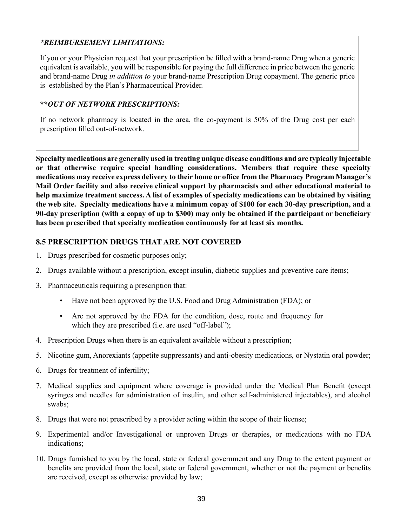## *\*REIMBURSEMENT LIMITATIONS:*

If you or your Physician request that your prescription be filled with a brand-name Drug when a generic equivalent is available, you will be responsible for paying the full difference in price between the generic and brand-name Drug *in addition to* your brand-name Prescription Drug copayment. The generic price is established by the Plan's Pharmaceutical Provider.

#### **\*\****OUT OF NETWORK PRESCRIPTIONS:*

If no network pharmacy is located in the area, the co-payment is 50% of the Drug cost per each prescription filled out-of-network.

**Specialty medications are generally used in treating unique disease conditions and are typically injectable or that otherwise require special handling considerations. Members that require these specialty medications may receive express delivery to their home or office from the Pharmacy Program Manager's Mail Order facility and also receive clinical support by pharmacists and other educational material to help maximize treatment success. A list of examples of specialty medications can be obtained by visiting the web site. Specialty medications have a minimum copay of \$100 for each 30-day prescription, and a 90-day prescription (with a copay of up to \$300) may only be obtained if the participant or beneficiary has been prescribed that specialty medication continuously for at least six months.** 

## **8.5 PRESCRIPTION DRUGS THAT ARE NOT COVERED**

- 1. Drugs prescribed for cosmetic purposes only;
- 2. Drugs available without a prescription, except insulin, diabetic supplies and preventive care items;
- 3. Pharmaceuticals requiring a prescription that:
	- Have not been approved by the U.S. Food and Drug Administration (FDA); or
	- Are not approved by the FDA for the condition, dose, route and frequency for which they are prescribed (i.e. are used "off-label");
- 4. Prescription Drugs when there is an equivalent available without a prescription;
- 5. Nicotine gum, Anorexiants (appetite suppressants) and anti-obesity medications, or Nystatin oral powder;
- 6. Drugs for treatment of infertility;
- 7. Medical supplies and equipment where coverage is provided under the Medical Plan Benefit (except syringes and needles for administration of insulin, and other self-administered injectables), and alcohol swabs;
- 8. Drugs that were not prescribed by a provider acting within the scope of their license;
- 9. Experimental and/or Investigational or unproven Drugs or therapies, or medications with no FDA indications;
- 10. Drugs furnished to you by the local, state or federal government and any Drug to the extent payment or benefits are provided from the local, state or federal government, whether or not the payment or benefits are received, except as otherwise provided by law;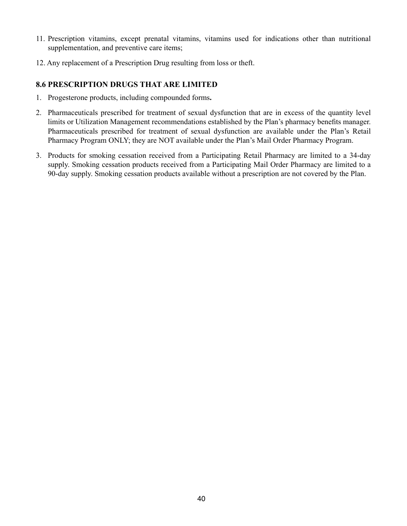- 11. Prescription vitamins, except prenatal vitamins, vitamins used for indications other than nutritional supplementation, and preventive care items;
- 12. Any replacement of a Prescription Drug resulting from loss or theft.

#### **8.6 PRESCRIPTION DRUGS THAT ARE LIMITED**

- 1. Progesterone products, including compounded forms**.**
- 2. Pharmaceuticals prescribed for treatment of sexual dysfunction that are in excess of the quantity level limits or Utilization Management recommendations established by the Plan's pharmacy benefits manager. Pharmaceuticals prescribed for treatment of sexual dysfunction are available under the Plan's Retail Pharmacy Program ONLY; they are NOT available under the Plan's Mail Order Pharmacy Program.
- 3. Products for smoking cessation received from a Participating Retail Pharmacy are limited to a 34-day supply. Smoking cessation products received from a Participating Mail Order Pharmacy are limited to a 90-day supply. Smoking cessation products available without a prescription are not covered by the Plan.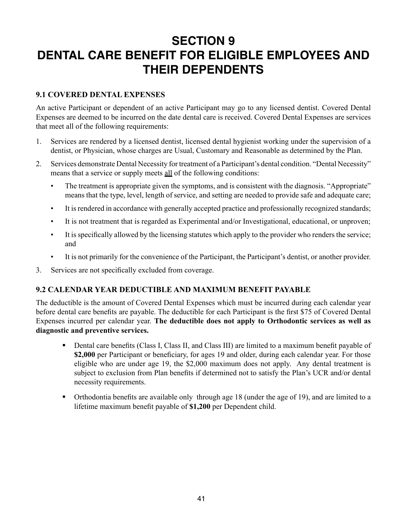# **SECTION 9 DENTAL CARE BENEFIT FOR ELIGIBLE EMPLOYEES AND THEIR DEPENDENTS**

### **9.1 COVERED DENTAL EXPENSES**

An active Participant or dependent of an active Participant may go to any licensed dentist. Covered Dental Expenses are deemed to be incurred on the date dental care is received. Covered Dental Expenses are services that meet all of the following requirements:

- 1. Services are rendered by a licensed dentist, licensed dental hygienist working under the supervision of a dentist, or Physician, whose charges are Usual, Customary and Reasonable as determined by the Plan.
- 2. Services demonstrate Dental Necessity for treatment of a Participant's dental condition. "Dental Necessity" means that a service or supply meets all of the following conditions:
	- The treatment is appropriate given the symptoms, and is consistent with the diagnosis. "Appropriate" means that the type, level, length of service, and setting are needed to provide safe and adequate care;
	- It is rendered in accordance with generally accepted practice and professionally recognized standards;
	- It is not treatment that is regarded as Experimental and/or Investigational, educational, or unproven;
	- It is specifically allowed by the licensing statutes which apply to the provider who renders the service; and
	- It is not primarily for the convenience of the Participant, the Participant's dentist, or another provider.
- 3. Services are not specifically excluded from coverage.

#### **9.2 CALENDAR YEAR DEDUCTIBLE AND MAXIMUM BENEFIT PAYABLE**

The deductible is the amount of Covered Dental Expenses which must be incurred during each calendar year before dental care benefits are payable. The deductible for each Participant is the first \$75 of Covered Dental Expenses incurred per calendar year. **The deductible does not apply to Orthodontic services as well as diagnostic and preventive services.**

- Dental care benefits (Class I, Class II, and Class III) are limited to a maximum benefit payable of **\$2,000** per Participant or beneficiary, for ages 19 and older, during each calendar year. For those eligible who are under age 19, the \$2,000 maximum does not apply. Any dental treatment is subject to exclusion from Plan benefits if determined not to satisfy the Plan's UCR and/or dental necessity requirements.
- Orthodontia benefits are available only through age 18 (under the age of 19), and are limited to a lifetime maximum benefit payable of **\$1,200** per Dependent child.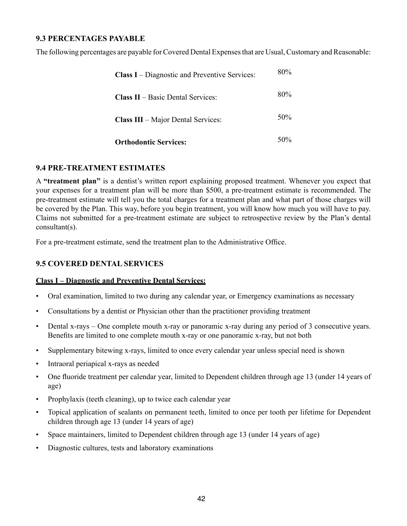#### **9.3 PERCENTAGES PAYABLE**

The following percentages are payable for Covered Dental Expenses that are Usual, Customary and Reasonable:

| <b>Class I</b> – Diagnostic and Preventive Services: | 80% |
|------------------------------------------------------|-----|
| <b>Class II</b> – Basic Dental Services:             | 80% |
| <b>Class III</b> – Major Dental Services:            | 50% |
| <b>Orthodontic Services:</b>                         | 50% |

#### **9.4 PRE-TREATMENT ESTIMATES**

A **"treatment plan"** is a dentist's written report explaining proposed treatment. Whenever you expect that your expenses for a treatment plan will be more than \$500, a pre-treatment estimate is recommended. The pre-treatment estimate will tell you the total charges for a treatment plan and what part of those charges will be covered by the Plan. This way, before you begin treatment, you will know how much you will have to pay. Claims not submitted for a pre-treatment estimate are subject to retrospective review by the Plan's dental consultant(s).

For a pre-treatment estimate, send the treatment plan to the Administrative Office.

## **9.5 COVERED DENTAL SERVICES**

#### **Class I – Diagnostic and Preventive Dental Services:**

- Oral examination, limited to two during any calendar year, or Emergency examinations as necessary
- Consultations by a dentist or Physician other than the practitioner providing treatment
- Dental x-rays One complete mouth x-ray or panoramic x-ray during any period of 3 consecutive years. Benefits are limited to one complete mouth x-ray or one panoramic x-ray, but not both
- Supplementary bitewing x-rays, limited to once every calendar year unless special need is shown
- Intraoral periapical x-rays as needed
- One fluoride treatment per calendar year, limited to Dependent children through age 13 (under 14 years of age)
- Prophylaxis (teeth cleaning), up to twice each calendar year
- Topical application of sealants on permanent teeth, limited to once per tooth per lifetime for Dependent children through age 13 (under 14 years of age)
- Space maintainers, limited to Dependent children through age 13 (under 14 years of age)
- Diagnostic cultures, tests and laboratory examinations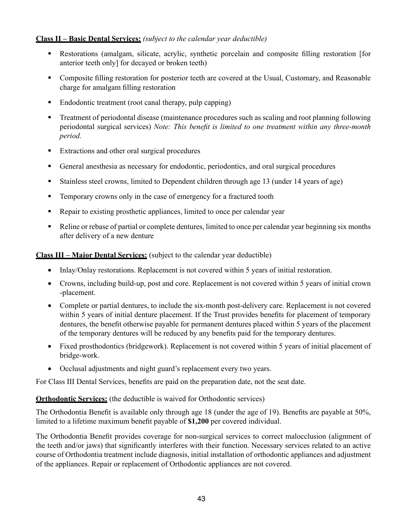#### **Class II – Basic Dental Services:** *(subject to the calendar year deductible)*

- Restorations (amalgam, silicate, acrylic, synthetic porcelain and composite filling restoration [for anterior teeth only] for decayed or broken teeth)
- Composite filling restoration for posterior teeth are covered at the Usual, Customary, and Reasonable charge for amalgam filling restoration
- Endodontic treatment (root canal therapy, pulp capping)
- Treatment of periodontal disease (maintenance procedures such as scaling and root planning following periodontal surgical services) *Note: This benefit is limited to one treatment within any three-month period.*
- **Extractions and other oral surgical procedures**
- General anesthesia as necessary for endodontic, periodontics, and oral surgical procedures
- Stainless steel crowns, limited to Dependent children through age 13 (under 14 years of age)
- **EXECUTE:** Temporary crowns only in the case of emergency for a fractured tooth
- Repair to existing prosthetic appliances, limited to once per calendar year
- Reline or rebase of partial or complete dentures, limited to once per calendar year beginning six months after delivery of a new denture

**Class III – Major Dental Services:** (subject to the calendar year deductible)

- Inlay/Onlay restorations. Replacement is not covered within 5 years of initial restoration.
- Crowns, including build-up, post and core. Replacement is not covered within 5 years of initial crown -placement.
- Complete or partial dentures, to include the six-month post-delivery care. Replacement is not covered within 5 years of initial denture placement. If the Trust provides benefits for placement of temporary dentures, the benefit otherwise payable for permanent dentures placed within 5 years of the placement of the temporary dentures will be reduced by any benefits paid for the temporary dentures.
- Fixed prosthodontics (bridgework). Replacement is not covered within 5 years of initial placement of bridge-work.
- Occlusal adjustments and night guard's replacement every two years.

For Class III Dental Services, benefits are paid on the preparation date, not the seat date.

#### **Orthodontic Services:** (the deductible is waived for Orthodontic services)

The Orthodontia Benefit is available only through age 18 (under the age of 19). Benefits are payable at 50%, limited to a lifetime maximum benefit payable of **\$1,200** per covered individual.

The Orthodontia Benefit provides coverage for non-surgical services to correct malocclusion (alignment of the teeth and/or jaws) that significantly interferes with their function. Necessary services related to an active course of Orthodontia treatment include diagnosis, initial installation of orthodontic appliances and adjustment of the appliances. Repair or replacement of Orthodontic appliances are not covered.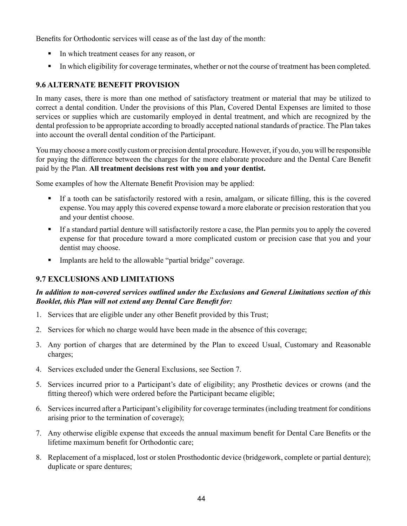Benefits for Orthodontic services will cease as of the last day of the month:

- In which treatment ceases for any reason, or
- In which eligibility for coverage terminates, whether or not the course of treatment has been completed.

# **9.6 ALTERNATE BENEFIT PROVISION**

In many cases, there is more than one method of satisfactory treatment or material that may be utilized to correct a dental condition. Under the provisions of this Plan, Covered Dental Expenses are limited to those services or supplies which are customarily employed in dental treatment, and which are recognized by the dental profession to be appropriate according to broadly accepted national standards of practice. The Plan takes into account the overall dental condition of the Participant.

You may choose a more costly custom or precision dental procedure. However, if you do, you will be responsible for paying the difference between the charges for the more elaborate procedure and the Dental Care Benefit paid by the Plan. **All treatment decisions rest with you and your dentist.**

Some examples of how the Alternate Benefit Provision may be applied:

- If a tooth can be satisfactorily restored with a resin, amalgam, or silicate filling, this is the covered expense. You may apply this covered expense toward a more elaborate or precision restoration that you and your dentist choose.
- If a standard partial denture will satisfactorily restore a case, the Plan permits you to apply the covered expense for that procedure toward a more complicated custom or precision case that you and your dentist may choose.
- Implants are held to the allowable "partial bridge" coverage.

# **9.7 EXCLUSIONS AND LIMITATIONS**

## *In addition to non-covered services outlined under the Exclusions and General Limitations section of this Booklet, this Plan will not extend any Dental Care Benefit for:*

- 1. Services that are eligible under any other Benefit provided by this Trust;
- 2. Services for which no charge would have been made in the absence of this coverage;
- 3. Any portion of charges that are determined by the Plan to exceed Usual, Customary and Reasonable charges;
- 4. Services excluded under the General Exclusions, see Section 7.
- 5. Services incurred prior to a Participant's date of eligibility; any Prosthetic devices or crowns (and the fitting thereof) which were ordered before the Participant became eligible;
- 6. Services incurred after a Participant's eligibility for coverage terminates (including treatment for conditions arising prior to the termination of coverage);
- 7. Any otherwise eligible expense that exceeds the annual maximum benefit for Dental Care Benefits or the lifetime maximum benefit for Orthodontic care;
- 8. Replacement of a misplaced, lost or stolen Prosthodontic device (bridgework, complete or partial denture); duplicate or spare dentures;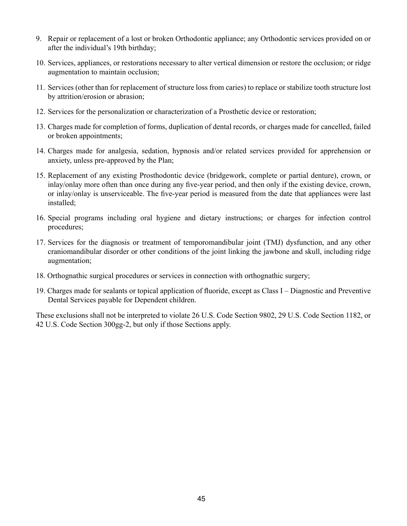- 9. Repair or replacement of a lost or broken Orthodontic appliance; any Orthodontic services provided on or after the individual's 19th birthday;
- 10. Services, appliances, or restorations necessary to alter vertical dimension or restore the occlusion; or ridge augmentation to maintain occlusion;
- 11. Services (other than for replacement of structure loss from caries) to replace or stabilize tooth structure lost by attrition/erosion or abrasion;
- 12. Services for the personalization or characterization of a Prosthetic device or restoration;
- 13. Charges made for completion of forms, duplication of dental records, or charges made for cancelled, failed or broken appointments;
- 14. Charges made for analgesia, sedation, hypnosis and/or related services provided for apprehension or anxiety, unless pre-approved by the Plan;
- 15. Replacement of any existing Prosthodontic device (bridgework, complete or partial denture), crown, or inlay/onlay more often than once during any five-year period, and then only if the existing device, crown, or inlay/onlay is unserviceable. The five-year period is measured from the date that appliances were last installed;
- 16. Special programs including oral hygiene and dietary instructions; or charges for infection control procedures;
- 17. Services for the diagnosis or treatment of temporomandibular joint (TMJ) dysfunction, and any other craniomandibular disorder or other conditions of the joint linking the jawbone and skull, including ridge augmentation;
- 18. Orthognathic surgical procedures or services in connection with orthognathic surgery;
- 19. Charges made for sealants or topical application of fluoride, except as Class I Diagnostic and Preventive Dental Services payable for Dependent children.

These exclusions shall not be interpreted to violate 26 U.S. Code Section 9802, 29 U.S. Code Section 1182, or 42 U.S. Code Section 300gg-2, but only if those Sections apply.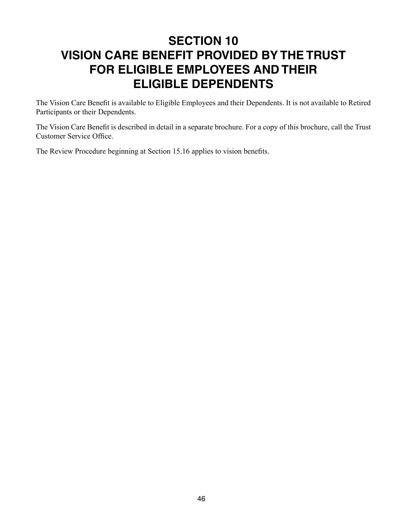# **SECTION 10 VISION CARE BENEFIT PROVIDED BY THE TRUST FOR ELIGIBLE EMPLOYEES AND THEIR ELIGIBLE DEPENDENTS**

The Vision Care Benefit is available to Eligible Employees and their Dependents. It is not available to Retired Participants or their Dependents.

The Vision Care Benefit is described in detail in a separate brochure. For a copy of this brochure, call the Trust Customer Service Office.

The Review Procedure beginning at Section 15.16 applies to vision benefits.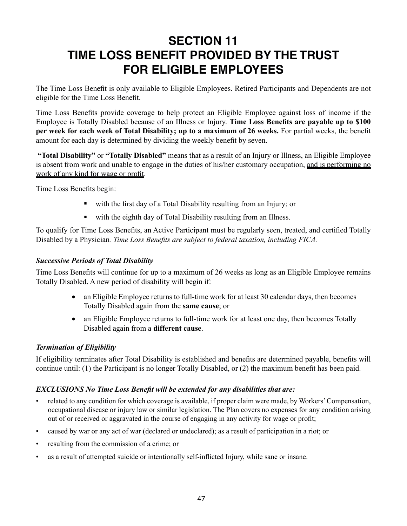# **SECTION 11 TIME LOSS BENEFIT PROVIDED BY THE TRUST FOR ELIGIBLE EMPLOYEES**

The Time Loss Benefit is only available to Eligible Employees. Retired Participants and Dependents are not eligible for the Time Loss Benefit.

Time Loss Benefits provide coverage to help protect an Eligible Employee against loss of income if the Employee is Totally Disabled because of an Illness or Injury. **Time Loss Benefits are payable up to \$100 per week for each week of Total Disability; up to a maximum of 26 weeks.** For partial weeks, the benefit amount for each day is determined by dividing the weekly benefit by seven.

**"Total Disability"** or **"Totally Disabled"** means that as a result of an Injury or Illness, an Eligible Employee is absent from work and unable to engage in the duties of his/her customary occupation, and is performing no work of any kind for wage or profit.

Time Loss Benefits begin:

- with the first day of a Total Disability resulting from an Injury; or
- with the eighth day of Total Disability resulting from an Illness.

To qualify for Time Loss Benefits, an Active Participant must be regularly seen, treated, and certified Totally Disabled by a Physician*. Time Loss Benefits are subject to federal taxation, including FICA.*

#### *Successive Periods of Total Disability*

Time Loss Benefits will continue for up to a maximum of 26 weeks as long as an Eligible Employee remains Totally Disabled. A new period of disability will begin if:

- an Eligible Employee returns to full-time work for at least 30 calendar days, then becomes Totally Disabled again from the **same cause**; or
- an Eligible Employee returns to full-time work for at least one day, then becomes Totally Disabled again from a **different cause**.

## *Termination of Eligibility*

If eligibility terminates after Total Disability is established and benefits are determined payable, benefits will continue until: (1) the Participant is no longer Totally Disabled, or (2) the maximum benefit has been paid.

#### *EXCLUSIONS No Time Loss Benefit will be extended for any disabilities that are:*

- related to any condition for which coverage is available, if proper claim were made, by Workers' Compensation, occupational disease or injury law or similar legislation. The Plan covers no expenses for any condition arising out of or received or aggravated in the course of engaging in any activity for wage or profit;
- caused by war or any act of war (declared or undeclared); as a result of participation in a riot; or
- resulting from the commission of a crime; or
- as a result of attempted suicide or intentionally self-inflicted Injury, while sane or insane.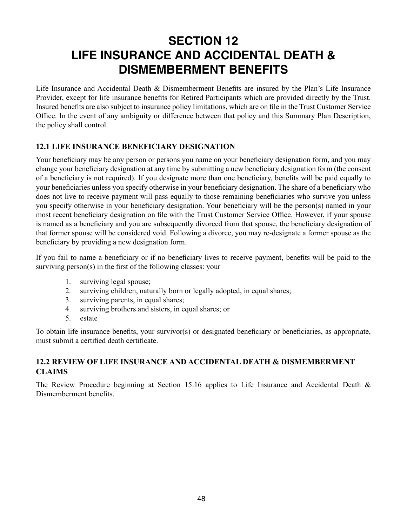# **SECTION 12 LIFE INSURANCE AND ACCIDENTAL DEATH & DISMEMBERMENT BENEFITS**

Life Insurance and Accidental Death & Dismemberment Benefits are insured by the Plan's Life Insurance Provider, except for life insurance benefits for Retired Participants which are provided directly by the Trust. Insured benefits are also subject to insurance policy limitations, which are on file in the Trust Customer Service Office. In the event of any ambiguity or difference between that policy and this Summary Plan Description, the policy shall control.

## **12.1 LIFE INSURANCE BENEFICIARY DESIGNATION**

Your beneficiary may be any person or persons you name on your beneficiary designation form, and you may change your beneficiary designation at any time by submitting a new beneficiary designation form (the consent of a beneficiary is not required). If you designate more than one beneficiary, benefits will be paid equally to your beneficiaries unless you specify otherwise in your beneficiary designation. The share of a beneficiary who does not live to receive payment will pass equally to those remaining beneficiaries who survive you unless you specify otherwise in your beneficiary designation. Your beneficiary will be the person(s) named in your most recent beneficiary designation on file with the Trust Customer Service Office. However, if your spouse is named as a beneficiary and you are subsequently divorced from that spouse, the beneficiary designation of that former spouse will be considered void. Following a divorce, you may re-designate a former spouse as the beneficiary by providing a new designation form.

If you fail to name a beneficiary or if no beneficiary lives to receive payment, benefits will be paid to the surviving person(s) in the first of the following classes: your

- 1. surviving legal spouse;
- 2. surviving children, naturally born or legally adopted, in equal shares;
- 3. surviving parents, in equal shares;
- 4. surviving brothers and sisters, in equal shares; or
- 5. estate

To obtain life insurance benefits, your survivor(s) or designated beneficiary or beneficiaries, as appropriate, must submit a certified death certificate.

## **12.2 REVIEW OF LIFE INSURANCE AND ACCIDENTAL DEATH & DISMEMBERMENT CLAIMS**

The Review Procedure beginning at Section 15.16 applies to Life Insurance and Accidental Death & Dismemberment benefits.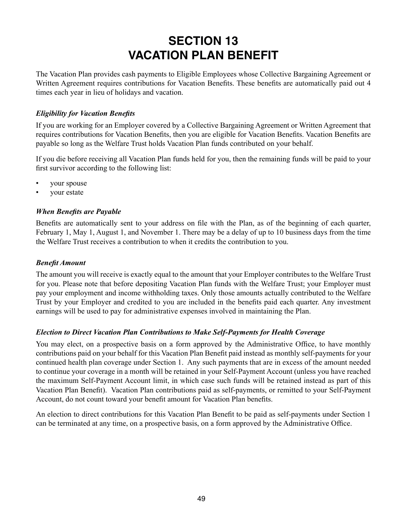# **SECTION 13 VACATION PLAN BENEFIT**

The Vacation Plan provides cash payments to Eligible Employees whose Collective Bargaining Agreement or Written Agreement requires contributions for Vacation Benefits. These benefits are automatically paid out 4 times each year in lieu of holidays and vacation.

### *Eligibility for Vacation Benefits*

If you are working for an Employer covered by a Collective Bargaining Agreement or Written Agreement that requires contributions for Vacation Benefits, then you are eligible for Vacation Benefits. Vacation Benefits are payable so long as the Welfare Trust holds Vacation Plan funds contributed on your behalf.

If you die before receiving all Vacation Plan funds held for you, then the remaining funds will be paid to your first survivor according to the following list:

- your spouse
- your estate

## *When Benefits are Payable*

Benefits are automatically sent to your address on file with the Plan, as of the beginning of each quarter, February 1, May 1, August 1, and November 1. There may be a delay of up to 10 business days from the time the Welfare Trust receives a contribution to when it credits the contribution to you.

#### *Benefit Amount*

The amount you will receive is exactly equal to the amount that your Employer contributes to the Welfare Trust for you. Please note that before depositing Vacation Plan funds with the Welfare Trust; your Employer must pay your employment and income withholding taxes. Only those amounts actually contributed to the Welfare Trust by your Employer and credited to you are included in the benefits paid each quarter. Any investment earnings will be used to pay for administrative expenses involved in maintaining the Plan.

#### *Election to Direct Vacation Plan Contributions to Make Self-Payments for Health Coverage*

You may elect, on a prospective basis on a form approved by the Administrative Office, to have monthly contributions paid on your behalf for this Vacation Plan Benefit paid instead as monthly self-payments for your continued health plan coverage under Section 1. Any such payments that are in excess of the amount needed to continue your coverage in a month will be retained in your Self-Payment Account (unless you have reached the maximum Self-Payment Account limit, in which case such funds will be retained instead as part of this Vacation Plan Benefit). Vacation Plan contributions paid as self-payments, or remitted to your Self-Payment Account, do not count toward your benefit amount for Vacation Plan benefits.

An election to direct contributions for this Vacation Plan Benefit to be paid as self-payments under Section 1 can be terminated at any time, on a prospective basis, on a form approved by the Administrative Office.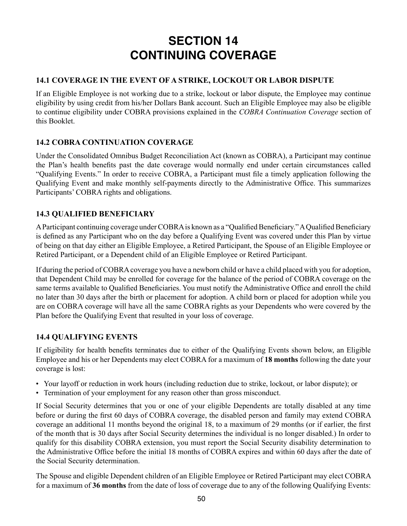# **SECTION 14 CONTINUING COVERAGE**

# **14.1 COVERAGE IN THE EVENT OF A STRIKE, LOCKOUT OR LABOR DISPUTE**

If an Eligible Employee is not working due to a strike, lockout or labor dispute, the Employee may continue eligibility by using credit from his/her Dollars Bank account. Such an Eligible Employee may also be eligible to continue eligibility under COBRA provisions explained in the *COBRA Continuation Coverage* section of this Booklet.

## **14.2 COBRA CONTINUATION COVERAGE**

Under the Consolidated Omnibus Budget Reconciliation Act (known as COBRA), a Participant may continue the Plan's health benefits past the date coverage would normally end under certain circumstances called "Qualifying Events." In order to receive COBRA, a Participant must file a timely application following the Qualifying Event and make monthly self-payments directly to the Administrative Office. This summarizes Participants' COBRA rights and obligations.

# **14.3 QUALIFIED BENEFICIARY**

A Participant continuing coverage under COBRA is known as a "Qualified Beneficiary." A Qualified Beneficiary is defined as any Participant who on the day before a Qualifying Event was covered under this Plan by virtue of being on that day either an Eligible Employee, a Retired Participant, the Spouse of an Eligible Employee or Retired Participant, or a Dependent child of an Eligible Employee or Retired Participant.

If during the period of COBRA coverage you have a newborn child or have a child placed with you for adoption, that Dependent Child may be enrolled for coverage for the balance of the period of COBRA coverage on the same terms available to Qualified Beneficiaries. You must notify the Administrative Office and enroll the child no later than 30 days after the birth or placement for adoption. A child born or placed for adoption while you are on COBRA coverage will have all the same COBRA rights as your Dependents who were covered by the Plan before the Qualifying Event that resulted in your loss of coverage.

## **14.4 QUALIFYING EVENTS**

If eligibility for health benefits terminates due to either of the Qualifying Events shown below, an Eligible Employee and his or her Dependents may elect COBRA for a maximum of **18 months** following the date your coverage is lost:

- Your layoff or reduction in work hours (including reduction due to strike, lockout, or labor dispute); or
- Termination of your employment for any reason other than gross misconduct.

If Social Security determines that you or one of your eligible Dependents are totally disabled at any time before or during the first 60 days of COBRA coverage, the disabled person and family may extend COBRA coverage an additional 11 months beyond the original 18, to a maximum of 29 months (or if earlier, the first of the month that is 30 days after Social Security determines the individual is no longer disabled.) In order to qualify for this disability COBRA extension, you must report the Social Security disability determination to the Administrative Office before the initial 18 months of COBRA expires and within 60 days after the date of the Social Security determination.

The Spouse and eligible Dependent children of an Eligible Employee or Retired Participant may elect COBRA for a maximum of **36 months** from the date of loss of coverage due to any of the following Qualifying Events: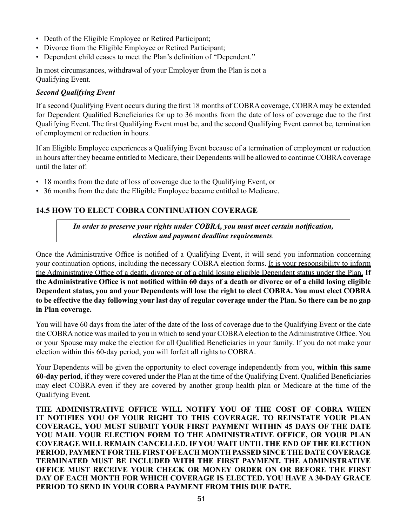- Death of the Eligible Employee or Retired Participant;
- Divorce from the Eligible Employee or Retired Participant;
- Dependent child ceases to meet the Plan's definition of "Dependent."

In most circumstances, withdrawal of your Employer from the Plan is not a Qualifying Event.

#### *Second Qualifying Event*

If a second Qualifying Event occurs during the first 18 months of COBRA coverage, COBRA may be extended for Dependent Qualified Beneficiaries for up to 36 months from the date of loss of coverage due to the first Qualifying Event. The first Qualifying Event must be, and the second Qualifying Event cannot be, termination of employment or reduction in hours.

If an Eligible Employee experiences a Qualifying Event because of a termination of employment or reduction in hours after they became entitled to Medicare, their Dependents will be allowed to continue COBRA coverage until the later of:

- 18 months from the date of loss of coverage due to the Qualifying Event, or
- 36 months from the date the Eligible Employee became entitled to Medicare.

#### **14.5 HOW TO ELECT COBRA CONTINUATION COVERAGE**

*In order to preserve your rights under COBRA, you must meet certain notification, election and payment deadline requirements*.

Once the Administrative Office is notified of a Qualifying Event, it will send you information concerning your continuation options, including the necessary COBRA election forms. It is your responsibility to inform the Administrative Office of a death, divorce or of a child losing eligible Dependent status under the Plan. **If the Administrative Office is not notified within 60 days of a death or divorce or of a child losing eligible Dependent status, you and your Dependents will lose the right to elect COBRA. You must elect COBRA to be effective the day following your last day of regular coverage under the Plan. So there can be no gap in Plan coverage.**

You will have 60 days from the later of the date of the loss of coverage due to the Qualifying Event or the date the COBRA notice was mailed to you in which to send your COBRA election to the Administrative Office. You or your Spouse may make the election for all Qualified Beneficiaries in your family. If you do not make your election within this 60-day period, you will forfeit all rights to COBRA.

Your Dependents will be given the opportunity to elect coverage independently from you, **within this same 60-day period**, if they were covered under the Plan at the time of the Qualifying Event. Qualified Beneficiaries may elect COBRA even if they are covered by another group health plan or Medicare at the time of the Qualifying Event.

**THE ADMINISTRATIVE OFFICE WILL NOTIFY YOU OF THE COST OF COBRA WHEN IT NOTIFIES YOU OF YOUR RIGHT TO THIS COVERAGE. TO REINSTATE YOUR PLAN COVERAGE, YOU MUST SUBMIT YOUR FIRST PAYMENT WITHIN 45 DAYS OF THE DATE YOU MAIL YOUR ELECTION FORM TO THE ADMINISTRATIVE OFFICE, OR YOUR PLAN COVERAGE WILL REMAIN CANCELLED. IF YOU WAIT UNTIL THE END OF THE ELECTION PERIOD, PAYMENT FOR THE FIRST OF EACH MONTH PASSED SINCE THE DATE COVERAGE TERMINATED MUST BE INCLUDED WITH THE FIRST PAYMENT. THE ADMINISTRATIVE OFFICE MUST RECEIVE YOUR CHECK OR MONEY ORDER ON OR BEFORE THE FIRST DAY OF EACH MONTH FOR WHICH COVERAGE IS ELECTED. YOU HAVE A 30-DAY GRACE PERIOD TO SEND IN YOUR COBRA PAYMENT FROM THIS DUE DATE.**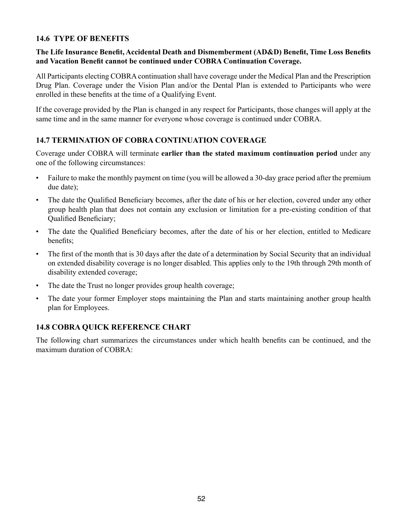## **14.6 TYPE OF BENEFITS**

### **The Life Insurance Benefit, Accidental Death and Dismemberment (AD&D) Benefit, Time Loss Benefits and Vacation Benefit cannot be continued under COBRA Continuation Coverage.**

All Participants electing COBRA continuation shall have coverage under the Medical Plan and the Prescription Drug Plan. Coverage under the Vision Plan and/or the Dental Plan is extended to Participants who were enrolled in these benefits at the time of a Qualifying Event.

If the coverage provided by the Plan is changed in any respect for Participants, those changes will apply at the same time and in the same manner for everyone whose coverage is continued under COBRA.

## **14.7 TERMINATION OF COBRA CONTINUATION COVERAGE**

Coverage under COBRA will terminate **earlier than the stated maximum continuation period** under any one of the following circumstances:

- Failure to make the monthly payment on time (you will be allowed a 30-day grace period after the premium due date);
- The date the Qualified Beneficiary becomes, after the date of his or her election, covered under any other group health plan that does not contain any exclusion or limitation for a pre-existing condition of that Qualified Beneficiary;
- The date the Qualified Beneficiary becomes, after the date of his or her election, entitled to Medicare benefits;
- The first of the month that is 30 days after the date of a determination by Social Security that an individual on extended disability coverage is no longer disabled. This applies only to the 19th through 29th month of disability extended coverage;
- The date the Trust no longer provides group health coverage;
- The date your former Employer stops maintaining the Plan and starts maintaining another group health plan for Employees.

## **14.8 COBRA QUICK REFERENCE CHART**

The following chart summarizes the circumstances under which health benefits can be continued, and the maximum duration of COBRA: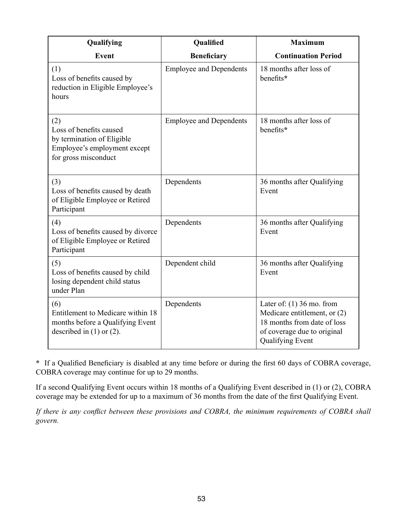| Qualifying                                                                                                           | Qualified                      | <b>Maximum</b>                                                                                                                                       |
|----------------------------------------------------------------------------------------------------------------------|--------------------------------|------------------------------------------------------------------------------------------------------------------------------------------------------|
| <b>Event</b>                                                                                                         | <b>Beneficiary</b>             | <b>Continuation Period</b>                                                                                                                           |
| (1)<br>Loss of benefits caused by<br>reduction in Eligible Employee's<br>hours                                       | <b>Employee and Dependents</b> | 18 months after loss of<br>benefits*                                                                                                                 |
| (2)<br>Loss of benefits caused<br>by termination of Eligible<br>Employee's employment except<br>for gross misconduct | <b>Employee and Dependents</b> | 18 months after loss of<br>benefits*                                                                                                                 |
| (3)<br>Loss of benefits caused by death<br>of Eligible Employee or Retired<br>Participant                            | Dependents                     | 36 months after Qualifying<br>Event                                                                                                                  |
| (4)<br>Loss of benefits caused by divorce<br>of Eligible Employee or Retired<br>Participant                          | Dependents                     | 36 months after Qualifying<br>Event                                                                                                                  |
| (5)<br>Loss of benefits caused by child<br>losing dependent child status<br>under Plan                               | Dependent child                | 36 months after Qualifying<br>Event                                                                                                                  |
| (6)<br>Entitlement to Medicare within 18<br>months before a Qualifying Event<br>described in $(1)$ or $(2)$ .        | Dependents                     | Later of: $(1)$ 36 mo. from<br>Medicare entitlement, or (2)<br>18 months from date of loss<br>of coverage due to original<br><b>Qualifying Event</b> |

**\*** If a Qualified Beneficiary is disabled at any time before or during the first 60 days of COBRA coverage, COBRA coverage may continue for up to 29 months.

If a second Qualifying Event occurs within 18 months of a Qualifying Event described in (1) or (2), COBRA coverage may be extended for up to a maximum of 36 months from the date of the first Qualifying Event.

*If there is any conflict between these provisions and COBRA, the minimum requirements of COBRA shall govern.*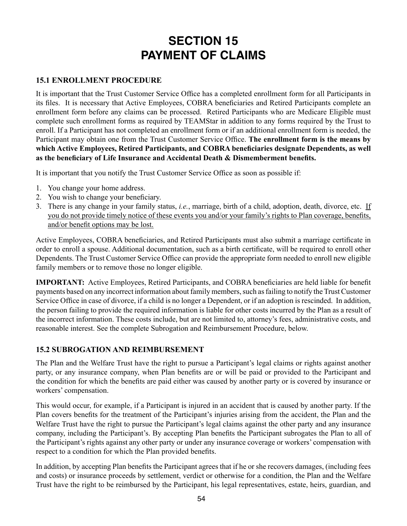# **SECTION 15 PAYMENT OF CLAIMS**

## **15.1 ENROLLMENT PROCEDURE**

It is important that the Trust Customer Service Office has a completed enrollment form for all Participants in its files. It is necessary that Active Employees, COBRA beneficiaries and Retired Participants complete an enrollment form before any claims can be processed. Retired Participants who are Medicare Eligible must complete such enrollment forms as required by TEAMStar in addition to any forms required by the Trust to enroll. If a Participant has not completed an enrollment form or if an additional enrollment form is needed, the Participant may obtain one from the Trust Customer Service Office. **The enrollment form is the means by which Active Employees, Retired Participants, and COBRA beneficiaries designate Dependents, as well as the beneficiary of Life Insurance and Accidental Death & Dismemberment benefits.**

It is important that you notify the Trust Customer Service Office as soon as possible if:

- 1. You change your home address.
- 2. You wish to change your beneficiary.
- 3. There is any change in your family status, *i.e.*, marriage, birth of a child, adoption, death, divorce, etc. If you do not provide timely notice of these events you and/or your family's rights to Plan coverage, benefits, and/or benefit options may be lost.

Active Employees, COBRA beneficiaries, and Retired Participants must also submit a marriage certificate in order to enroll a spouse. Additional documentation, such as a birth certificate, will be required to enroll other Dependents. The Trust Customer Service Office can provide the appropriate form needed to enroll new eligible family members or to remove those no longer eligible.

**IMPORTANT:** Active Employees, Retired Participants, and COBRA beneficiaries are held liable for benefit payments based on any incorrect information about family members, such as failing to notify the Trust Customer Service Office in case of divorce, if a child is no longer a Dependent, or if an adoption is rescinded. In addition, the person failing to provide the required information is liable for other costs incurred by the Plan as a result of the incorrect information. These costs include, but are not limited to, attorney's fees, administrative costs, and reasonable interest. See the complete Subrogation and Reimbursement Procedure, below.

# **15.2 SUBROGATION AND REIMBURSEMENT**

The Plan and the Welfare Trust have the right to pursue a Participant's legal claims or rights against another party, or any insurance company, when Plan benefits are or will be paid or provided to the Participant and the condition for which the benefits are paid either was caused by another party or is covered by insurance or workers' compensation.

This would occur, for example, if a Participant is injured in an accident that is caused by another party. If the Plan covers benefits for the treatment of the Participant's injuries arising from the accident, the Plan and the Welfare Trust have the right to pursue the Participant's legal claims against the other party and any insurance company, including the Participant's. By accepting Plan benefits the Participant subrogates the Plan to all of the Participant's rights against any other party or under any insurance coverage or workers' compensation with respect to a condition for which the Plan provided benefits.

In addition, by accepting Plan benefits the Participant agrees that if he or she recovers damages, (including fees and costs) or insurance proceeds by settlement, verdict or otherwise for a condition, the Plan and the Welfare Trust have the right to be reimbursed by the Participant, his legal representatives, estate, heirs, guardian, and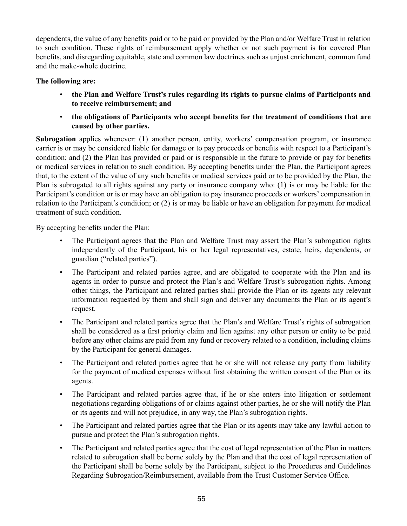dependents, the value of any benefits paid or to be paid or provided by the Plan and/or Welfare Trust in relation to such condition. These rights of reimbursement apply whether or not such payment is for covered Plan benefits, and disregarding equitable, state and common law doctrines such as unjust enrichment, common fund and the make-whole doctrine.

## **The following are:**

- **the Plan and Welfare Trust's rules regarding its rights to pursue claims of Participants and to receive reimbursement; and**
- **the obligations of Participants who accept benefits for the treatment of conditions that are caused by other parties.**

**Subrogation** applies whenever: (1) another person, entity, workers' compensation program, or insurance carrier is or may be considered liable for damage or to pay proceeds or benefits with respect to a Participant's condition; and (2) the Plan has provided or paid or is responsible in the future to provide or pay for benefits or medical services in relation to such condition. By accepting benefits under the Plan, the Participant agrees that, to the extent of the value of any such benefits or medical services paid or to be provided by the Plan, the Plan is subrogated to all rights against any party or insurance company who: (1) is or may be liable for the Participant's condition or is or may have an obligation to pay insurance proceeds or workers' compensation in relation to the Participant's condition; or (2) is or may be liable or have an obligation for payment for medical treatment of such condition.

By accepting benefits under the Plan:

- The Participant agrees that the Plan and Welfare Trust may assert the Plan's subrogation rights independently of the Participant, his or her legal representatives, estate, heirs, dependents, or guardian ("related parties").
- The Participant and related parties agree, and are obligated to cooperate with the Plan and its agents in order to pursue and protect the Plan's and Welfare Trust's subrogation rights. Among other things, the Participant and related parties shall provide the Plan or its agents any relevant information requested by them and shall sign and deliver any documents the Plan or its agent's request.
- The Participant and related parties agree that the Plan's and Welfare Trust's rights of subrogation shall be considered as a first priority claim and lien against any other person or entity to be paid before any other claims are paid from any fund or recovery related to a condition, including claims by the Participant for general damages.
- The Participant and related parties agree that he or she will not release any party from liability for the payment of medical expenses without first obtaining the written consent of the Plan or its agents.
- The Participant and related parties agree that, if he or she enters into litigation or settlement negotiations regarding obligations of or claims against other parties, he or she will notify the Plan or its agents and will not prejudice, in any way, the Plan's subrogation rights.
- The Participant and related parties agree that the Plan or its agents may take any lawful action to pursue and protect the Plan's subrogation rights.
- The Participant and related parties agree that the cost of legal representation of the Plan in matters related to subrogation shall be borne solely by the Plan and that the cost of legal representation of the Participant shall be borne solely by the Participant, subject to the Procedures and Guidelines Regarding Subrogation/Reimbursement, available from the Trust Customer Service Office.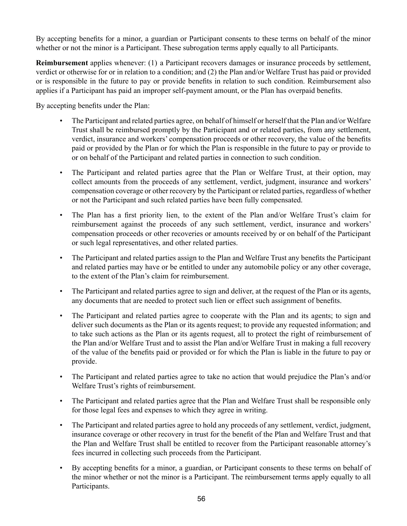By accepting benefits for a minor, a guardian or Participant consents to these terms on behalf of the minor whether or not the minor is a Participant. These subrogation terms apply equally to all Participants.

**Reimbursement** applies whenever: (1) a Participant recovers damages or insurance proceeds by settlement, verdict or otherwise for or in relation to a condition; and (2) the Plan and/or Welfare Trust has paid or provided or is responsible in the future to pay or provide benefits in relation to such condition. Reimbursement also applies if a Participant has paid an improper self-payment amount, or the Plan has overpaid benefits.

By accepting benefits under the Plan:

- The Participant and related parties agree, on behalf of himself or herself that the Plan and/or Welfare Trust shall be reimbursed promptly by the Participant and or related parties, from any settlement, verdict, insurance and workers' compensation proceeds or other recovery, the value of the benefits paid or provided by the Plan or for which the Plan is responsible in the future to pay or provide to or on behalf of the Participant and related parties in connection to such condition.
- The Participant and related parties agree that the Plan or Welfare Trust, at their option, may collect amounts from the proceeds of any settlement, verdict, judgment, insurance and workers' compensation coverage or other recovery by the Participant or related parties, regardless of whether or not the Participant and such related parties have been fully compensated.
- The Plan has a first priority lien, to the extent of the Plan and/or Welfare Trust's claim for reimbursement against the proceeds of any such settlement, verdict, insurance and workers' compensation proceeds or other recoveries or amounts received by or on behalf of the Participant or such legal representatives, and other related parties.
- The Participant and related parties assign to the Plan and Welfare Trust any benefits the Participant and related parties may have or be entitled to under any automobile policy or any other coverage, to the extent of the Plan's claim for reimbursement.
- The Participant and related parties agree to sign and deliver, at the request of the Plan or its agents, any documents that are needed to protect such lien or effect such assignment of benefits.
- The Participant and related parties agree to cooperate with the Plan and its agents; to sign and deliver such documents as the Plan or its agents request; to provide any requested information; and to take such actions as the Plan or its agents request, all to protect the right of reimbursement of the Plan and/or Welfare Trust and to assist the Plan and/or Welfare Trust in making a full recovery of the value of the benefits paid or provided or for which the Plan is liable in the future to pay or provide.
- The Participant and related parties agree to take no action that would prejudice the Plan's and/or Welfare Trust's rights of reimbursement.
- The Participant and related parties agree that the Plan and Welfare Trust shall be responsible only for those legal fees and expenses to which they agree in writing.
- The Participant and related parties agree to hold any proceeds of any settlement, verdict, judgment, insurance coverage or other recovery in trust for the benefit of the Plan and Welfare Trust and that the Plan and Welfare Trust shall be entitled to recover from the Participant reasonable attorney's fees incurred in collecting such proceeds from the Participant.
- By accepting benefits for a minor, a guardian, or Participant consents to these terms on behalf of the minor whether or not the minor is a Participant. The reimbursement terms apply equally to all Participants.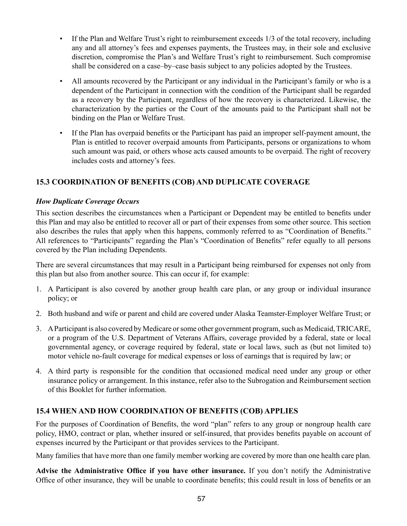- If the Plan and Welfare Trust's right to reimbursement exceeds 1/3 of the total recovery, including any and all attorney's fees and expenses payments, the Trustees may, in their sole and exclusive discretion, compromise the Plan's and Welfare Trust's right to reimbursement. Such compromise shall be considered on a case–by–case basis subject to any policies adopted by the Trustees.
- All amounts recovered by the Participant or any individual in the Participant's family or who is a dependent of the Participant in connection with the condition of the Participant shall be regarded as a recovery by the Participant, regardless of how the recovery is characterized. Likewise, the characterization by the parties or the Court of the amounts paid to the Participant shall not be binding on the Plan or Welfare Trust.
- If the Plan has overpaid benefits or the Participant has paid an improper self-payment amount, the Plan is entitled to recover overpaid amounts from Participants, persons or organizations to whom such amount was paid, or others whose acts caused amounts to be overpaid. The right of recovery includes costs and attorney's fees.

# **15.3 COORDINATION OF BENEFITS (COB) AND DUPLICATE COVERAGE**

#### *How Duplicate Coverage Occurs*

This section describes the circumstances when a Participant or Dependent may be entitled to benefits under this Plan and may also be entitled to recover all or part of their expenses from some other source. This section also describes the rules that apply when this happens, commonly referred to as "Coordination of Benefits." All references to "Participants" regarding the Plan's "Coordination of Benefits" refer equally to all persons covered by the Plan including Dependents.

There are several circumstances that may result in a Participant being reimbursed for expenses not only from this plan but also from another source. This can occur if, for example:

- 1. A Participant is also covered by another group health care plan, or any group or individual insurance policy; or
- 2. Both husband and wife or parent and child are covered under Alaska Teamster-Employer Welfare Trust; or
- 3. A Participant is also covered by Medicare or some other government program, such as Medicaid, TRICARE, or a program of the U.S. Department of Veterans Affairs, coverage provided by a federal, state or local governmental agency, or coverage required by federal, state or local laws, such as (but not limited to) motor vehicle no-fault coverage for medical expenses or loss of earnings that is required by law; or
- 4. A third party is responsible for the condition that occasioned medical need under any group or other insurance policy or arrangement. In this instance, refer also to the Subrogation and Reimbursement section of this Booklet for further information.

## **15.4 WHEN AND HOW COORDINATION OF BENEFITS (COB) APPLIES**

For the purposes of Coordination of Benefits, the word "plan" refers to any group or nongroup health care policy, HMO, contract or plan, whether insured or self-insured, that provides benefits payable on account of expenses incurred by the Participant or that provides services to the Participant.

Many families that have more than one family member working are covered by more than one health care plan.

**Advise the Administrative Office if you have other insurance.** If you don't notify the Administrative Office of other insurance, they will be unable to coordinate benefits; this could result in loss of benefits or an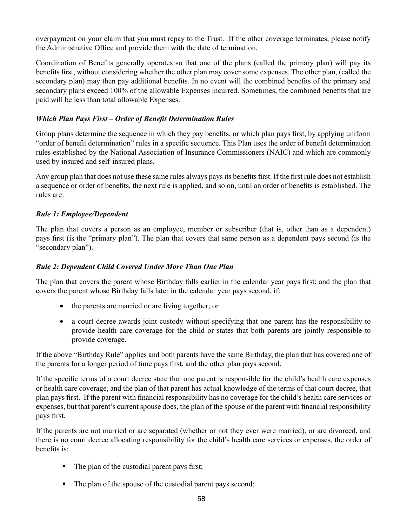overpayment on your claim that you must repay to the Trust. If the other coverage terminates, please notify the Administrative Office and provide them with the date of termination.

Coordination of Benefits generally operates so that one of the plans (called the primary plan) will pay its benefits first, without considering whether the other plan may cover some expenses. The other plan, (called the secondary plan) may then pay additional benefits. In no event will the combined benefits of the primary and secondary plans exceed 100% of the allowable Expenses incurred. Sometimes, the combined benefits that are paid will be less than total allowable Expenses.

#### *Which Plan Pays First – Order of Benefit Determination Rules*

Group plans determine the sequence in which they pay benefits, or which plan pays first, by applying uniform "order of benefit determination" rules in a specific sequence. This Plan uses the order of benefit determination rules established by the National Association of Insurance Commissioners (NAIC) and which are commonly used by insured and self-insured plans.

Any group plan that does not use these same rules always pays its benefits first. If the first rule does not establish a sequence or order of benefits, the next rule is applied, and so on, until an order of benefits is established. The rules are:

# *Rule 1: Employee/Dependent*

The plan that covers a person as an employee, member or subscriber (that is, other than as a dependent) pays first (is the "primary plan"). The plan that covers that same person as a dependent pays second (is the "secondary plan").

#### *Rule 2: Dependent Child Covered Under More Than One Plan*

The plan that covers the parent whose Birthday falls earlier in the calendar year pays first; and the plan that covers the parent whose Birthday falls later in the calendar year pays second, if:

- the parents are married or are living together; or
- a court decree awards joint custody without specifying that one parent has the responsibility to provide health care coverage for the child or states that both parents are jointly responsible to provide coverage.

If the above "Birthday Rule" applies and both parents have the same Birthday, the plan that has covered one of the parents for a longer period of time pays first, and the other plan pays second.

If the specific terms of a court decree state that one parent is responsible for the child's health care expenses or health care coverage, and the plan of that parent has actual knowledge of the terms of that court decree, that plan pays first. If the parent with financial responsibility has no coverage for the child's health care services or expenses, but that parent's current spouse does, the plan of the spouse of the parent with financial responsibility pays first.

If the parents are not married or are separated (whether or not they ever were married), or are divorced, and there is no court decree allocating responsibility for the child's health care services or expenses, the order of benefits is:

- The plan of the custodial parent pays first;
- The plan of the spouse of the custodial parent pays second;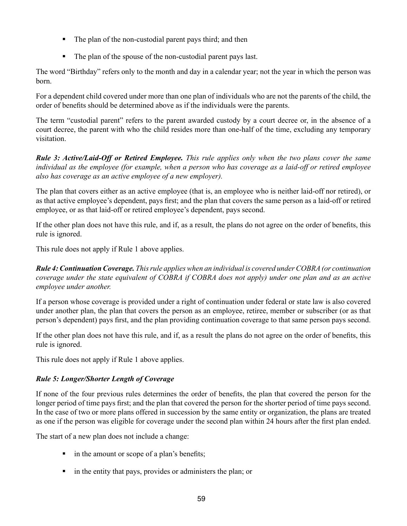- The plan of the non-custodial parent pays third; and then
- The plan of the spouse of the non-custodial parent pays last.

The word "Birthday" refers only to the month and day in a calendar year; not the year in which the person was born.

For a dependent child covered under more than one plan of individuals who are not the parents of the child, the order of benefits should be determined above as if the individuals were the parents.

The term "custodial parent" refers to the parent awarded custody by a court decree or, in the absence of a court decree, the parent with who the child resides more than one-half of the time, excluding any temporary visitation.

*Rule 3: Active/Laid-Off or Retired Employee. This rule applies only when the two plans cover the same individual as the employee (for example, when a person who has coverage as a laid-off or retired employee also has coverage as an active employee of a new employer).*

The plan that covers either as an active employee (that is, an employee who is neither laid-off nor retired), or as that active employee's dependent, pays first; and the plan that covers the same person as a laid-off or retired employee, or as that laid-off or retired employee's dependent, pays second.

If the other plan does not have this rule, and if, as a result, the plans do not agree on the order of benefits, this rule is ignored.

This rule does not apply if Rule 1 above applies.

*Rule 4: Continuation Coverage. This rule applies when an individual is covered under COBRA (or continuation coverage under the state equivalent of COBRA if COBRA does not apply) under one plan and as an active employee under another.*

If a person whose coverage is provided under a right of continuation under federal or state law is also covered under another plan, the plan that covers the person as an employee, retiree, member or subscriber (or as that person's dependent) pays first, and the plan providing continuation coverage to that same person pays second.

If the other plan does not have this rule, and if, as a result the plans do not agree on the order of benefits, this rule is ignored.

This rule does not apply if Rule 1 above applies.

# *Rule 5: Longer/Shorter Length of Coverage*

If none of the four previous rules determines the order of benefits, the plan that covered the person for the longer period of time pays first; and the plan that covered the person for the shorter period of time pays second. In the case of two or more plans offered in succession by the same entity or organization, the plans are treated as one if the person was eligible for coverage under the second plan within 24 hours after the first plan ended.

The start of a new plan does not include a change:

- in the amount or scope of a plan's benefits;
- $\blacksquare$  in the entity that pays, provides or administers the plan; or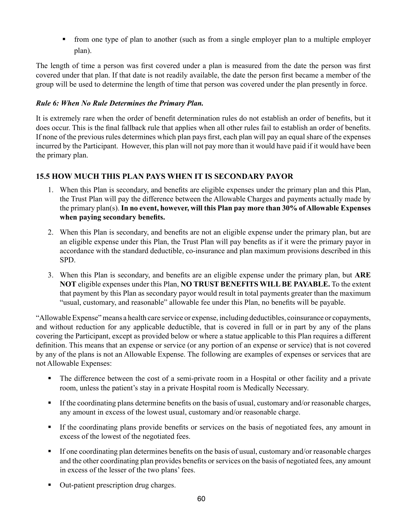from one type of plan to another (such as from a single employer plan to a multiple employer plan).

The length of time a person was first covered under a plan is measured from the date the person was first covered under that plan. If that date is not readily available, the date the person first became a member of the group will be used to determine the length of time that person was covered under the plan presently in force.

# *Rule 6: When No Rule Determines the Primary Plan.*

It is extremely rare when the order of benefit determination rules do not establish an order of benefits, but it does occur. This is the final fallback rule that applies when all other rules fail to establish an order of benefits. If none of the previous rules determines which plan pays first, each plan will pay an equal share of the expenses incurred by the Participant. However, this plan will not pay more than it would have paid if it would have been the primary plan.

# **15.5 HOW MUCH THIS PLAN PAYS WHEN IT IS SECONDARY PAYOR**

- 1. When this Plan is secondary, and benefits are eligible expenses under the primary plan and this Plan, the Trust Plan will pay the difference between the Allowable Charges and payments actually made by the primary plan(s). **In no event, however, will this Plan pay more than 30% of Allowable Expenses when paying secondary benefits.**
- 2. When this Plan is secondary, and benefits are not an eligible expense under the primary plan, but are an eligible expense under this Plan, the Trust Plan will pay benefits as if it were the primary payor in accordance with the standard deductible, co-insurance and plan maximum provisions described in this SPD.
- 3. When this Plan is secondary, and benefits are an eligible expense under the primary plan, but **ARE NOT** eligible expenses under this Plan, **NO TRUST BENEFITS WILL BE PAYABLE.** To the extent that payment by this Plan as secondary payor would result in total payments greater than the maximum "usual, customary, and reasonable" allowable fee under this Plan, no benefits will be payable.

"Allowable Expense" means a health care service or expense, including deductibles, coinsurance or copayments, and without reduction for any applicable deductible, that is covered in full or in part by any of the plans covering the Participant, except as provided below or where a statue applicable to this Plan requires a different definition. This means that an expense or service (or any portion of an expense or service) that is not covered by any of the plans is not an Allowable Expense. The following are examples of expenses or services that are not Allowable Expenses:

- The difference between the cost of a semi-private room in a Hospital or other facility and a private room, unless the patient's stay in a private Hospital room is Medically Necessary.
- If the coordinating plans determine benefits on the basis of usual, customary and/or reasonable charges, any amount in excess of the lowest usual, customary and/or reasonable charge.
- If the coordinating plans provide benefits or services on the basis of negotiated fees, any amount in excess of the lowest of the negotiated fees.
- If one coordinating plan determines benefits on the basis of usual, customary and/or reasonable charges and the other coordinating plan provides benefits or services on the basis of negotiated fees, any amount in excess of the lesser of the two plans' fees.
- Out-patient prescription drug charges.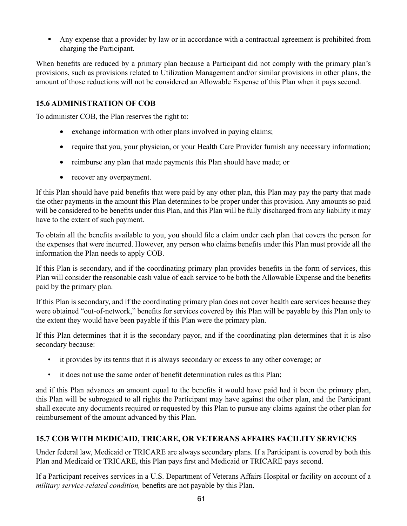Any expense that a provider by law or in accordance with a contractual agreement is prohibited from charging the Participant.

When benefits are reduced by a primary plan because a Participant did not comply with the primary plan's provisions, such as provisions related to Utilization Management and/or similar provisions in other plans, the amount of those reductions will not be considered an Allowable Expense of this Plan when it pays second.

# **15.6 ADMINISTRATION OF COB**

To administer COB, the Plan reserves the right to:

- exchange information with other plans involved in paying claims;
- require that you, your physician, or your Health Care Provider furnish any necessary information;
- reimburse any plan that made payments this Plan should have made; or
- recover any overpayment.

If this Plan should have paid benefits that were paid by any other plan, this Plan may pay the party that made the other payments in the amount this Plan determines to be proper under this provision. Any amounts so paid will be considered to be benefits under this Plan, and this Plan will be fully discharged from any liability it may have to the extent of such payment.

To obtain all the benefits available to you, you should file a claim under each plan that covers the person for the expenses that were incurred. However, any person who claims benefits under this Plan must provide all the information the Plan needs to apply COB.

If this Plan is secondary, and if the coordinating primary plan provides benefits in the form of services, this Plan will consider the reasonable cash value of each service to be both the Allowable Expense and the benefits paid by the primary plan.

If this Plan is secondary, and if the coordinating primary plan does not cover health care services because they were obtained "out-of-network," benefits for services covered by this Plan will be payable by this Plan only to the extent they would have been payable if this Plan were the primary plan.

If this Plan determines that it is the secondary payor, and if the coordinating plan determines that it is also secondary because:

- it provides by its terms that it is always secondary or excess to any other coverage; or
- it does not use the same order of benefit determination rules as this Plan;

and if this Plan advances an amount equal to the benefits it would have paid had it been the primary plan, this Plan will be subrogated to all rights the Participant may have against the other plan, and the Participant shall execute any documents required or requested by this Plan to pursue any claims against the other plan for reimbursement of the amount advanced by this Plan.

# **15.7 COB WITH MEDICAID, TRICARE, OR VETERANS AFFAIRS FACILITY SERVICES**

Under federal law, Medicaid or TRICARE are always secondary plans. If a Participant is covered by both this Plan and Medicaid or TRICARE, this Plan pays first and Medicaid or TRICARE pays second.

If a Participant receives services in a U.S. Department of Veterans Affairs Hospital or facility on account of a *military service-related condition,* benefits are not payable by this Plan.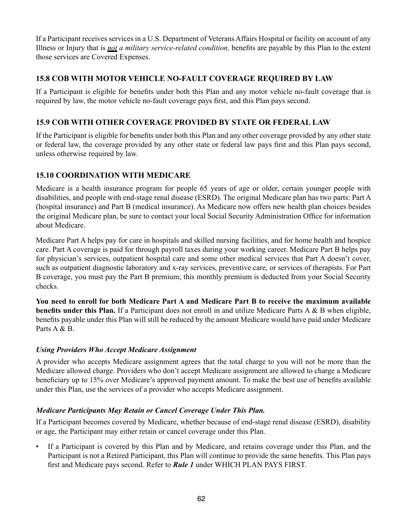If a Participant receives services in a U.S. Department of Veterans Affairs Hospital or facility on account of any Illness or Injury that is *not a military service-related condition,* benefits are payable by this Plan to the extent those services are Covered Expenses.

# **15.8 COB WITH MOTOR VEHICLE NO-FAULT COVERAGE REQUIRED BY LAW**

If a Participant is eligible for benefits under both this Plan and any motor vehicle no-fault coverage that is required by law, the motor vehicle no-fault coverage pays first, and this Plan pays second.

# **15.9 COB WITH OTHER COVERAGE PROVIDED BY STATE OR FEDERAL LAW**

If the Participant is eligible for benefits under both this Plan and any other coverage provided by any other state or federal law, the coverage provided by any other state or federal law pays first and this Plan pays second, unless otherwise required by law.

# **15.10 COORDINATION WITH MEDICARE**

Medicare is a health insurance program for people 65 years of age or older, certain younger people with disabilities, and people with end-stage renal disease (ESRD). The original Medicare plan has two parts: Part A (hospital insurance) and Part B (medical insurance). As Medicare now offers new health plan choices besides the original Medicare plan, be sure to contact your local Social Security Administration Office for information about Medicare.

Medicare Part A helps pay for care in hospitals and skilled nursing facilities, and for home health and hospice care. Part A coverage is paid for through payroll taxes during your working career. Medicare Part B helps pay for physician's services, outpatient hospital care and some other medical services that Part A doesn't cover, such as outpatient diagnostic laboratory and x-ray services, preventive care, or services of therapists. For Part B coverage, you must pay the Part B premium; this monthly premium is deducted from your Social Security checks.

**You need to enroll for both Medicare Part A and Medicare Part B to receive the maximum available benefits under this Plan.** If a Participant does not enroll in and utilize Medicare Parts A & B when eligible, benefits payable under this Plan will still be reduced by the amount Medicare would have paid under Medicare Parts A & B.

# *Using Providers Who Accept Medicare Assignment*

A provider who accepts Medicare assignment agrees that the total charge to you will not be more than the Medicare allowed charge. Providers who don't accept Medicare assignment are allowed to charge a Medicare beneficiary up to 15% over Medicare's approved payment amount. To make the best use of benefits available under this Plan, use the services of a provider who accepts Medicare assignment.

# *Medicare Participants May Retain or Cancel Coverage Under This Plan.*

If a Participant becomes covered by Medicare, whether because of end-stage renal disease (ESRD), disability or age, the Participant may either retain or cancel coverage under this Plan.

• If a Participant is covered by this Plan and by Medicare, and retains coverage under this Plan, and the Participant is not a Retired Participant, this Plan will continue to provide the same benefits. This Plan pays first and Medicare pays second. Refer to *Rule 1* under WHICH PLAN PAYS FIRST.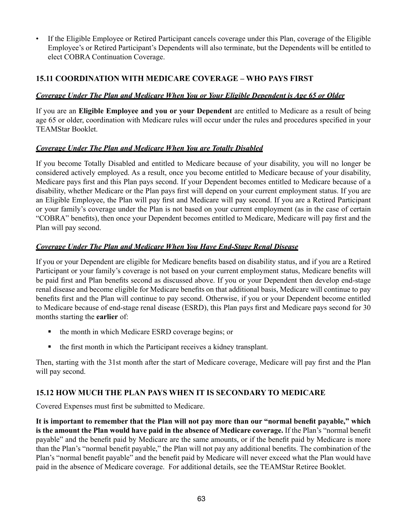• If the Eligible Employee or Retired Participant cancels coverage under this Plan, coverage of the Eligible Employee's or Retired Participant's Dependents will also terminate, but the Dependents will be entitled to elect COBRA Continuation Coverage.

# **15.11 COORDINATION WITH MEDICARE COVERAGE – WHO PAYS FIRST**

# *Coverage Under The Plan and Medicare When You or Your Eligible Dependent is Age 65 or Older*

If you are an **Eligible Employee and you or your Dependent** are entitled to Medicare as a result of being age 65 or older, coordination with Medicare rules will occur under the rules and procedures specified in your TEAMStar Booklet.

#### *Coverage Under The Plan and Medicare When You are Totally Disabled*

If you become Totally Disabled and entitled to Medicare because of your disability, you will no longer be considered actively employed. As a result, once you become entitled to Medicare because of your disability, Medicare pays first and this Plan pays second. If your Dependent becomes entitled to Medicare because of a disability, whether Medicare or the Plan pays first will depend on your current employment status. If you are an Eligible Employee, the Plan will pay first and Medicare will pay second. If you are a Retired Participant or your family's coverage under the Plan is not based on your current employment (as in the case of certain "COBRA" benefits), then once your Dependent becomes entitled to Medicare, Medicare will pay first and the Plan will pay second.

#### *Coverage Under The Plan and Medicare When You Have End-Stage Renal Disease*

If you or your Dependent are eligible for Medicare benefits based on disability status, and if you are a Retired Participant or your family's coverage is not based on your current employment status, Medicare benefits will be paid first and Plan benefits second as discussed above. If you or your Dependent then develop end-stage renal disease and become eligible for Medicare benefits on that additional basis, Medicare will continue to pay benefits first and the Plan will continue to pay second. Otherwise, if you or your Dependent become entitled to Medicare because of end-stage renal disease (ESRD), this Plan pays first and Medicare pays second for 30 months starting the **earlier** of:

- the month in which Medicare ESRD coverage begins; or
- the first month in which the Participant receives a kidney transplant.

Then, starting with the 31st month after the start of Medicare coverage, Medicare will pay first and the Plan will pay second.

# **15.12 HOW MUCH THE PLAN PAYS WHEN IT IS SECONDARY TO MEDICARE**

Covered Expenses must first be submitted to Medicare.

**It is important to remember that the Plan will not pay more than our "normal benefit payable," which is the amount the Plan would have paid in the absence of Medicare coverage.** If the Plan's "normal benefit payable" and the benefit paid by Medicare are the same amounts, or if the benefit paid by Medicare is more than the Plan's "normal benefit payable," the Plan will not pay any additional benefits. The combination of the Plan's "normal benefit payable" and the benefit paid by Medicare will never exceed what the Plan would have paid in the absence of Medicare coverage. For additional details, see the TEAMStar Retiree Booklet.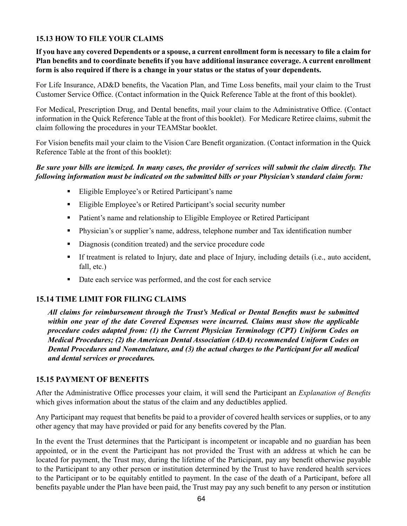# **15.13 HOW TO FILE YOUR CLAIMS**

**If you have any covered Dependents or a spouse, a current enrollment form is necessary to file a claim for Plan benefits and to coordinate benefits if you have additional insurance coverage. A current enrollment form is also required if there is a change in your status or the status of your dependents.** 

For Life Insurance, AD&D benefits, the Vacation Plan, and Time Loss benefits, mail your claim to the Trust Customer Service Office. (Contact information in the Quick Reference Table at the front of this booklet).

For Medical, Prescription Drug, and Dental benefits, mail your claim to the Administrative Office. (Contact information in the Quick Reference Table at the front of this booklet). For Medicare Retiree claims, submit the claim following the procedures in your TEAMStar booklet.

For Vision benefits mail your claim to the Vision Care Benefit organization. (Contact information in the Quick Reference Table at the front of this booklet):

#### *Be sure your bills are itemized. In many cases, the provider of services will submit the claim directly. The following information must be indicated on the submitted bills or your Physician's standard claim form:*

- Eligible Employee's or Retired Participant's name
- Eligible Employee's or Retired Participant's social security number
- **•** Patient's name and relationship to Eligible Employee or Retired Participant
- Physician's or supplier's name, address, telephone number and Tax identification number
- Diagnosis (condition treated) and the service procedure code
- If treatment is related to Injury, date and place of Injury, including details (i.e., auto accident, fall, etc.)
- Date each service was performed, and the cost for each service

#### **15.14 TIME LIMIT FOR FILING CLAIMS**

*All claims for reimbursement through the Trust's Medical or Dental Benefits must be submitted within one year of the date Covered Expenses were incurred. Claims must show the applicable procedure codes adapted from: (1) the Current Physician Terminology (CPT) Uniform Codes on Medical Procedures; (2) the American Dental Association (ADA) recommended Uniform Codes on Dental Procedures and Nomenclature, and (3) the actual charges to the Participant for all medical and dental services or procedures.*

#### **15.15 PAYMENT OF BENEFITS**

After the Administrative Office processes your claim, it will send the Participant an *Explanation of Benefits* which gives information about the status of the claim and any deductibles applied.

Any Participant may request that benefits be paid to a provider of covered health services or supplies, or to any other agency that may have provided or paid for any benefits covered by the Plan.

In the event the Trust determines that the Participant is incompetent or incapable and no guardian has been appointed, or in the event the Participant has not provided the Trust with an address at which he can be located for payment, the Trust may, during the lifetime of the Participant, pay any benefit otherwise payable to the Participant to any other person or institution determined by the Trust to have rendered health services to the Participant or to be equitably entitled to payment. In the case of the death of a Participant, before all benefits payable under the Plan have been paid, the Trust may pay any such benefit to any person or institution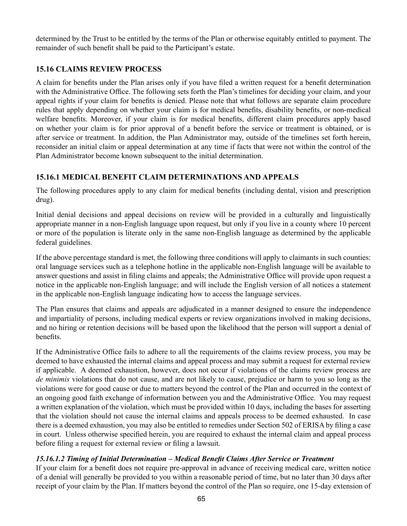determined by the Trust to be entitled by the terms of the Plan or otherwise equitably entitled to payment. The remainder of such benefit shall be paid to the Participant's estate.

# **15.16 CLAIMS REVIEW PROCESS**

A claim for benefits under the Plan arises only if you have filed a written request for a benefit determination with the Administrative Office. The following sets forth the Plan's timelines for deciding your claim, and your appeal rights if your claim for benefits is denied. Please note that what follows are separate claim procedure rules that apply depending on whether your claim is for medical benefits, disability benefits, or non-medical welfare benefits. Moreover, if your claim is for medical benefits, different claim procedures apply based on whether your claim is for prior approval of a benefit before the service or treatment is obtained, or is after service or treatment. In addition, the Plan Administrator may, outside of the timelines set forth herein, reconsider an initial claim or appeal determination at any time if facts that were not within the control of the Plan Administrator become known subsequent to the initial determination.

# **15.16.1 MEDICAL BENEFIT CLAIM DETERMINATIONS AND APPEALS**

The following procedures apply to any claim for medical benefits (including dental, vision and prescription drug).

Initial denial decisions and appeal decisions on review will be provided in a culturally and linguistically appropriate manner in a non-English language upon request, but only if you live in a county where 10 percent or more of the population is literate only in the same non-English language as determined by the applicable federal guidelines.

If the above percentage standard is met, the following three conditions will apply to claimants in such counties: oral language services such as a telephone hotline in the applicable non-English language will be available to answer questions and assist in filing claims and appeals; the Administrative Office will provide upon request a notice in the applicable non-English language; and will include the English version of all notices a statement in the applicable non-English language indicating how to access the language services.

The Plan ensures that claims and appeals are adjudicated in a manner designed to ensure the independence and impartiality of persons, including medical experts or review organizations involved in making decisions, and no hiring or retention decisions will be based upon the likelihood that the person will support a denial of benefits.

If the Administrative Office fails to adhere to all the requirements of the claims review process, you may be deemed to have exhausted the internal claims and appeal process and may submit a request for external review if applicable. A deemed exhaustion, however, does not occur if violations of the claims review process are *de minimis* violations that do not cause, and are not likely to cause, prejudice or harm to you so long as the violations were for good cause or due to matters beyond the control of the Plan and occurred in the context of an ongoing good faith exchange of information between you and the Administrative Office. You may request a written explanation of the violation, which must be provided within 10 days, including the bases for asserting that the violation should not cause the internal claims and appeals process to be deemed exhausted. In case there is a deemed exhaustion, you may also be entitled to remedies under Section 502 of ERISA by filing a case in court. Unless otherwise specified herein, you are required to exhaust the internal claim and appeal process before filing a request for external review or filing a lawsuit.

# *15.16.1.2 Timing of Initial Determination – Medical Benefit Claims After Service or Treatment*

If your claim for a benefit does not require pre-approval in advance of receiving medical care, written notice of a denial will generally be provided to you within a reasonable period of time, but no later than 30 days after receipt of your claim by the Plan. If matters beyond the control of the Plan so require, one 15-day extension of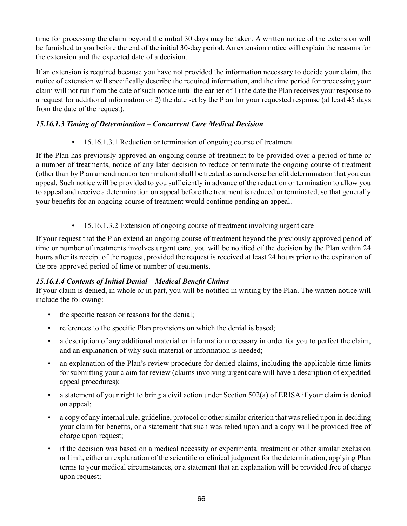time for processing the claim beyond the initial 30 days may be taken. A written notice of the extension will be furnished to you before the end of the initial 30-day period. An extension notice will explain the reasons for the extension and the expected date of a decision.

If an extension is required because you have not provided the information necessary to decide your claim, the notice of extension will specifically describe the required information, and the time period for processing your claim will not run from the date of such notice until the earlier of 1) the date the Plan receives your response to a request for additional information or 2) the date set by the Plan for your requested response (at least 45 days from the date of the request).

# *15.16.1.3 Timing of Determination – Concurrent Care Medical Decision*

• 15.16.1.3.1 Reduction or termination of ongoing course of treatment

If the Plan has previously approved an ongoing course of treatment to be provided over a period of time or a number of treatments, notice of any later decision to reduce or terminate the ongoing course of treatment (other than by Plan amendment or termination) shall be treated as an adverse benefit determination that you can appeal. Such notice will be provided to you sufficiently in advance of the reduction or termination to allow you to appeal and receive a determination on appeal before the treatment is reduced or terminated, so that generally your benefits for an ongoing course of treatment would continue pending an appeal.

• 15.16.1.3.2 Extension of ongoing course of treatment involving urgent care

If your request that the Plan extend an ongoing course of treatment beyond the previously approved period of time or number of treatments involves urgent care, you will be notified of the decision by the Plan within 24 hours after its receipt of the request, provided the request is received at least 24 hours prior to the expiration of the pre-approved period of time or number of treatments.

# *15.16.1.4 Contents of Initial Denial – Medical Benefit Claims*

If your claim is denied, in whole or in part, you will be notified in writing by the Plan. The written notice will include the following:

- the specific reason or reasons for the denial;
- references to the specific Plan provisions on which the denial is based;
- a description of any additional material or information necessary in order for you to perfect the claim, and an explanation of why such material or information is needed;
- an explanation of the Plan's review procedure for denied claims, including the applicable time limits for submitting your claim for review (claims involving urgent care will have a description of expedited appeal procedures);
- a statement of your right to bring a civil action under Section 502(a) of ERISA if your claim is denied on appeal;
- a copy of any internal rule, guideline, protocol or other similar criterion that was relied upon in deciding your claim for benefits, or a statement that such was relied upon and a copy will be provided free of charge upon request;
- if the decision was based on a medical necessity or experimental treatment or other similar exclusion or limit, either an explanation of the scientific or clinical judgment for the determination, applying Plan terms to your medical circumstances, or a statement that an explanation will be provided free of charge upon request;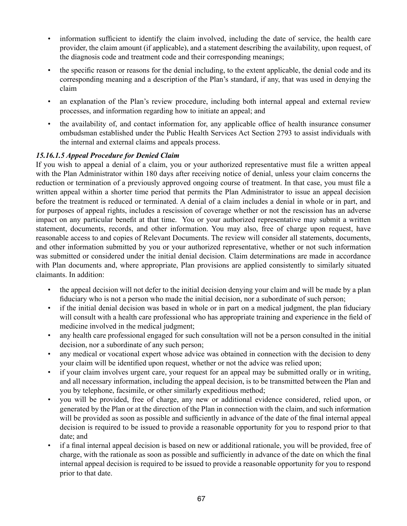- information sufficient to identify the claim involved, including the date of service, the health care provider, the claim amount (if applicable), and a statement describing the availability, upon request, of the diagnosis code and treatment code and their corresponding meanings;
- the specific reason or reasons for the denial including, to the extent applicable, the denial code and its corresponding meaning and a description of the Plan's standard, if any, that was used in denying the claim
- an explanation of the Plan's review procedure, including both internal appeal and external review processes, and information regarding how to initiate an appeal; and
- the availability of, and contact information for, any applicable office of health insurance consumer ombudsman established under the Public Health Services Act Section 2793 to assist individuals with the internal and external claims and appeals process.

# *15.16.1.5 Appeal Procedure for Denied Claim*

If you wish to appeal a denial of a claim, you or your authorized representative must file a written appeal with the Plan Administrator within 180 days after receiving notice of denial, unless your claim concerns the reduction or termination of a previously approved ongoing course of treatment. In that case, you must file a written appeal within a shorter time period that permits the Plan Administrator to issue an appeal decision before the treatment is reduced or terminated. A denial of a claim includes a denial in whole or in part, and for purposes of appeal rights, includes a rescission of coverage whether or not the rescission has an adverse impact on any particular benefit at that time. You or your authorized representative may submit a written statement, documents, records, and other information. You may also, free of charge upon request, have reasonable access to and copies of Relevant Documents. The review will consider all statements, documents, and other information submitted by you or your authorized representative, whether or not such information was submitted or considered under the initial denial decision. Claim determinations are made in accordance with Plan documents and, where appropriate, Plan provisions are applied consistently to similarly situated claimants. In addition:

- the appeal decision will not defer to the initial decision denying your claim and will be made by a plan fiduciary who is not a person who made the initial decision, nor a subordinate of such person;
- if the initial denial decision was based in whole or in part on a medical judgment, the plan fiduciary will consult with a health care professional who has appropriate training and experience in the field of medicine involved in the medical judgment;
- any health care professional engaged for such consultation will not be a person consulted in the initial decision, nor a subordinate of any such person;
- any medical or vocational expert whose advice was obtained in connection with the decision to deny your claim will be identified upon request, whether or not the advice was relied upon;
- if your claim involves urgent care, your request for an appeal may be submitted orally or in writing, and all necessary information, including the appeal decision, is to be transmitted between the Plan and you by telephone, facsimile, or other similarly expeditious method;
- you will be provided, free of charge, any new or additional evidence considered, relied upon, or generated by the Plan or at the direction of the Plan in connection with the claim, and such information will be provided as soon as possible and sufficiently in advance of the date of the final internal appeal decision is required to be issued to provide a reasonable opportunity for you to respond prior to that date; and
- if a final internal appeal decision is based on new or additional rationale, you will be provided, free of charge, with the rationale as soon as possible and sufficiently in advance of the date on which the final internal appeal decision is required to be issued to provide a reasonable opportunity for you to respond prior to that date.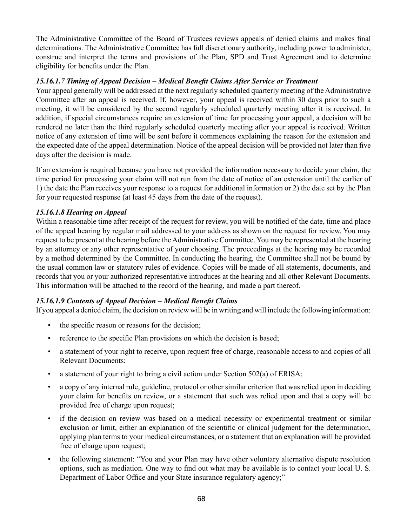The Administrative Committee of the Board of Trustees reviews appeals of denied claims and makes final determinations. The Administrative Committee has full discretionary authority, including power to administer, construe and interpret the terms and provisions of the Plan, SPD and Trust Agreement and to determine eligibility for benefits under the Plan.

### *15.16.1.7 Timing of Appeal Decision – Medical Benefit Claims After Service or Treatment*

Your appeal generally will be addressed at the next regularly scheduled quarterly meeting of the Administrative Committee after an appeal is received. If, however, your appeal is received within 30 days prior to such a meeting, it will be considered by the second regularly scheduled quarterly meeting after it is received. In addition, if special circumstances require an extension of time for processing your appeal, a decision will be rendered no later than the third regularly scheduled quarterly meeting after your appeal is received. Written notice of any extension of time will be sent before it commences explaining the reason for the extension and the expected date of the appeal determination. Notice of the appeal decision will be provided not later than five days after the decision is made.

If an extension is required because you have not provided the information necessary to decide your claim, the time period for processing your claim will not run from the date of notice of an extension until the earlier of 1) the date the Plan receives your response to a request for additional information or 2) the date set by the Plan for your requested response (at least 45 days from the date of the request).

#### *15.16.1.8 Hearing on Appeal*

Within a reasonable time after receipt of the request for review, you will be notified of the date, time and place of the appeal hearing by regular mail addressed to your address as shown on the request for review. You may request to be present at the hearing before the Administrative Committee. You may be represented at the hearing by an attorney or any other representative of your choosing. The proceedings at the hearing may be recorded by a method determined by the Committee. In conducting the hearing, the Committee shall not be bound by the usual common law or statutory rules of evidence. Copies will be made of all statements, documents, and records that you or your authorized representative introduces at the hearing and all other Relevant Documents. This information will be attached to the record of the hearing, and made a part thereof.

#### *15.16.1.9 Contents of Appeal Decision – Medical Benefit Claims*

If you appeal a denied claim, the decision on review will be in writing and will include the following information:

- the specific reason or reasons for the decision;
- reference to the specific Plan provisions on which the decision is based;
- a statement of your right to receive, upon request free of charge, reasonable access to and copies of all Relevant Documents;
- a statement of your right to bring a civil action under Section 502(a) of ERISA;
- a copy of any internal rule, guideline, protocol or other similar criterion that was relied upon in deciding your claim for benefits on review, or a statement that such was relied upon and that a copy will be provided free of charge upon request;
- if the decision on review was based on a medical necessity or experimental treatment or similar exclusion or limit, either an explanation of the scientific or clinical judgment for the determination, applying plan terms to your medical circumstances, or a statement that an explanation will be provided free of charge upon request;
- the following statement: "You and your Plan may have other voluntary alternative dispute resolution options, such as mediation. One way to find out what may be available is to contact your local U. S. Department of Labor Office and your State insurance regulatory agency;"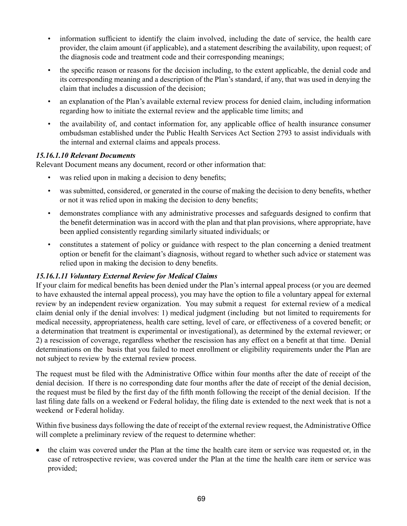- information sufficient to identify the claim involved, including the date of service, the health care provider, the claim amount (if applicable), and a statement describing the availability, upon request; of the diagnosis code and treatment code and their corresponding meanings;
- the specific reason or reasons for the decision including, to the extent applicable, the denial code and its corresponding meaning and a description of the Plan's standard, if any, that was used in denying the claim that includes a discussion of the decision;
- an explanation of the Plan's available external review process for denied claim, including information regarding how to initiate the external review and the applicable time limits; and
- the availability of, and contact information for, any applicable office of health insurance consumer ombudsman established under the Public Health Services Act Section 2793 to assist individuals with the internal and external claims and appeals process.

#### *15.16.1.10 Relevant Documents*

Relevant Document means any document, record or other information that:

- was relied upon in making a decision to deny benefits;
- was submitted, considered, or generated in the course of making the decision to deny benefits, whether or not it was relied upon in making the decision to deny benefits;
- demonstrates compliance with any administrative processes and safeguards designed to confirm that the benefit determination was in accord with the plan and that plan provisions, where appropriate, have been applied consistently regarding similarly situated individuals; or
- constitutes a statement of policy or guidance with respect to the plan concerning a denied treatment option or benefit for the claimant's diagnosis, without regard to whether such advice or statement was relied upon in making the decision to deny benefits.

# *15.16.1.11 Voluntary External Review for Medical Claims*

If your claim for medical benefits has been denied under the Plan's internal appeal process (or you are deemed to have exhausted the internal appeal process), you may have the option to file a voluntary appeal for external review by an independent review organization. You may submit a request for external review of a medical claim denial only if the denial involves: 1) medical judgment (including but not limited to requirements for medical necessity, appropriateness, health care setting, level of care, or effectiveness of a covered benefit; or a determination that treatment is experimental or investigational), as determined by the external reviewer; or 2) a rescission of coverage, regardless whether the rescission has any effect on a benefit at that time. Denial determinations on the basis that you failed to meet enrollment or eligibility requirements under the Plan are not subject to review by the external review process.

The request must be filed with the Administrative Office within four months after the date of receipt of the denial decision. If there is no corresponding date four months after the date of receipt of the denial decision, the request must be filed by the first day of the fifth month following the receipt of the denial decision. If the last filing date falls on a weekend or Federal holiday, the filing date is extended to the next week that is not a weekend or Federal holiday.

Within five business days following the date of receipt of the external review request, the Administrative Office will complete a preliminary review of the request to determine whether:

the claim was covered under the Plan at the time the health care item or service was requested or, in the case of retrospective review, was covered under the Plan at the time the health care item or service was provided;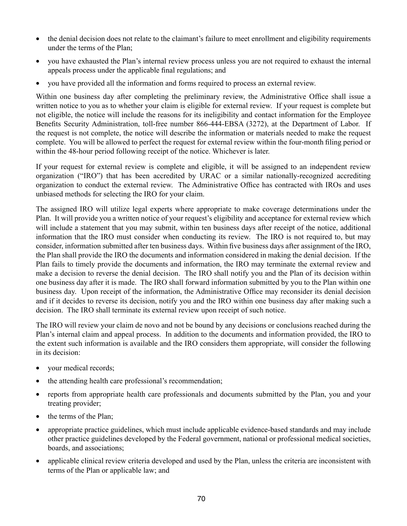- the denial decision does not relate to the claimant's failure to meet enrollment and eligibility requirements under the terms of the Plan;
- • you have exhausted the Plan's internal review process unless you are not required to exhaust the internal appeals process under the applicable final regulations; and
- you have provided all the information and forms required to process an external review.

Within one business day after completing the preliminary review, the Administrative Office shall issue a written notice to you as to whether your claim is eligible for external review. If your request is complete but not eligible, the notice will include the reasons for its ineligibility and contact information for the Employee Benefits Security Administration, toll-free number 866-444-EBSA (3272), at the Department of Labor. If the request is not complete, the notice will describe the information or materials needed to make the request complete. You will be allowed to perfect the request for external review within the four-month filing period or within the 48-hour period following receipt of the notice. Whichever is later.

If your request for external review is complete and eligible, it will be assigned to an independent review organization ("IRO") that has been accredited by URAC or a similar nationally-recognized accrediting organization to conduct the external review. The Administrative Office has contracted with IROs and uses unbiased methods for selecting the IRO for your claim.

The assigned IRO will utilize legal experts where appropriate to make coverage determinations under the Plan. It will provide you a written notice of your request's eligibility and acceptance for external review which will include a statement that you may submit, within ten business days after receipt of the notice, additional information that the IRO must consider when conducting its review. The IRO is not required to, but may consider, information submitted after ten business days. Within five business days after assignment of the IRO, the Plan shall provide the IRO the documents and information considered in making the denial decision. If the Plan fails to timely provide the documents and information, the IRO may terminate the external review and make a decision to reverse the denial decision. The IRO shall notify you and the Plan of its decision within one business day after it is made. The IRO shall forward information submitted by you to the Plan within one business day. Upon receipt of the information, the Administrative Office may reconsider its denial decision and if it decides to reverse its decision, notify you and the IRO within one business day after making such a decision. The IRO shall terminate its external review upon receipt of such notice.

The IRO will review your claim de novo and not be bound by any decisions or conclusions reached during the Plan's internal claim and appeal process. In addition to the documents and information provided, the IRO to the extent such information is available and the IRO considers them appropriate, will consider the following in its decision:

- vour medical records;
- the attending health care professional's recommendation;
- reports from appropriate health care professionals and documents submitted by the Plan, you and your treating provider;
- the terms of the Plan;
- appropriate practice guidelines, which must include applicable evidence-based standards and may include other practice guidelines developed by the Federal government, national or professional medical societies, boards, and associations;
- applicable clinical review criteria developed and used by the Plan, unless the criteria are inconsistent with terms of the Plan or applicable law; and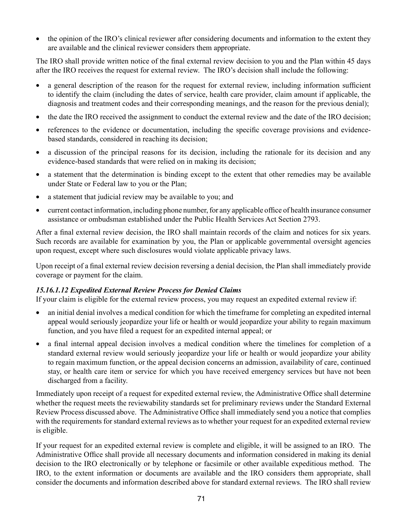• the opinion of the IRO's clinical reviewer after considering documents and information to the extent they are available and the clinical reviewer considers them appropriate.

The IRO shall provide written notice of the final external review decision to you and the Plan within 45 days after the IRO receives the request for external review. The IRO's decision shall include the following:

- a general description of the reason for the request for external review, including information sufficient to identify the claim (including the dates of service, health care provider, claim amount if applicable, the diagnosis and treatment codes and their corresponding meanings, and the reason for the previous denial);
- the date the IRO received the assignment to conduct the external review and the date of the IRO decision;
- • references to the evidence or documentation, including the specific coverage provisions and evidencebased standards, considered in reaching its decision;
- a discussion of the principal reasons for its decision, including the rationale for its decision and any evidence-based standards that were relied on in making its decision;
- a statement that the determination is binding except to the extent that other remedies may be available under State or Federal law to you or the Plan;
- a statement that judicial review may be available to you; and
- current contact information, including phone number, for any applicable office of health insurance consumer assistance or ombudsman established under the Public Health Services Act Section 2793.

After a final external review decision, the IRO shall maintain records of the claim and notices for six years. Such records are available for examination by you, the Plan or applicable governmental oversight agencies upon request, except where such disclosures would violate applicable privacy laws.

Upon receipt of a final external review decision reversing a denial decision, the Plan shall immediately provide coverage or payment for the claim.

# *15.16.1.12 Expedited External Review Process for Denied Claims*

If your claim is eligible for the external review process, you may request an expedited external review if:

- an initial denial involves a medical condition for which the timeframe for completing an expedited internal appeal would seriously jeopardize your life or health or would jeopardize your ability to regain maximum function, and you have filed a request for an expedited internal appeal; or
- a final internal appeal decision involves a medical condition where the timelines for completion of a standard external review would seriously jeopardize your life or health or would jeopardize your ability to regain maximum function, or the appeal decision concerns an admission, availability of care, continued stay, or health care item or service for which you have received emergency services but have not been discharged from a facility.

Immediately upon receipt of a request for expedited external review, the Administrative Office shall determine whether the request meets the reviewability standards set for preliminary reviews under the Standard External Review Process discussed above. The Administrative Office shall immediately send you a notice that complies with the requirements for standard external reviews as to whether your request for an expedited external review is eligible.

If your request for an expedited external review is complete and eligible, it will be assigned to an IRO. The Administrative Office shall provide all necessary documents and information considered in making its denial decision to the IRO electronically or by telephone or facsimile or other available expeditious method. The IRO, to the extent information or documents are available and the IRO considers them appropriate, shall consider the documents and information described above for standard external reviews. The IRO shall review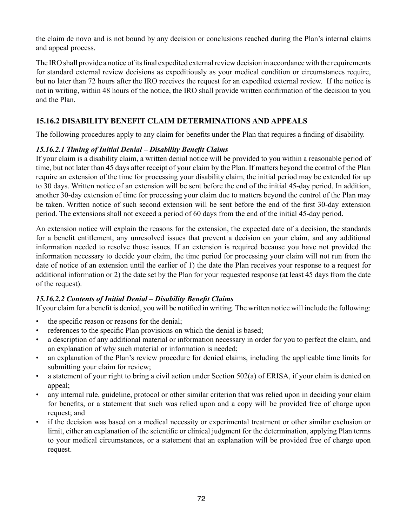the claim de novo and is not bound by any decision or conclusions reached during the Plan's internal claims and appeal process.

The IRO shall provide a notice of its final expedited external review decision in accordance with the requirements for standard external review decisions as expeditiously as your medical condition or circumstances require, but no later than 72 hours after the IRO receives the request for an expedited external review. If the notice is not in writing, within 48 hours of the notice, the IRO shall provide written confirmation of the decision to you and the Plan.

# **15.16.2 DISABILITY BENEFIT CLAIM DETERMINATIONS AND APPEALS**

The following procedures apply to any claim for benefits under the Plan that requires a finding of disability.

# *15.16.2.1 Timing of Initial Denial – Disability Benefit Claims*

If your claim is a disability claim, a written denial notice will be provided to you within a reasonable period of time, but not later than 45 days after receipt of your claim by the Plan. If matters beyond the control of the Plan require an extension of the time for processing your disability claim, the initial period may be extended for up to 30 days. Written notice of an extension will be sent before the end of the initial 45-day period. In addition, another 30-day extension of time for processing your claim due to matters beyond the control of the Plan may be taken. Written notice of such second extension will be sent before the end of the first 30-day extension period. The extensions shall not exceed a period of 60 days from the end of the initial 45-day period.

An extension notice will explain the reasons for the extension, the expected date of a decision, the standards for a benefit entitlement, any unresolved issues that prevent a decision on your claim, and any additional information needed to resolve those issues. If an extension is required because you have not provided the information necessary to decide your claim, the time period for processing your claim will not run from the date of notice of an extension until the earlier of 1) the date the Plan receives your response to a request for additional information or 2) the date set by the Plan for your requested response (at least 45 days from the date of the request).

# *15.16.2.2 Contents of Initial Denial – Disability Benefit Claims*

If your claim for a benefit is denied, you will be notified in writing. The written notice will include the following:

- the specific reason or reasons for the denial;
- references to the specific Plan provisions on which the denial is based;
- a description of any additional material or information necessary in order for you to perfect the claim, and an explanation of why such material or information is needed;
- an explanation of the Plan's review procedure for denied claims, including the applicable time limits for submitting your claim for review;
- a statement of your right to bring a civil action under Section 502(a) of ERISA, if your claim is denied on appeal;
- any internal rule, guideline, protocol or other similar criterion that was relied upon in deciding your claim for benefits, or a statement that such was relied upon and a copy will be provided free of charge upon request; and
- if the decision was based on a medical necessity or experimental treatment or other similar exclusion or limit, either an explanation of the scientific or clinical judgment for the determination, applying Plan terms to your medical circumstances, or a statement that an explanation will be provided free of charge upon request.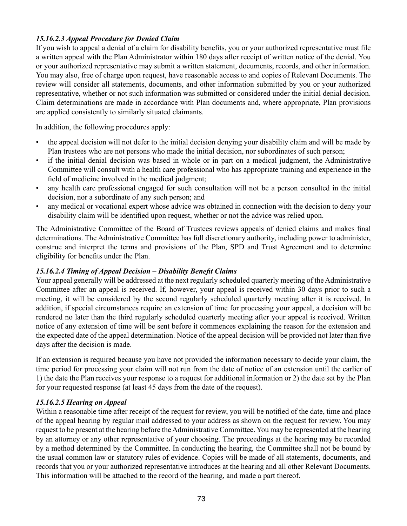# *15.16.2.3 Appeal Procedure for Denied Claim*

If you wish to appeal a denial of a claim for disability benefits, you or your authorized representative must file a written appeal with the Plan Administrator within 180 days after receipt of written notice of the denial. You or your authorized representative may submit a written statement, documents, records, and other information. You may also, free of charge upon request, have reasonable access to and copies of Relevant Documents. The review will consider all statements, documents, and other information submitted by you or your authorized representative, whether or not such information was submitted or considered under the initial denial decision. Claim determinations are made in accordance with Plan documents and, where appropriate, Plan provisions are applied consistently to similarly situated claimants.

In addition, the following procedures apply:

- the appeal decision will not defer to the initial decision denying your disability claim and will be made by Plan trustees who are not persons who made the initial decision, nor subordinates of such person;
- if the initial denial decision was based in whole or in part on a medical judgment, the Administrative Committee will consult with a health care professional who has appropriate training and experience in the field of medicine involved in the medical judgment;
- any health care professional engaged for such consultation will not be a person consulted in the initial decision, nor a subordinate of any such person; and
- any medical or vocational expert whose advice was obtained in connection with the decision to deny your disability claim will be identified upon request, whether or not the advice was relied upon.

The Administrative Committee of the Board of Trustees reviews appeals of denied claims and makes final determinations. The Administrative Committee has full discretionary authority, including power to administer, construe and interpret the terms and provisions of the Plan, SPD and Trust Agreement and to determine eligibility for benefits under the Plan.

# *15.16.2.4 Timing of Appeal Decision – Disability Benefit Claims*

Your appeal generally will be addressed at the next regularly scheduled quarterly meeting of the Administrative Committee after an appeal is received. If, however, your appeal is received within 30 days prior to such a meeting, it will be considered by the second regularly scheduled quarterly meeting after it is received. In addition, if special circumstances require an extension of time for processing your appeal, a decision will be rendered no later than the third regularly scheduled quarterly meeting after your appeal is received. Written notice of any extension of time will be sent before it commences explaining the reason for the extension and the expected date of the appeal determination. Notice of the appeal decision will be provided not later than five days after the decision is made.

If an extension is required because you have not provided the information necessary to decide your claim, the time period for processing your claim will not run from the date of notice of an extension until the earlier of 1) the date the Plan receives your response to a request for additional information or 2) the date set by the Plan for your requested response (at least 45 days from the date of the request).

#### *15.16.2.5 Hearing on Appeal*

Within a reasonable time after receipt of the request for review, you will be notified of the date, time and place of the appeal hearing by regular mail addressed to your address as shown on the request for review. You may request to be present at the hearing before the Administrative Committee. You may be represented at the hearing by an attorney or any other representative of your choosing. The proceedings at the hearing may be recorded by a method determined by the Committee. In conducting the hearing, the Committee shall not be bound by the usual common law or statutory rules of evidence. Copies will be made of all statements, documents, and records that you or your authorized representative introduces at the hearing and all other Relevant Documents. This information will be attached to the record of the hearing, and made a part thereof.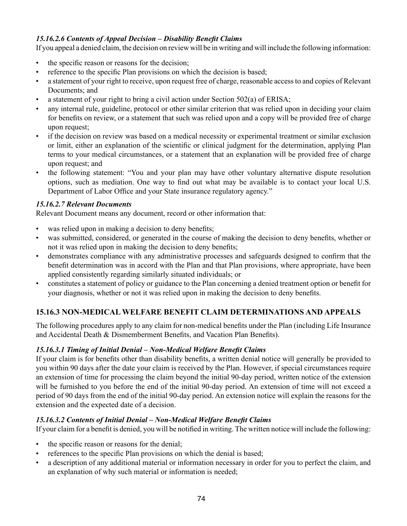# *15.16.2.6 Contents of Appeal Decision – Disability Benefit Claims*

If you appeal a denied claim, the decision on review will be in writing and will include the following information:

- the specific reason or reasons for the decision;
- reference to the specific Plan provisions on which the decision is based;
- a statement of your right to receive, upon request free of charge, reasonable access to and copies of Relevant Documents; and
- a statement of your right to bring a civil action under Section 502(a) of ERISA;
- any internal rule, guideline, protocol or other similar criterion that was relied upon in deciding your claim for benefits on review, or a statement that such was relied upon and a copy will be provided free of charge upon request;
- if the decision on review was based on a medical necessity or experimental treatment or similar exclusion or limit, either an explanation of the scientific or clinical judgment for the determination, applying Plan terms to your medical circumstances, or a statement that an explanation will be provided free of charge upon request; and
- the following statement: "You and your plan may have other voluntary alternative dispute resolution options, such as mediation. One way to find out what may be available is to contact your local U.S. Department of Labor Office and your State insurance regulatory agency."

# *15.16.2.7 Relevant Documents*

Relevant Document means any document, record or other information that:

- was relied upon in making a decision to deny benefits;
- was submitted, considered, or generated in the course of making the decision to deny benefits, whether or not it was relied upon in making the decision to deny benefits;
- demonstrates compliance with any administrative processes and safeguards designed to confirm that the benefit determination was in accord with the Plan and that Plan provisions, where appropriate, have been applied consistently regarding similarly situated individuals; or
- constitutes a statement of policy or guidance to the Plan concerning a denied treatment option or benefit for your diagnosis, whether or not it was relied upon in making the decision to deny benefits.

# **15.16.3 NON-MEDICAL WELFARE BENEFIT CLAIM DETERMINATIONS AND APPEALS**

The following procedures apply to any claim for non-medical benefits under the Plan (including Life Insurance and Accidental Death & Dismemberment Benefits, and Vacation Plan Benefits).

# *15.16.3.1 Timing of Initial Denial – Non-Medical Welfare Benefit Claims*

If your claim is for benefits other than disability benefits, a written denial notice will generally be provided to you within 90 days after the date your claim is received by the Plan. However, if special circumstances require an extension of time for processing the claim beyond the initial 90-day period, written notice of the extension will be furnished to you before the end of the initial 90-day period. An extension of time will not exceed a period of 90 days from the end of the initial 90-day period. An extension notice will explain the reasons for the extension and the expected date of a decision.

#### *15.16.3.2 Contents of Initial Denial – Non-Medical Welfare Benefit Claims*

If your claim for a benefit is denied, you will be notified in writing. The written notice will include the following:

- the specific reason or reasons for the denial;
- references to the specific Plan provisions on which the denial is based;
- a description of any additional material or information necessary in order for you to perfect the claim, and an explanation of why such material or information is needed;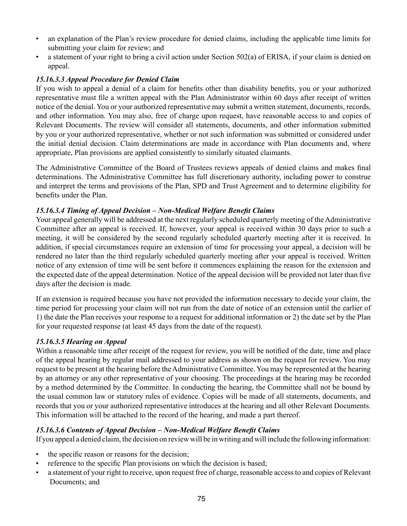- an explanation of the Plan's review procedure for denied claims, including the applicable time limits for submitting your claim for review; and
- a statement of your right to bring a civil action under Section 502(a) of ERISA, if your claim is denied on appeal.

# *15.16.3.3 Appeal Procedure for Denied Claim*

If you wish to appeal a denial of a claim for benefits other than disability benefits, you or your authorized representative must file a written appeal with the Plan Administrator within 60 days after receipt of written notice of the denial. You or your authorized representative may submit a written statement, documents, records, and other information. You may also, free of charge upon request, have reasonable access to and copies of Relevant Documents. The review will consider all statements, documents, and other information submitted by you or your authorized representative, whether or not such information was submitted or considered under the initial denial decision. Claim determinations are made in accordance with Plan documents and, where appropriate, Plan provisions are applied consistently to similarly situated claimants.

The Administrative Committee of the Board of Trustees reviews appeals of denied claims and makes final determinations. The Administrative Committee has full discretionary authority, including power to construe and interpret the terms and provisions of the Plan, SPD and Trust Agreement and to determine eligibility for benefits under the Plan.

# *15.16.3.4 Timing of Appeal Decision – Non-Medical Welfare Benefit Claims*

Your appeal generally will be addressed at the next regularly scheduled quarterly meeting of the Administrative Committee after an appeal is received. If, however, your appeal is received within 30 days prior to such a meeting, it will be considered by the second regularly scheduled quarterly meeting after it is received. In addition, if special circumstances require an extension of time for processing your appeal, a decision will be rendered no later than the third regularly scheduled quarterly meeting after your appeal is received. Written notice of any extension of time will be sent before it commences explaining the reason for the extension and the expected date of the appeal determination. Notice of the appeal decision will be provided not later than five days after the decision is made.

If an extension is required because you have not provided the information necessary to decide your claim, the time period for processing your claim will not run from the date of notice of an extension until the earlier of 1) the date the Plan receives your response to a request for additional information or 2) the date set by the Plan for your requested response (at least 45 days from the date of the request).

# *15.16.3.5 Hearing on Appeal*

Within a reasonable time after receipt of the request for review, you will be notified of the date, time and place of the appeal hearing by regular mail addressed to your address as shown on the request for review. You may request to be present at the hearing before the Administrative Committee. You may be represented at the hearing by an attorney or any other representative of your choosing. The proceedings at the hearing may be recorded by a method determined by the Committee. In conducting the hearing, the Committee shall not be bound by the usual common law or statutory rules of evidence. Copies will be made of all statements, documents, and records that you or your authorized representative introduces at the hearing and all other Relevant Documents. This information will be attached to the record of the hearing, and made a part thereof.

# *15.16.3.6 Contents of Appeal Decision – Non-Medical Welfare Benefit Claims*

If you appeal a denied claim, the decision on review will be in writing and will include the following information:

- the specific reason or reasons for the decision;
- reference to the specific Plan provisions on which the decision is based;
- a statement of your right to receive, upon request free of charge, reasonable access to and copies of Relevant Documents; and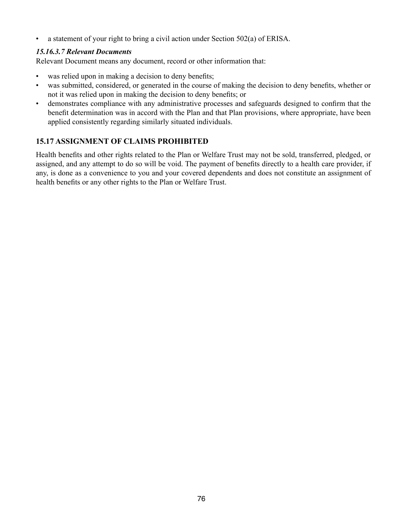• a statement of your right to bring a civil action under Section 502(a) of ERISA.

#### *15.16.3.7 Relevant Documents*

Relevant Document means any document, record or other information that:

- was relied upon in making a decision to deny benefits;
- was submitted, considered, or generated in the course of making the decision to deny benefits, whether or not it was relied upon in making the decision to deny benefits; or
- demonstrates compliance with any administrative processes and safeguards designed to confirm that the benefit determination was in accord with the Plan and that Plan provisions, where appropriate, have been applied consistently regarding similarly situated individuals.

# **15.17 ASSIGNMENT OF CLAIMS PROHIBITED**

Health benefits and other rights related to the Plan or Welfare Trust may not be sold, transferred, pledged, or assigned, and any attempt to do so will be void. The payment of benefits directly to a health care provider, if any, is done as a convenience to you and your covered dependents and does not constitute an assignment of health benefits or any other rights to the Plan or Welfare Trust.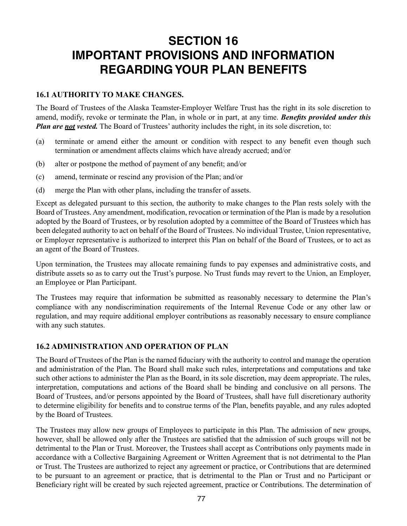# **SECTION 16 IMPORTANT PROVISIONS AND INFORMATION REGARDING YOUR PLAN BENEFITS**

### **16.1 AUTHORITY TO MAKE CHANGES.**

The Board of Trustees of the Alaska Teamster-Employer Welfare Trust has the right in its sole discretion to amend, modify, revoke or terminate the Plan, in whole or in part, at any time. *Benefits provided under this Plan are not vested.* The Board of Trustees' authority includes the right, in its sole discretion, to:

- (a) terminate or amend either the amount or condition with respect to any benefit even though such termination or amendment affects claims which have already accrued; and/or
- (b) alter or postpone the method of payment of any benefit; and/or
- (c) amend, terminate or rescind any provision of the Plan; and/or
- (d) merge the Plan with other plans, including the transfer of assets.

Except as delegated pursuant to this section, the authority to make changes to the Plan rests solely with the Board of Trustees. Any amendment, modification, revocation or termination of the Plan is made by a resolution adopted by the Board of Trustees, or by resolution adopted by a committee of the Board of Trustees which has been delegated authority to act on behalf of the Board of Trustees. No individual Trustee, Union representative, or Employer representative is authorized to interpret this Plan on behalf of the Board of Trustees, or to act as an agent of the Board of Trustees.

Upon termination, the Trustees may allocate remaining funds to pay expenses and administrative costs, and distribute assets so as to carry out the Trust's purpose. No Trust funds may revert to the Union, an Employer, an Employee or Plan Participant.

The Trustees may require that information be submitted as reasonably necessary to determine the Plan's compliance with any nondiscrimination requirements of the Internal Revenue Code or any other law or regulation, and may require additional employer contributions as reasonably necessary to ensure compliance with any such statutes.

#### **16.2 ADMINISTRATION AND OPERATION OF PLAN**

The Board of Trustees of the Plan is the named fiduciary with the authority to control and manage the operation and administration of the Plan. The Board shall make such rules, interpretations and computations and take such other actions to administer the Plan as the Board, in its sole discretion, may deem appropriate. The rules, interpretation, computations and actions of the Board shall be binding and conclusive on all persons. The Board of Trustees, and/or persons appointed by the Board of Trustees, shall have full discretionary authority to determine eligibility for benefits and to construe terms of the Plan, benefits payable, and any rules adopted by the Board of Trustees.

The Trustees may allow new groups of Employees to participate in this Plan. The admission of new groups, however, shall be allowed only after the Trustees are satisfied that the admission of such groups will not be detrimental to the Plan or Trust. Moreover, the Trustees shall accept as Contributions only payments made in accordance with a Collective Bargaining Agreement or Written Agreement that is not detrimental to the Plan or Trust. The Trustees are authorized to reject any agreement or practice, or Contributions that are determined to be pursuant to an agreement or practice, that is detrimental to the Plan or Trust and no Participant or Beneficiary right will be created by such rejected agreement, practice or Contributions. The determination of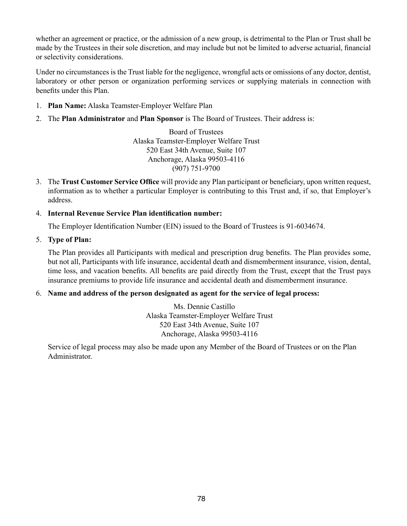whether an agreement or practice, or the admission of a new group, is detrimental to the Plan or Trust shall be made by the Trustees in their sole discretion, and may include but not be limited to adverse actuarial, financial or selectivity considerations.

Under no circumstances is the Trust liable for the negligence, wrongful acts or omissions of any doctor, dentist, laboratory or other person or organization performing services or supplying materials in connection with benefits under this Plan.

- 1. **Plan Name:** Alaska Teamster-Employer Welfare Plan
- 2. The **Plan Administrator** and **Plan Sponsor** is The Board of Trustees. Their address is:

Board of Trustees Alaska Teamster-Employer Welfare Trust 520 East 34th Avenue, Suite 107 Anchorage, Alaska 99503-4116 (907) 751-9700

- 3. The **Trust Customer Service Office** will provide any Plan participant or beneficiary, upon written request, information as to whether a particular Employer is contributing to this Trust and, if so, that Employer's address.
- 4. **Internal Revenue Service Plan identification number:**

The Employer Identification Number (EIN) issued to the Board of Trustees is 91-6034674.

5. **Type of Plan:**

The Plan provides all Participants with medical and prescription drug benefits. The Plan provides some, but not all, Participants with life insurance, accidental death and dismemberment insurance, vision, dental, time loss, and vacation benefits. All benefits are paid directly from the Trust, except that the Trust pays insurance premiums to provide life insurance and accidental death and dismemberment insurance.

#### 6. **Name and address of the person designated as agent for the service of legal process:**

 Ms. Dennie Castillo Alaska Teamster-Employer Welfare Trust 520 East 34th Avenue, Suite 107 Anchorage, Alaska 99503-4116

Service of legal process may also be made upon any Member of the Board of Trustees or on the Plan Administrator.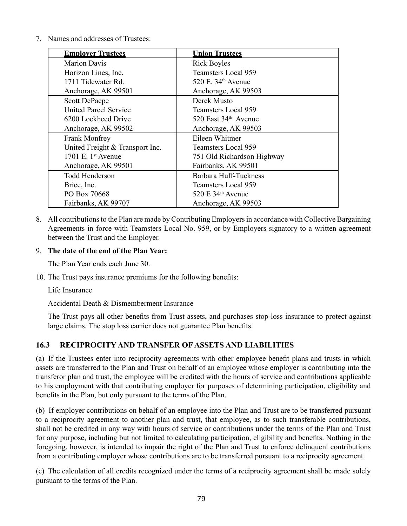7. Names and addresses of Trustees:

| <b>Employer Trustees</b>        | <b>Union Trustees</b>          |
|---------------------------------|--------------------------------|
| <b>Marion Davis</b>             | <b>Rick Boyles</b>             |
| Horizon Lines, Inc.             | <b>Teamsters Local 959</b>     |
| 1711 Tidewater Rd.              | 520 E. 34 <sup>th</sup> Avenue |
| Anchorage, AK 99501             | Anchorage, AK 99503            |
| <b>Scott DePaepe</b>            | Derek Musto                    |
| <b>United Parcel Service</b>    | Teamsters Local 959            |
| 6200 Lockheed Drive             | 520 East $34th$ Avenue         |
| Anchorage, AK 99502             | Anchorage, AK 99503            |
| Frank Monfrey                   | Eileen Whitmer                 |
| United Freight & Transport Inc. | Teamsters Local 959            |
| 1701 E. $1st$ Avenue            | 751 Old Richardson Highway     |
| Anchorage, AK 99501             | Fairbanks, AK 99501            |
| <b>Todd Henderson</b>           | Barbara Huff-Tuckness          |
| Brice, Inc.                     | <b>Teamsters Local 959</b>     |
| PO Box 70668                    | 520 E $34th$ Avenue            |
| Fairbanks, AK 99707             | Anchorage, AK 99503            |

8. All contributions to the Plan are made by Contributing Employers in accordance with Collective Bargaining Agreements in force with Teamsters Local No. 959, or by Employers signatory to a written agreement between the Trust and the Employer.

#### 9. **The date of the end of the Plan Year:**

The Plan Year ends each June 30.

10. The Trust pays insurance premiums for the following benefits:

Life Insurance

Accidental Death & Dismemberment Insurance

The Trust pays all other benefits from Trust assets, and purchases stop-loss insurance to protect against large claims. The stop loss carrier does not guarantee Plan benefits.

# **16.3 RECIPROCITY AND TRANSFER OF ASSETS AND LIABILITIES**

(a) If the Trustees enter into reciprocity agreements with other employee benefit plans and trusts in which assets are transferred to the Plan and Trust on behalf of an employee whose employer is contributing into the transferor plan and trust, the employee will be credited with the hours of service and contributions applicable to his employment with that contributing employer for purposes of determining participation, eligibility and benefits in the Plan, but only pursuant to the terms of the Plan.

(b) If employer contributions on behalf of an employee into the Plan and Trust are to be transferred pursuant to a reciprocity agreement to another plan and trust, that employee, as to such transferable contributions, shall not be credited in any way with hours of service or contributions under the terms of the Plan and Trust for any purpose, including but not limited to calculating participation, eligibility and benefits. Nothing in the foregoing, however, is intended to impair the right of the Plan and Trust to enforce delinquent contributions from a contributing employer whose contributions are to be transferred pursuant to a reciprocity agreement.

(c) The calculation of all credits recognized under the terms of a reciprocity agreement shall be made solely pursuant to the terms of the Plan.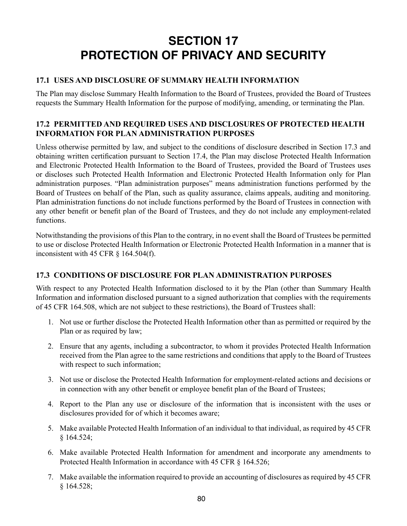# **SECTION 17 PROTECTION OF PRIVACY AND SECURITY**

# **17.1 USES AND DISCLOSURE OF SUMMARY HEALTH INFORMATION**

The Plan may disclose Summary Health Information to the Board of Trustees, provided the Board of Trustees requests the Summary Health Information for the purpose of modifying, amending, or terminating the Plan.

# **17.2 PERMITTED AND REQUIRED USES AND DISCLOSURES OF PROTECTED HEALTH INFORMATION FOR PLAN ADMINISTRATION PURPOSES**

Unless otherwise permitted by law, and subject to the conditions of disclosure described in Section 17.3 and obtaining written certification pursuant to Section 17.4, the Plan may disclose Protected Health Information and Electronic Protected Health Information to the Board of Trustees, provided the Board of Trustees uses or discloses such Protected Health Information and Electronic Protected Health Information only for Plan administration purposes. "Plan administration purposes" means administration functions performed by the Board of Trustees on behalf of the Plan, such as quality assurance, claims appeals, auditing and monitoring. Plan administration functions do not include functions performed by the Board of Trustees in connection with any other benefit or benefit plan of the Board of Trustees, and they do not include any employment-related functions.

Notwithstanding the provisions of this Plan to the contrary, in no event shall the Board of Trustees be permitted to use or disclose Protected Health Information or Electronic Protected Health Information in a manner that is inconsistent with 45 CFR § 164.504(f).

# **17.3 CONDITIONS OF DISCLOSURE FOR PLAN ADMINISTRATION PURPOSES**

With respect to any Protected Health Information disclosed to it by the Plan (other than Summary Health Information and information disclosed pursuant to a signed authorization that complies with the requirements of 45 CFR 164.508, which are not subject to these restrictions), the Board of Trustees shall:

- 1. Not use or further disclose the Protected Health Information other than as permitted or required by the Plan or as required by law;
- 2. Ensure that any agents, including a subcontractor, to whom it provides Protected Health Information received from the Plan agree to the same restrictions and conditions that apply to the Board of Trustees with respect to such information;
- 3. Not use or disclose the Protected Health Information for employment-related actions and decisions or in connection with any other benefit or employee benefit plan of the Board of Trustees;
- 4. Report to the Plan any use or disclosure of the information that is inconsistent with the uses or disclosures provided for of which it becomes aware;
- 5. Make available Protected Health Information of an individual to that individual, as required by 45 CFR § 164.524;
- 6. Make available Protected Health Information for amendment and incorporate any amendments to Protected Health Information in accordance with 45 CFR § 164.526;
- 7. Make available the information required to provide an accounting of disclosures as required by 45 CFR § 164.528;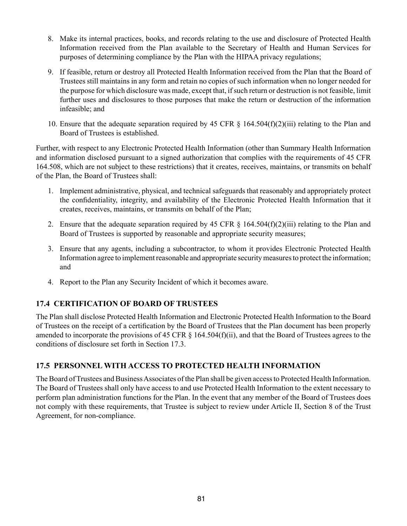- 8. Make its internal practices, books, and records relating to the use and disclosure of Protected Health Information received from the Plan available to the Secretary of Health and Human Services for purposes of determining compliance by the Plan with the HIPAA privacy regulations;
- 9. If feasible, return or destroy all Protected Health Information received from the Plan that the Board of Trustees still maintains in any form and retain no copies of such information when no longer needed for the purpose for which disclosure was made, except that, if such return or destruction is not feasible, limit further uses and disclosures to those purposes that make the return or destruction of the information infeasible; and
- 10. Ensure that the adequate separation required by 45 CFR § 164.504(f)(2)(iii) relating to the Plan and Board of Trustees is established.

Further, with respect to any Electronic Protected Health Information (other than Summary Health Information and information disclosed pursuant to a signed authorization that complies with the requirements of 45 CFR 164.508, which are not subject to these restrictions) that it creates, receives, maintains, or transmits on behalf of the Plan, the Board of Trustees shall:

- 1. Implement administrative, physical, and technical safeguards that reasonably and appropriately protect the confidentiality, integrity, and availability of the Electronic Protected Health Information that it creates, receives, maintains, or transmits on behalf of the Plan;
- 2. Ensure that the adequate separation required by 45 CFR § 164.504(f)(2)(iii) relating to the Plan and Board of Trustees is supported by reasonable and appropriate security measures;
- 3. Ensure that any agents, including a subcontractor, to whom it provides Electronic Protected Health Information agree to implement reasonable and appropriate security measures to protect the information; and
- 4. Report to the Plan any Security Incident of which it becomes aware.

# **17.4 CERTIFICATION OF BOARD OF TRUSTEES**

The Plan shall disclose Protected Health Information and Electronic Protected Health Information to the Board of Trustees on the receipt of a certification by the Board of Trustees that the Plan document has been properly amended to incorporate the provisions of 45 CFR  $\S$  164.504(f)(ii), and that the Board of Trustees agrees to the conditions of disclosure set forth in Section 17.3.

# **17.5 PERSONNEL WITH ACCESS TO PROTECTED HEALTH INFORMATION**

The Board of Trustees and Business Associates of the Plan shall be given access to Protected Health Information. The Board of Trustees shall only have access to and use Protected Health Information to the extent necessary to perform plan administration functions for the Plan. In the event that any member of the Board of Trustees does not comply with these requirements, that Trustee is subject to review under Article II, Section 8 of the Trust Agreement, for non-compliance.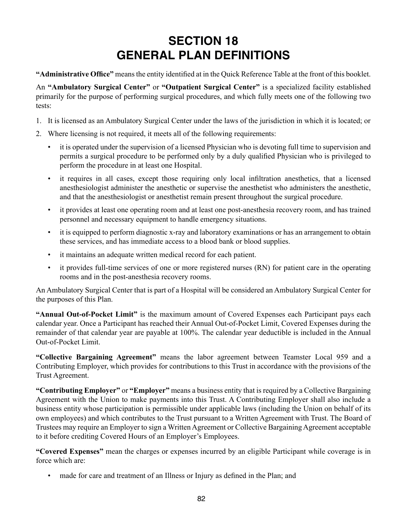# **SECTION 18 GENERAL PLAN DEFINITIONS**

**"Administrative Office"** means the entity identified at in the Quick Reference Table at the front of this booklet.

An **"Ambulatory Surgical Center"** or **"Outpatient Surgical Center"** is a specialized facility established primarily for the purpose of performing surgical procedures, and which fully meets one of the following two tests:

- 1. It is licensed as an Ambulatory Surgical Center under the laws of the jurisdiction in which it is located; or
- 2. Where licensing is not required, it meets all of the following requirements:
	- it is operated under the supervision of a licensed Physician who is devoting full time to supervision and permits a surgical procedure to be performed only by a duly qualified Physician who is privileged to perform the procedure in at least one Hospital.
	- it requires in all cases, except those requiring only local infiltration anesthetics, that a licensed anesthesiologist administer the anesthetic or supervise the anesthetist who administers the anesthetic, and that the anesthesiologist or anesthetist remain present throughout the surgical procedure.
	- it provides at least one operating room and at least one post-anesthesia recovery room, and has trained personnel and necessary equipment to handle emergency situations.
	- it is equipped to perform diagnostic x-ray and laboratory examinations or has an arrangement to obtain these services, and has immediate access to a blood bank or blood supplies.
	- it maintains an adequate written medical record for each patient.
	- it provides full-time services of one or more registered nurses (RN) for patient care in the operating rooms and in the post-anesthesia recovery rooms.

An Ambulatory Surgical Center that is part of a Hospital will be considered an Ambulatory Surgical Center for the purposes of this Plan.

**"Annual Out-of-Pocket Limit"** is the maximum amount of Covered Expenses each Participant pays each calendar year. Once a Participant has reached their Annual Out-of-Pocket Limit, Covered Expenses during the remainder of that calendar year are payable at 100%. The calendar year deductible is included in the Annual Out-of-Pocket Limit.

**"Collective Bargaining Agreement"** means the labor agreement between Teamster Local 959 and a Contributing Employer, which provides for contributions to this Trust in accordance with the provisions of the Trust Agreement.

**"Contributing Employer"** or **"Employer"** means a business entity that is required by a Collective Bargaining Agreement with the Union to make payments into this Trust. A Contributing Employer shall also include a business entity whose participation is permissible under applicable laws (including the Union on behalf of its own employees) and which contributes to the Trust pursuant to a Written Agreement with Trust. The Board of Trustees may require an Employer to sign a Written Agreement or Collective Bargaining Agreement acceptable to it before crediting Covered Hours of an Employer's Employees.

**"Covered Expenses"** mean the charges or expenses incurred by an eligible Participant while coverage is in force which are:

made for care and treatment of an Illness or Injury as defined in the Plan; and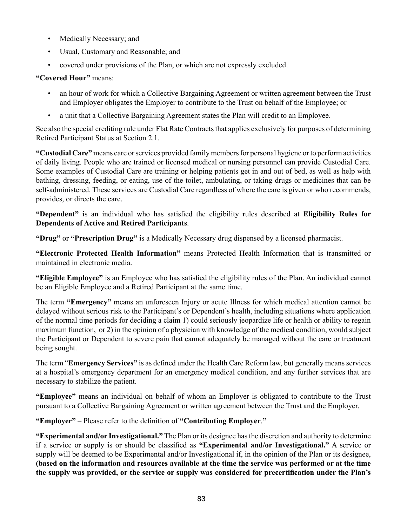- Medically Necessary; and
- Usual, Customary and Reasonable; and
- covered under provisions of the Plan, or which are not expressly excluded.

# **"Covered Hour"** means:

- an hour of work for which a Collective Bargaining Agreement or written agreement between the Trust and Employer obligates the Employer to contribute to the Trust on behalf of the Employee; or
- a unit that a Collective Bargaining Agreement states the Plan will credit to an Employee.

See also the special crediting rule under Flat Rate Contracts that applies exclusively for purposes of determining Retired Participant Status at Section 2.1.

**"Custodial Care"** means care or services provided family members for personal hygiene or to perform activities of daily living. People who are trained or licensed medical or nursing personnel can provide Custodial Care. Some examples of Custodial Care are training or helping patients get in and out of bed, as well as help with bathing, dressing, feeding, or eating, use of the toilet, ambulating, or taking drugs or medicines that can be self-administered. These services are Custodial Care regardless of where the care is given or who recommends, provides, or directs the care.

**"Dependent"** is an individual who has satisfied the eligibility rules described at **Eligibility Rules for Dependents of Active and Retired Participants**.

**"Drug"** or **"Prescription Drug"** is a Medically Necessary drug dispensed by a licensed pharmacist.

**"Electronic Protected Health Information"** means Protected Health Information that is transmitted or maintained in electronic media.

**"Eligible Employee"** is an Employee who has satisfied the eligibility rules of the Plan. An individual cannot be an Eligible Employee and a Retired Participant at the same time.

The term **"Emergency"** means an unforeseen Injury or acute Illness for which medical attention cannot be delayed without serious risk to the Participant's or Dependent's health, including situations where application of the normal time periods for deciding a claim 1) could seriously jeopardize life or health or ability to regain maximum function, or 2) in the opinion of a physician with knowledge of the medical condition, would subject the Participant or Dependent to severe pain that cannot adequately be managed without the care or treatment being sought.

The term "**Emergency Services"** is as defined under the Health Care Reform law, but generally means services at a hospital's emergency department for an emergency medical condition, and any further services that are necessary to stabilize the patient.

**"Employee"** means an individual on behalf of whom an Employer is obligated to contribute to the Trust pursuant to a Collective Bargaining Agreement or written agreement between the Trust and the Employer.

**"Employer"** – Please refer to the definition of **"Contributing Employer**.**"** 

**"Experimental and/or Investigational."** The Plan or its designee has the discretion and authority to determine if a service or supply is or should be classified as **"Experimental and/or Investigational."** A service or supply will be deemed to be Experimental and/or Investigational if, in the opinion of the Plan or its designee, **(based on the information and resources available at the time the service was performed or at the time the supply was provided, or the service or supply was considered for precertification under the Plan's**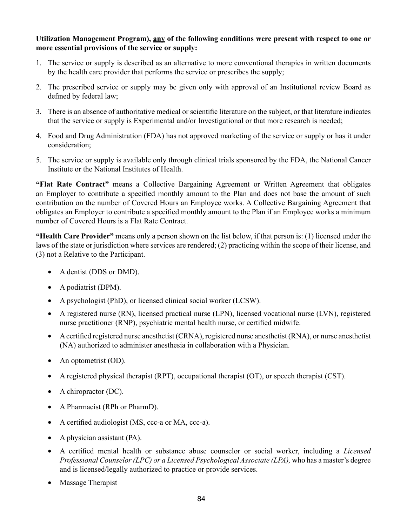#### **Utilization Management Program), any of the following conditions were present with respect to one or more essential provisions of the service or supply:**

- 1. The service or supply is described as an alternative to more conventional therapies in written documents by the health care provider that performs the service or prescribes the supply;
- 2. The prescribed service or supply may be given only with approval of an Institutional review Board as defined by federal law;
- 3. There is an absence of authoritative medical or scientific literature on the subject, or that literature indicates that the service or supply is Experimental and/or Investigational or that more research is needed;
- 4. Food and Drug Administration (FDA) has not approved marketing of the service or supply or has it under consideration;
- 5. The service or supply is available only through clinical trials sponsored by the FDA, the National Cancer Institute or the National Institutes of Health.

**"Flat Rate Contract"** means a Collective Bargaining Agreement or Written Agreement that obligates an Employer to contribute a specified monthly amount to the Plan and does not base the amount of such contribution on the number of Covered Hours an Employee works. A Collective Bargaining Agreement that obligates an Employer to contribute a specified monthly amount to the Plan if an Employee works a minimum number of Covered Hours is a Flat Rate Contract.

**"Health Care Provider"** means only a person shown on the list below, if that person is: (1) licensed under the laws of the state or jurisdiction where services are rendered; (2) practicing within the scope of their license, and (3) not a Relative to the Participant.

- A dentist (DDS or DMD).
- A podiatrist (DPM).
- A psychologist (PhD), or licensed clinical social worker (LCSW).
- • A registered nurse (RN), licensed practical nurse (LPN), licensed vocational nurse (LVN), registered nurse practitioner (RNP), psychiatric mental health nurse, or certified midwife.
- A certified registered nurse anesthetist (CRNA), registered nurse anesthetist (RNA), or nurse anesthetist (NA) authorized to administer anesthesia in collaboration with a Physician.
- An optometrist (OD).
- A registered physical therapist (RPT), occupational therapist (OT), or speech therapist (CST).
- A chiropractor (DC).
- A Pharmacist (RPh or PharmD).
- A certified audiologist (MS, ccc-a or MA, ccc-a).
- A physician assistant (PA).
- • A certified mental health or substance abuse counselor or social worker, including a *Licensed Professional Counselor (LPC) or a Licensed Psychological Associate (LPA),* who has a master's degree and is licensed/legally authorized to practice or provide services.
- Massage Therapist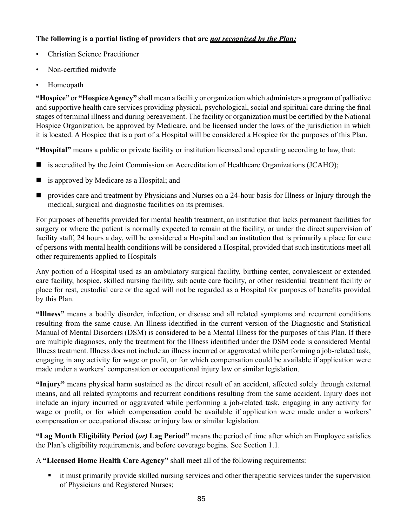# **The following is a partial listing of providers that are** *not recognized by the Plan:*

- Christian Science Practitioner
- Non-certified midwife
- Homeopath

**"Hospice"** or **"Hospice Agency"** shall mean a facility or organization which administers a program of palliative and supportive health care services providing physical, psychological, social and spiritual care during the final stages of terminal illness and during bereavement. The facility or organization must be certified by the National Hospice Organization, be approved by Medicare, and be licensed under the laws of the jurisdiction in which it is located. A Hospice that is a part of a Hospital will be considered a Hospice for the purposes of this Plan.

**"Hospital"** means a public or private facility or institution licensed and operating according to law, that:

- is accredited by the Joint Commission on Accreditation of Healthcare Organizations (JCAHO);
- is approved by Medicare as a Hospital; and
- **Perovides care and treatment by Physicians and Nurses on a 24-hour basis for Illness or Injury through the** medical, surgical and diagnostic facilities on its premises.

For purposes of benefits provided for mental health treatment, an institution that lacks permanent facilities for surgery or where the patient is normally expected to remain at the facility, or under the direct supervision of facility staff, 24 hours a day, will be considered a Hospital and an institution that is primarily a place for care of persons with mental health conditions will be considered a Hospital, provided that such institutions meet all other requirements applied to Hospitals

Any portion of a Hospital used as an ambulatory surgical facility, birthing center, convalescent or extended care facility, hospice, skilled nursing facility, sub acute care facility, or other residential treatment facility or place for rest, custodial care or the aged will not be regarded as a Hospital for purposes of benefits provided by this Plan.

**"Illness"** means a bodily disorder, infection, or disease and all related symptoms and recurrent conditions resulting from the same cause. An Illness identified in the current version of the Diagnostic and Statistical Manual of Mental Disorders (DSM) is considered to be a Mental Illness for the purposes of this Plan. If there are multiple diagnoses, only the treatment for the Illness identified under the DSM code is considered Mental Illness treatment. Illness does not include an illness incurred or aggravated while performing a job-related task, engaging in any activity for wage or profit, or for which compensation could be available if application were made under a workers' compensation or occupational injury law or similar legislation.

**"Injury"** means physical harm sustained as the direct result of an accident, affected solely through external means, and all related symptoms and recurrent conditions resulting from the same accident. Injury does not include an injury incurred or aggravated while performing a job-related task, engaging in any activity for wage or profit, or for which compensation could be available if application were made under a workers' compensation or occupational disease or injury law or similar legislation.

**"Lag Month Eligibility Period (***or)* **Lag Period"** means the period of time after which an Employee satisfies the Plan's eligibility requirements, and before coverage begins. See Section 1.1.

A **"Licensed Home Health Care Agency"** shall meet all of the following requirements:

 it must primarily provide skilled nursing services and other therapeutic services under the supervision of Physicians and Registered Nurses;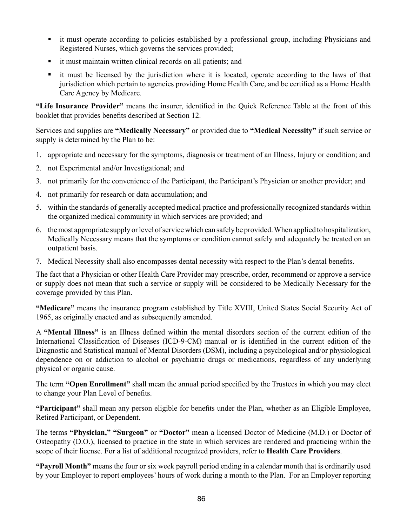- it must operate according to policies established by a professional group, including Physicians and Registered Nurses, which governs the services provided;
- it must maintain written clinical records on all patients; and
- it must be licensed by the jurisdiction where it is located, operate according to the laws of that jurisdiction which pertain to agencies providing Home Health Care, and be certified as a Home Health Care Agency by Medicare.

**"Life Insurance Provider"** means the insurer, identified in the Quick Reference Table at the front of this booklet that provides benefits described at Section 12.

Services and supplies are **"Medically Necessary"** or provided due to **"Medical Necessity"** if such service or supply is determined by the Plan to be:

- 1. appropriate and necessary for the symptoms, diagnosis or treatment of an Illness, Injury or condition; and
- 2. not Experimental and/or Investigational; and
- 3. not primarily for the convenience of the Participant, the Participant's Physician or another provider; and
- 4. not primarily for research or data accumulation; and
- 5. within the standards of generally accepted medical practice and professionally recognized standards within the organized medical community in which services are provided; and
- 6. the most appropriate supply or level of service which can safely be provided. When applied to hospitalization, Medically Necessary means that the symptoms or condition cannot safely and adequately be treated on an outpatient basis.
- 7. Medical Necessity shall also encompasses dental necessity with respect to the Plan's dental benefits.

The fact that a Physician or other Health Care Provider may prescribe, order, recommend or approve a service or supply does not mean that such a service or supply will be considered to be Medically Necessary for the coverage provided by this Plan.

**"Medicare"** means the insurance program established by Title XVIII, United States Social Security Act of 1965, as originally enacted and as subsequently amended.

A **"Mental Illness"** is an Illness defined within the mental disorders section of the current edition of the International Classification of Diseases (ICD-9-CM) manual or is identified in the current edition of the Diagnostic and Statistical manual of Mental Disorders (DSM), including a psychological and/or physiological dependence on or addiction to alcohol or psychiatric drugs or medications, regardless of any underlying physical or organic cause.

The term **"Open Enrollment"** shall mean the annual period specified by the Trustees in which you may elect to change your Plan Level of benefits.

**"Participant"** shall mean any person eligible for benefits under the Plan, whether as an Eligible Employee, Retired Participant, or Dependent.

The terms **"Physician," "Surgeon"** or **"Doctor"** mean a licensed Doctor of Medicine (M.D.) or Doctor of Osteopathy (D.O.), licensed to practice in the state in which services are rendered and practicing within the scope of their license. For a list of additional recognized providers, refer to **Health Care Providers**.

**"Payroll Month"** means the four or six week payroll period ending in a calendar month that is ordinarily used by your Employer to report employees' hours of work during a month to the Plan. For an Employer reporting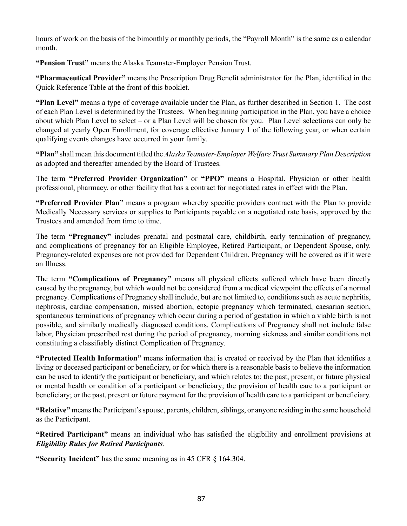hours of work on the basis of the bimonthly or monthly periods, the "Payroll Month" is the same as a calendar month.

**"Pension Trust"** means the Alaska Teamster-Employer Pension Trust.

**"Pharmaceutical Provider"** means the Prescription Drug Benefit administrator for the Plan, identified in the Quick Reference Table at the front of this booklet.

**"Plan Level"** means a type of coverage available under the Plan, as further described in Section 1. The cost of each Plan Level is determined by the Trustees. When beginning participation in the Plan, you have a choice about which Plan Level to select – or a Plan Level will be chosen for you. Plan Level selections can only be changed at yearly Open Enrollment, for coverage effective January 1 of the following year, or when certain qualifying events changes have occurred in your family.

**"Plan"** shall mean this document titled the *Alaska Teamster-Employer Welfare Trust Summary Plan Description* as adopted and thereafter amended by the Board of Trustees.

The term **"Preferred Provider Organization"** or **"PPO"** means a Hospital, Physician or other health professional, pharmacy, or other facility that has a contract for negotiated rates in effect with the Plan.

**"Preferred Provider Plan"** means a program whereby specific providers contract with the Plan to provide Medically Necessary services or supplies to Participants payable on a negotiated rate basis, approved by the Trustees and amended from time to time.

The term **"Pregnancy"** includes prenatal and postnatal care, childbirth, early termination of pregnancy, and complications of pregnancy for an Eligible Employee, Retired Participant, or Dependent Spouse, only. Pregnancy-related expenses are not provided for Dependent Children. Pregnancy will be covered as if it were an Illness.

The term **"Complications of Pregnancy"** means all physical effects suffered which have been directly caused by the pregnancy, but which would not be considered from a medical viewpoint the effects of a normal pregnancy. Complications of Pregnancy shall include, but are not limited to, conditions such as acute nephritis, nephrosis, cardiac compensation, missed abortion, ectopic pregnancy which terminated, caesarian section, spontaneous terminations of pregnancy which occur during a period of gestation in which a viable birth is not possible, and similarly medically diagnosed conditions. Complications of Pregnancy shall not include false labor, Physician prescribed rest during the period of pregnancy, morning sickness and similar conditions not constituting a classifiably distinct Complication of Pregnancy.

**"Protected Health Information"** means information that is created or received by the Plan that identifies a living or deceased participant or beneficiary, or for which there is a reasonable basis to believe the information can be used to identify the participant or beneficiary, and which relates to: the past, present, or future physical or mental health or condition of a participant or beneficiary; the provision of health care to a participant or beneficiary; or the past, present or future payment for the provision of health care to a participant or beneficiary.

**"Relative"** means the Participant's spouse, parents, children, siblings, or anyone residing in the same household as the Participant.

**"Retired Participant"** means an individual who has satisfied the eligibility and enrollment provisions at *Eligibility Rules for Retired Participants*.

**"Security Incident"** has the same meaning as in 45 CFR § 164.304.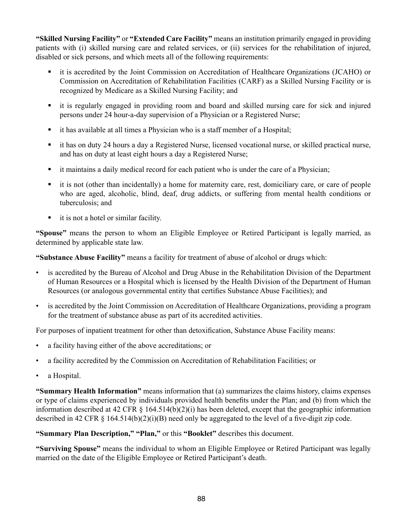**"Skilled Nursing Facility"** or **"Extended Care Facility"** means an institution primarily engaged in providing patients with (i) skilled nursing care and related services, or (ii) services for the rehabilitation of injured, disabled or sick persons, and which meets all of the following requirements:

- it is accredited by the Joint Commission on Accreditation of Healthcare Organizations (JCAHO) or Commission on Accreditation of Rehabilitation Facilities (CARF) as a Skilled Nursing Facility or is recognized by Medicare as a Skilled Nursing Facility; and
- it is regularly engaged in providing room and board and skilled nursing care for sick and injured persons under 24 hour-a-day supervision of a Physician or a Registered Nurse;
- it has available at all times a Physician who is a staff member of a Hospital;
- it has on duty 24 hours a day a Registered Nurse, licensed vocational nurse, or skilled practical nurse, and has on duty at least eight hours a day a Registered Nurse;
- it maintains a daily medical record for each patient who is under the care of a Physician;
- it is not (other than incidentally) a home for maternity care, rest, domiciliary care, or care of people who are aged, alcoholic, blind, deaf, drug addicts, or suffering from mental health conditions or tuberculosis; and
- it is not a hotel or similar facility.

**"Spouse"** means the person to whom an Eligible Employee or Retired Participant is legally married, as determined by applicable state law.

**"Substance Abuse Facility"** means a facility for treatment of abuse of alcohol or drugs which:

- is accredited by the Bureau of Alcohol and Drug Abuse in the Rehabilitation Division of the Department of Human Resources or a Hospital which is licensed by the Health Division of the Department of Human Resources (or analogous governmental entity that certifies Substance Abuse Facilities); and
- is accredited by the Joint Commission on Accreditation of Healthcare Organizations, providing a program for the treatment of substance abuse as part of its accredited activities.

For purposes of inpatient treatment for other than detoxification, Substance Abuse Facility means:

- a facility having either of the above accreditations; or
- a facility accredited by the Commission on Accreditation of Rehabilitation Facilities; or
- a Hospital.

**"Summary Health Information"** means information that (a) summarizes the claims history, claims expenses or type of claims experienced by individuals provided health benefits under the Plan; and (b) from which the information described at 42 CFR § 164.514(b)(2)(i) has been deleted, except that the geographic information described in 42 CFR  $\S$  164.514(b)(2)(i)(B) need only be aggregated to the level of a five-digit zip code.

**"Summary Plan Description," "Plan,"** or this **"Booklet"** describes this document.

**"Surviving Spouse"** means the individual to whom an Eligible Employee or Retired Participant was legally married on the date of the Eligible Employee or Retired Participant's death.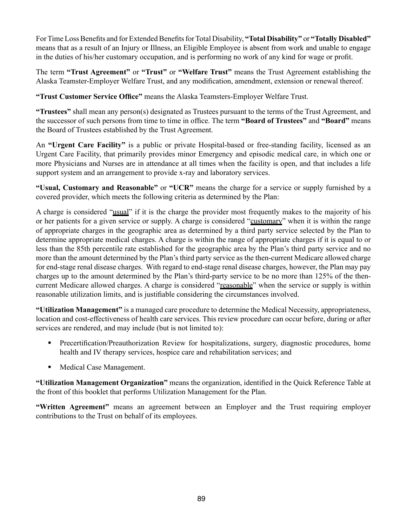For Time Loss Benefits and for Extended Benefits for Total Disability, **"Total Disability"** or **"Totally Disabled"** means that as a result of an Injury or Illness, an Eligible Employee is absent from work and unable to engage in the duties of his/her customary occupation, and is performing no work of any kind for wage or profit.

The term **"Trust Agreement"** or **"Trust"** or **"Welfare Trust"** means the Trust Agreement establishing the Alaska Teamster-Employer Welfare Trust, and any modification, amendment, extension or renewal thereof.

**"Trust Customer Service Office"** means the Alaska Teamsters-Employer Welfare Trust.

**"Trustees"** shall mean any person(s) designated as Trustees pursuant to the terms of the Trust Agreement, and the successor of such persons from time to time in office. The term **"Board of Trustees"** and **"Board"** means the Board of Trustees established by the Trust Agreement.

An **"Urgent Care Facility"** is a public or private Hospital-based or free-standing facility, licensed as an Urgent Care Facility, that primarily provides minor Emergency and episodic medical care, in which one or more Physicians and Nurses are in attendance at all times when the facility is open, and that includes a life support system and an arrangement to provide x-ray and laboratory services.

**"Usual, Customary and Reasonable"** or **"UCR"** means the charge for a service or supply furnished by a covered provider, which meets the following criteria as determined by the Plan:

A charge is considered "usual" if it is the charge the provider most frequently makes to the majority of his or her patients for a given service or supply. A charge is considered "customary" when it is within the range of appropriate charges in the geographic area as determined by a third party service selected by the Plan to determine appropriate medical charges. A charge is within the range of appropriate charges if it is equal to or less than the 85th percentile rate established for the geographic area by the Plan's third party service and no more than the amount determined by the Plan's third party service as the then-current Medicare allowed charge for end-stage renal disease charges. With regard to end-stage renal disease charges, however, the Plan may pay charges up to the amount determined by the Plan's third-party service to be no more than 125% of the thencurrent Medicare allowed charges. A charge is considered "reasonable" when the service or supply is within reasonable utilization limits, and is justifiable considering the circumstances involved.

**"Utilization Management"** is a managed care procedure to determine the Medical Necessity, appropriateness, location and cost-effectiveness of health care services. This review procedure can occur before, during or after services are rendered, and may include (but is not limited to):

- Precertification/Preauthorization Review for hospitalizations, surgery, diagnostic procedures, home health and IV therapy services, hospice care and rehabilitation services; and
- Medical Case Management.

**"Utilization Management Organization"** means the organization, identified in the Quick Reference Table at the front of this booklet that performs Utilization Management for the Plan.

**"Written Agreement"** means an agreement between an Employer and the Trust requiring employer contributions to the Trust on behalf of its employees.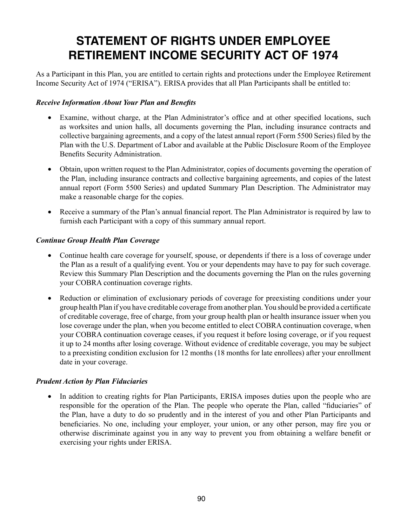# **STATEMENT OF RIGHTS UNDER EMPLOYEE RETIREMENT INCOME SECURITY ACT OF 1974**

As a Participant in this Plan, you are entitled to certain rights and protections under the Employee Retirement Income Security Act of 1974 ("ERISA"). ERISA provides that all Plan Participants shall be entitled to:

#### *Receive Information About Your Plan and Benefits*

- Examine, without charge, at the Plan Administrator's office and at other specified locations, such as worksites and union halls, all documents governing the Plan, including insurance contracts and collective bargaining agreements, and a copy of the latest annual report (Form 5500 Series) filed by the Plan with the U.S. Department of Labor and available at the Public Disclosure Room of the Employee Benefits Security Administration.
- Obtain, upon written request to the Plan Administrator, copies of documents governing the operation of the Plan, including insurance contracts and collective bargaining agreements, and copies of the latest annual report (Form 5500 Series) and updated Summary Plan Description. The Administrator may make a reasonable charge for the copies.
- Receive a summary of the Plan's annual financial report. The Plan Administrator is required by law to furnish each Participant with a copy of this summary annual report.

#### *Continue Group Health Plan Coverage*

- Continue health care coverage for yourself, spouse, or dependents if there is a loss of coverage under the Plan as a result of a qualifying event. You or your dependents may have to pay for such coverage. Review this Summary Plan Description and the documents governing the Plan on the rules governing your COBRA continuation coverage rights.
- Reduction or elimination of exclusionary periods of coverage for preexisting conditions under your group health Plan if you have creditable coverage from another plan. You should be provided a certificate of creditable coverage, free of charge, from your group health plan or health insurance issuer when you lose coverage under the plan, when you become entitled to elect COBRA continuation coverage, when your COBRA continuation coverage ceases, if you request it before losing coverage, or if you request it up to 24 months after losing coverage. Without evidence of creditable coverage, you may be subject to a preexisting condition exclusion for 12 months (18 months for late enrollees) after your enrollment date in your coverage.

# *Prudent Action by Plan Fiduciaries*

In addition to creating rights for Plan Participants, ERISA imposes duties upon the people who are responsible for the operation of the Plan. The people who operate the Plan, called "fiduciaries" of the Plan, have a duty to do so prudently and in the interest of you and other Plan Participants and beneficiaries. No one, including your employer, your union, or any other person, may fire you or otherwise discriminate against you in any way to prevent you from obtaining a welfare benefit or exercising your rights under ERISA.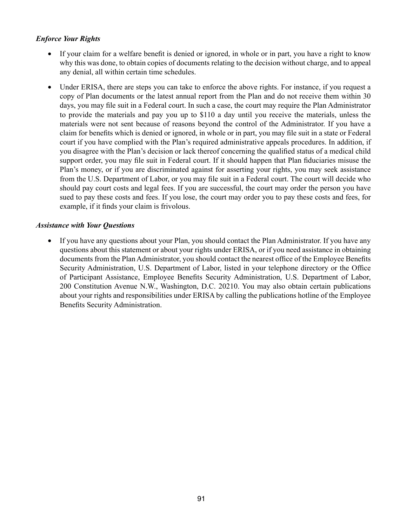# *Enforce Your Rights*

- If your claim for a welfare benefit is denied or ignored, in whole or in part, you have a right to know why this was done, to obtain copies of documents relating to the decision without charge, and to appeal any denial, all within certain time schedules.
- Under ERISA, there are steps you can take to enforce the above rights. For instance, if you request a copy of Plan documents or the latest annual report from the Plan and do not receive them within 30 days, you may file suit in a Federal court. In such a case, the court may require the Plan Administrator to provide the materials and pay you up to \$110 a day until you receive the materials, unless the materials were not sent because of reasons beyond the control of the Administrator. If you have a claim for benefits which is denied or ignored, in whole or in part, you may file suit in a state or Federal court if you have complied with the Plan's required administrative appeals procedures. In addition, if you disagree with the Plan's decision or lack thereof concerning the qualified status of a medical child support order, you may file suit in Federal court. If it should happen that Plan fiduciaries misuse the Plan's money, or if you are discriminated against for asserting your rights, you may seek assistance from the U.S. Department of Labor, or you may file suit in a Federal court. The court will decide who should pay court costs and legal fees. If you are successful, the court may order the person you have sued to pay these costs and fees. If you lose, the court may order you to pay these costs and fees, for example, if it finds your claim is frivolous.

#### *Assistance with Your Questions*

If you have any questions about your Plan, you should contact the Plan Administrator. If you have any questions about this statement or about your rights under ERISA, or if you need assistance in obtaining documents from the Plan Administrator, you should contact the nearest office of the Employee Benefits Security Administration, U.S. Department of Labor, listed in your telephone directory or the Office of Participant Assistance, Employee Benefits Security Administration, U.S. Department of Labor, 200 Constitution Avenue N.W., Washington, D.C. 20210. You may also obtain certain publications about your rights and responsibilities under ERISA by calling the publications hotline of the Employee Benefits Security Administration.